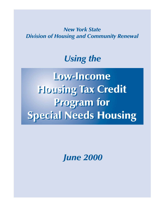*New York State Division of Housing and Community Renewal*

# *Using the*

Low-Income Low-Income Housing Tax Credit Housing Tax Credit Program for Program for Special Needs Housing Special Needs Housing

*June 2000*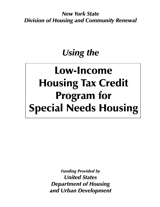**New York State Division of Housing and Community Renewal** 

# Using the

# Low-Income **Housing Tax Credit Program for Special Needs Housing**

**Funding Provided by United States Department of Housing** and Urban Development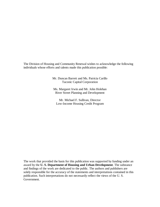The Division of Housing and Community Renewal wishes to acknowledge the following individuals whose efforts and talents made this publication possible:

> Mr. Duncan Barrett and Ms. Patricia Carillo Taconic Capital Corporation

Ms. Margaret Irwin and Mr. John Holehan River Street Planning and Development

Mr. Michael F. Sullivan, Director Low-Income Housing Credit Program

The work that provided the basis for this publication was supported by funding under an award by the **U. S. Department of Housing and Urban Development**. The substance and findings of the work are dedicated to the public. The authors and publishers are solely responsible for the accuracy of the statements and interpretations contained in this publication. Such interpretations do not necessarily reflect the views of the U. S. Government.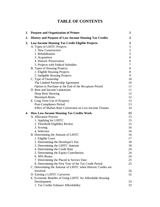# **TABLE OF CONTENTS**

| 1. | <b>Purpose and Organization of Primer</b>                     | 1  |
|----|---------------------------------------------------------------|----|
| 2. | <b>History and Purpose of Low-Income Housing Tax Credits</b>  | 2  |
| 3. | <b>Low-Income Housing Tax Credit Eligible Projects</b>        | 5  |
|    | A. Types of LIHTC Projects                                    | 5  |
|    | 1. New Construction                                           | 5  |
|    | 2. Rehabilitation                                             | 5  |
|    | 3. Acquisition                                                | 6  |
|    | 4. Historic Preservation                                      | 6  |
|    | 5. Projects with Federal Subsidies                            | 7  |
|    | B. Types of Housing Projects                                  | 8  |
|    | 1. Eligible Housing Projects                                  | 8  |
|    | 2. Ineligible Housing Projects                                | 9  |
|    | C. Type of Ownership                                          | 10 |
|    | The Limited Partnership Agreement                             | 10 |
|    | Option to Purchase at the End of the Recapture Period         | 11 |
|    | D. Rent and Income Limitations                                | 11 |
|    | Deep Rent Skewing                                             | 12 |
|    | <b>Maximum Rents</b>                                          | 12 |
|    | E. Long Term Use of Property                                  | 13 |
|    | Post-Compliance Period                                        | 13 |
|    | <b>Effect of Market-Rate Conversion on Low-Income Tenants</b> | 14 |
| 4. | <b>How Low-Income Housing Tax Credits Work</b>                | 15 |
|    | A. Allocation Process                                         | 15 |
|    | 1. Applying for LIHTC                                         | 15 |
|    | 2. Threshold Eligibility Review                               | 15 |
|    | 3. Scoring                                                    | 16 |
|    | 4. Selection                                                  | 16 |
|    | B. Determining the Amount of LIHTC                            | 16 |
|    | 1. Eligible Costs                                             | 17 |
|    | 2. Determining the Developer's Fee                            | 18 |
|    | 3. Determining the LIHTC Amount                               | 18 |
|    | 4. Determining the Credit Rate                                | 24 |
|    | 5. Determining the Equity Contribution                        | 24 |
|    | 6.30% Bonus                                                   | 24 |
|    | 7. Determining the Placed in Service Date                     | 25 |
|    | 8. Determining the First Year of the Tax Credit Period        | 25 |
|    | C. Determining the Amount of LIHTC when Historic Credits are  |    |
|    | Involved                                                      | 26 |
|    | D. Earning a LIHTC Carryover                                  | 32 |
|    | E. Economic Benefits of Using LIHTC for Affordable Housing    |    |
|    | Development                                                   | 33 |
|    | 1. Tax Credits Enhance Affordability                          | 33 |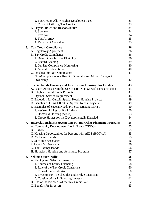|    | 2. Tax Credits Allow Higher Developer's Fees                                                                  | 33       |
|----|---------------------------------------------------------------------------------------------------------------|----------|
|    | 3. Costs of Utilizing Tax Credits                                                                             | 33       |
|    | E. Players, Roles and Responsibilities                                                                        | 34       |
|    | 1. Sponsor                                                                                                    | 34       |
|    | 2. Investor                                                                                                   | 34       |
|    | 3. Tax Attorney                                                                                               | 35       |
|    | 4. Tax Credit Consultant                                                                                      | 35       |
| 5. | <b>Tax Credit Compliance</b>                                                                                  | 36       |
|    | A. Regulatory Agreement                                                                                       | 36       |
|    | <b>B.</b> Tax Credit Compliance                                                                               | 36       |
|    | 1. Determining Income Eligibility                                                                             | 36       |
|    | 2. Record Keeping                                                                                             | 39       |
|    | 3. On-Site Compliance Monitoring<br>4. Annual Certifications                                                  | 40<br>40 |
|    | C. Penalties for Non-Compliance                                                                               | 41       |
|    | Non-Compliance as a Result of Casualty and Minor Changes in                                                   |          |
|    | Ownership                                                                                                     | 42       |
|    |                                                                                                               |          |
| 6. | <b>Special Needs Housing and Low Income Housing Tax Credits</b>                                               | 43<br>43 |
|    | A. Issues Arising From the Use of LIHTC in Special Needs Housing<br><b>B.</b> Eligible Special Needs Projects | 44       |
|    | <b>Optional Service Requirement</b>                                                                           | 44       |
|    | C. Exception for Certain Special Needs Housing Projects                                                       | 49       |
|    | D. Benefits of Using LIHTC in Special Needs Projects                                                          | 49       |
|    | E. Examples of Special Needs Projects Utilizing LIHTC                                                         | 50       |
|    | 1. Assisted Living for Frail Elderly                                                                          | 50       |
|    | 2. Homeless Housing (SROs)                                                                                    | 53       |
|    | 3. Group Homes for the Developmentally Disabled                                                               | 54       |
| 7. | Interrelationships Between LIHTC and Other Financing Programs                                                 | 55       |
|    | A. Community Development Block Grants (CDBG)                                                                  | 55       |
|    | <b>B. HOME</b>                                                                                                | 55       |
|    | C. Housing Opportunities for Persons with AIDS (HOPWA)                                                        | 55       |
|    | D. McKinney Funds                                                                                             | 55       |
|    | E. Section 8 Assistance                                                                                       | 56       |
|    | F. HOPE VI Programs                                                                                           | 56       |
|    | G. Tax-Exempt Bonds                                                                                           | 56       |
|    | H. Homeless Housing and Assistance Program                                                                    | 57       |
| 8. | <b>Selling Your Credits</b>                                                                                   | 58       |
|    | A. Finding and Selecting Investors                                                                            | 58       |
|    | 1. Sources of Equity Financing                                                                                | 58       |
|    | 2. Role of the Tax Credit Consultant                                                                          | 60       |
|    | 3. Role of the Syndicator                                                                                     | 60       |
|    | 4. Investor Pay-In Schedules and Bridge Financing<br>5. Considerations in Selecting Investors                 | 61<br>61 |
|    | B. Use of the Proceeds of the Tax Credit Sale                                                                 | 62       |
|    | C. Benefits for Investors                                                                                     | 63       |
|    |                                                                                                               |          |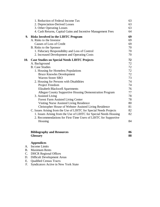|           | 1. Reduction of Federal Income Tax                                         | 63       |
|-----------|----------------------------------------------------------------------------|----------|
|           | 2. Depreciation-Derived Losses                                             | 63       |
|           | 3. Other Operating Losses                                                  | 63       |
|           | 4. Cash Returns, Capital Gains and Incentive Management Fees               | 64       |
| 9.        | <b>Risks Involved in the LIHTC Program</b>                                 | 69       |
|           | A. Risks to the Investor                                                   | 69       |
|           | Causes of Loss of Credit                                                   | 69       |
|           | B. Risks to the Sponsor                                                    | 70       |
|           | 1. Fiduciary Responsibility and Loss of Control                            | 70       |
|           | 2. Increased Development and Operating Costs                               | 70       |
| 10.       | <b>Case Studies on Special Needs LIHTC Projects</b>                        | 72       |
|           | A. Background                                                              | 72       |
|           | <b>B.</b> Case Studies                                                     | 72       |
|           | 1. Housing for Homeless Populations                                        | 72       |
|           | <b>Bruce Knowles Development</b>                                           | 72       |
|           | <b>Warren Street SRO</b>                                                   | 73       |
|           | 2. Housing for Persons with Disabilities                                   | 74       |
|           | Project Freedom                                                            | 74       |
|           | <b>Elizabeth Blackwell Apartments</b>                                      | 76       |
|           | Allegan County Supportive Housing Demonstration Program                    | 77       |
|           | 3. Assisted Living                                                         | 78       |
|           | <b>Forest Farm Assisted Living Center</b>                                  | 78       |
|           | Visiting Nurse Assisted Living Residence                                   | 80       |
|           | Christopher House of Webster Assisted Living Residence                     | 81       |
|           | C. Issues Arising from the Use of LIHTC for Special Needs Projects         | 82       |
|           | 1. Issues Arising from the Use of LIHTC for Special Needs Housing          | 82       |
|           | 2. Recommendations for First-Time Users of LIHTC for Supportive<br>Housing | 84       |
|           |                                                                            |          |
|           |                                                                            |          |
|           | <b>Bibliography and Resources</b>                                          | 86<br>88 |
|           | <b>Glossary</b>                                                            |          |
|           | <b>Appendices</b>                                                          |          |
| A.        | <b>Income Limits</b>                                                       |          |
| <b>B.</b> | <b>Maximum Rents</b>                                                       |          |
| C.        | <b>DHCR Regional Offices</b>                                               |          |
| D.        | <b>Difficult Development Areas</b>                                         |          |

- E. Qualified Census Tracts
- F. Syndicators Active in New York State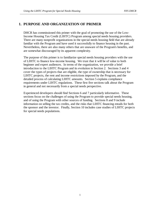## **1. PURPOSE AND ORGANIZATION OF PRIMER**

DHCR has commissioned this primer with the goal of promoting the use of the Low-Income Housing Tax Credit (LIHTC) Program among special needs housing providers. There are many nonprofit organizations in the special needs housing field that are already familiar with the Program and have used it successfully to finance housing in the past. Nevertheless, there are also many others that are unaware of the Program's benefits, and are somewhat discouraged by its apparent complexity.

The purpose of this primer is to familiarize special needs housing providers with the use of LIHTC to finance low-income housing. We trust that it will be of value to both beginner and expert audiences. In terms of the organization, we provide a brief introduction to the LIHTC Program and its evolution in Section 2. Sections 3 and 4 cover the types of projects that are eligible, the type of ownership that is necessary for LIHTC projects, the rent and income restrictions imposed by the Program, and the detailed process of calculating LIHTC amounts. Section 5 explains compliance requirements under LIHTC regulations. These first five sections talk about the Program in general and not necessarily from a special needs perspective.

Experienced developers should find Sections 6 and 7 particularly informative. These sections focus on the challenges of using the Program to provide special needs housing, and of using the Program with other sources of funding. Sections 8 and 9 include information on selling the tax credits, and the risks that LIHTC financing entails for both the sponsor and the investor. Finally, Section 10 includes case studies of LIHTC projects for special needs populations.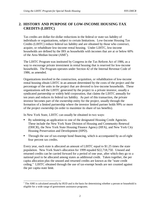# **2. HISTORY AND PURPOSE OF LOW-INCOME HOUSING TAX CREDITS (LIHTC)**

Tax credits are dollar-for-dollar reductions in the federal or state tax liability of individuals or organizations, subject to certain limitations. Low-Income Housing Tax Credits (LIHTC) reduce federal tax liability and are obtained by those who construct, acquire, or rehabilitate low-income rental housing. Under LIHTC, low-income households are defined by the IRS as households with incomes that are at or below 60% of the Area Median Income  $(AMI^1)$ .

The LIHTC Program was instituted by Congress in the Tax Reform Act of 1986, as a way to encourage private investment in rental housing that is reserved for low-income households. The Program operates under Section 42 of the Internal Revenue Code of 1986, as amended.

Organizations involved in the construction, acquisition, or rehabilitation of low-income rental housing obtain LIHTC in an amount determined by the costs of the project and the percentage of the units in the project that are devoted to low-income households. These organizations sell the LIHTC generated by the project to a private investor, usually a syndicated partnership or widely held corporation, that claims the LIHTC annually for ten years and reduces its federal tax liability. As part of this transaction, the private investor becomes part of the ownership entity for the project, usually through the formation of a limited partnership where the investor limited partner holds 99% or more of the project ownership (in order to maximize its share of tax benefits).

In New York State, LIHTC can usually be obtained in two ways:  $\ddot{\phantom{0}}$ 

- By submitting an application to one of the designated Housing Credit Agencies. These include the New York State Division of Housing and Community Renewal (DHCR), the New York State Housing Finance Agency (HFA), and New York City Housing Preservation and Development (HPD).
- Through the use of tax-exempt bond financing, which is accompanied by as-of-right four percent tax credits.

Every year, each state is allocated an amount of LIHTC equal to \$1.25 times the state population. New York State's allocation for 1999 equaled \$22,718,750. Unused and returned credits can be carried forward for a period of one year, after which they go to a national pool to be allocated among states as additional credit. Taken together, the per capita allocation plus the unused and returned credits are known as the "state credit ceiling." LIHTC obtained through the use of tax-exempt bonds are not counted against the per capita state limit.

 $\overline{a}$  $1$  The AMI is calculated annually by HUD and is the basis for determining whether a person or household is eligible for a wide range of government assistance programs.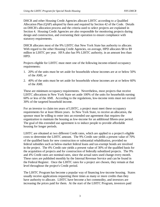DHCR and other Housing Credit Agencies allocate LIHTC according to a Qualified Allocation Plan (QAP) adopted by them and required by Section 42 of the Code. Details on DHCR's allocation process and the criteria used to select projects are explained in Section 4. Housing Credit Agencies are also responsible for monitoring projects during design and construction, and overseeing their operation to ensure compliance with statutory requirements.

DHCR allocates most of the 9% LIHTC that New York State has authority to allocate. With regard to the other Housing Credit Agencies, on average, HPD allocates \$8 to \$9 million in LIHTC per year. HFA also has 9% LIHTC authority, in an amount less than HPD.

Projects eligible for LIHTC must meet one of the following income-related occupancy requirements:

- 1. 20% of the units must be set aside for households whose incomes are at or below 50% of the AMI, *or*
- 2. 40% of the units must be set aside for households whose incomes are at or below 60% of the AMI.

These are minimum occupancy requirements. Nevertheless, most projects that receive LIHTC allocations in New York State set aside 100% of the units for households earning 60% or less of the AMI. According to the regulations, low-income rents must not exceed 30% of the targeted household income.

For an investor to claim ten years of LIHTC, a project must meet these occupancy requirements for at least fifteen years. In New York State, to receive an allocation, the sponsor must be willing to enter into an extended use agreement that requires the organization to maintain the housing as low-income for an additional fifteen-year period. The goal of this extended use agreement is to induce people to provide affordable housing for longer periods.

LIHTC are obtained at two different Credit rates, which are applied to a project's eligible costs to determine the LIHTC amount. The 9% Credit rate yields a present value of 70% of the qualified basis for new construction or substantial rehabilitation, provided no federal subsidies such as below-market federal loans and tax-exempt bonds are involved in the project. The 4% Credit rate yields a present value of 30% of the qualified basis for the acquisition of projects and for construction of federally subsidized projects. The 9% and 4% Credit rates are nominal rates, since the actual rates used change every month. These rates are published monthly by the Internal Revenue Service and can be found in the Federal Register. Once the LIHTC rates for a project are chosen, they remain at that level throughout the project's Credit period.

The LIHTC Program has become a popular way of financing low-income housing. States usually receive applications requesting three times as many or more credits than they have authority to allocate. LIHTC have become a hot commodity, and investors are increasing the prices paid for them. At the start of the LIHTC Program, investors paid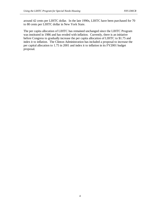around 42 cents per LIHTC dollar. In the late 1990s, LIHTC have been purchased for 70 to 80 cents per LIHTC dollar in New York State.

The per capita allocation of LIHTC has remained unchanged since the LIHTC Program was instituted in 1986 and has eroded with inflation. Currently, there is an initiative before Congress to gradually increase the per capita allocation of LIHTC to \$1.75 and index it to inflation. The Clinton Administration has included a proposal to increase the per capital allocation to 1.75 in 2001 and index it to inflation in its FY2001 budget proposal.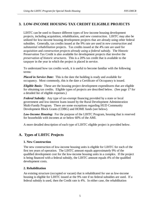# **3. LOW-INCOME HOUSING TAX CREDIT ELIGIBLE PROJECTS**

LIHTC can be used to finance different types of low-income housing development projects, including acquisition, rehabilitation, and new construction. LIHTC may also be utilized for low-income housing development projects that are already using other federal subsidies. Generally, tax credits issued at the 9% rate are used in *new construction* and *substantial rehabilitation* projects. Tax credits issued at the 4% rate are used for *acquisition* and *construction projects already using a federal subsidy*. The Historic Preservation Tax Credit is also available for development projects that involve the *preservation of historic structures*. This is a 20% tax credit that is available to the taxpayer in the year in which the project is placed in service.

To understand how tax credits work, it is useful to become familiar with the following terms:

*Placed in Service Date:* This is the date the building is ready and available for occupancy. Most commonly, this is the date a Certificate of Occupancy is issued.

*Eligible Basis:* These are the housing project development expenditures that are eligible for obtaining tax credits. Eligible types of projects are described below. (See page 17 for a detailed list of eligible expenses.)

*Federal Subsidy:* Any type of tax-exempt financing provided by a state or local government and low-interest loans issued by the Rural Development Administration Multi-Family Program. There are some exceptions regarding HUD Community Development Block Grants (CDBG) and HOME funds (see below).

Low-Income Housing: For the purpose of the LIHTC Program, housing that is reserved for households with incomes at or below 60% of the AMI.

A more detailed description of each type of LIHTC eligible project is provided below.

#### **A. Types of LIHTC Projects**

#### **1. New Construction**

The new construction of low-income housing units is eligible for LIHTC for each of the first ten years of operation. The LIHTC amount equals approximately 9% of the qualified development cost for the low-income housing units in a complex. If the project is being financed with a federal subsidy, the LIHTC amount equals 4% of the qualified development costs.

#### **2. Rehabilitation**

An existing structure (occupied or vacant) that is rehabilitated for use as low-income housing is eligible for LIHTC issued at the 9% rate if no federal subsidies are used. If a federal subsidy is used, then the Credit rate is 4%. In either case, the rehabilitation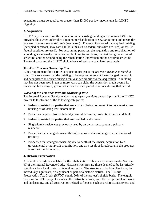expenditure must be equal to or greater than \$3,000 per low-income unit for LIHTC eligibility.

#### **3. Acquisition**

LIHTC may be earned on the acquisition of an existing building at the nominal 4% rate, provided the owner undertakes a minimum rehabilitation of \$3,000 per unit and meets the *ten-year previous ownership rule* (see below). The rehabilitation of the acquired building (occupied or vacant) may earn LIHTC at 9% (if no federal subsidies are used) or 4% (if federal subsidies are used). For accounting purposes, the acquisition and rehabilitation of a building are normally treated as two building transactions, the first being the acquired structure, and the second being the rehabilitation undertaken on the acquired structure. The total costs and the LIHTC eligible basis of each are calculated separately.

#### *Ten-Year Previous Ownership Rule*

A key requirement for a LIHTC acquisition project is the *ten-year previous ownership rule*. This rule states that the building to be acquired must not have changed ownership and been placed in service during a ten-year period prior to the acquisition. A building that has not been used in ten or more years can claim the acquisition credit even if its ownership has changed, given that it has not been placed in service during that period.

#### *Waiver of the Ten-Year Previous Ownership Rule*

The Internal Revenue Service waives the *ten-year previous ownership rule* if the LIHTC project falls into one of the following categories:  $\mathbf{r}$ 

- Federally assisted properties that are at risk of being converted into non-low-income housing or of losing low-income units
- Properties acquired from a federally insured depository institution that is in default
- Federally assisted properties that are troubled or distressed
- Single-family residences previously used by an owner-occupant as a primary residence
- **Properties that changed owners through a non-taxable exchange or contribution of** property
- **Properties that changed ownership due to death of the owner, acquisition by a** governmental or nonprofit organization, and as a result of foreclosure, if the property is sold within 12 months.

#### **4. Historic Preservation**

A federal tax credit is available for the rehabilitation of historic structures under Section 47 of the Internal Revenue Code. Historic structures are those deemed to be historically significant by a local, state, or federal authority. The structure or building itself may be individually significant, or significant as part of a historic district. The Historic Preservation Tax Credit (HPTC) equals 20% of the project's eligible basis. The eligible basis for an HPTC project includes all construction costs, with the exception of site work and landscaping, and all construction-related soft costs, such as architectural services and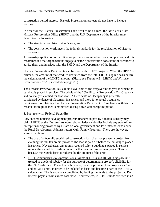construction period interest. Historic Preservation projects do not have to include housing.

In order for the Historic Preservation Tax Credit to be claimed, the New York State Historic Preservation Office (SHPO) and the U.S. Department of the Interior must determine the following:  $\ddot{\phantom{0}}$ 

- The structure has historic significance, and
- The construction work meets the federal standards for the rehabilitation of historic structures.

A three-step application or certification process is required to prove compliance, and it is recommended that organizations engage a historic preservation consultant or architect to advise them and interface with the SHPO and the Department of the Interior.

Historic Preservation Tax Credits can be used with LIHTC projects. When the HPTC is claimed, the amount of that credit is deducted from the total LIHTC eligible basis before the calculation of the LIHTC amount. (Please see *Example B: LIHTC and Historic Preservation Credits*, included on page 29.)

The Historic Preservation Tax Credit is available to the taxpayer in the year in which the building is placed in service. The whole of the 20% Historic Preservation Tax Credit can and normally is claimed for that year. A Certificate of Occupancy is generally considered evidence of placement in service, and there is no actual occupancy requirement for claiming the Historic Preservation Tax Credit. Compliance with historic rehabilitation guidelines is monitored during a five-year recapture period.

#### **5. Projects with Federal Subsidies**

Low-income housing development projects financed in part by a federal subsidy may claim LIHTC at the 4% rate. As noted above, federal subsidies include any type of taxexempt financing provided by a state or local government and low-interest loans under the Rural Development Administration Multi-Family Program. There are, however, some exceptions:  $\overline{a}$ 

- The use of a federally subsidized construction loan *does not* prevent a project from claiming the 9% tax credit, provided the loan is paid off before the building is placed in service. Nevertheless, any grants received *after* a building is placed in service reduce the annual tax credit amount for that year and subsequent years. This is because the eligible basis is reduced by the amount of the grant.
- HUD Community Development Block Grants (CDBG) and HOME funds *are not* treated as a federal subsidy for the purpose of determining a project's eligibility for the 9% Credit rate. These funds, however, must be provided to a project as a *loan* and not as a grant, in order to be included in basis and become a part of the LIHTC calculation. This is usually accomplished by lending the funds to the project at 1% interest payable from excess cash flow. Nevertheless, if HOME funds are used in an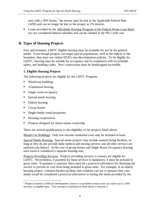area with a 30% bonus, $^2$  the money must be lent at the Applicable Federal Rate (AFR) and can no longer be lent to the project at 1% interest.

 Loans provided by the Affordable Housing Program of the Federal Home Loan Bank *are not* considered federal subsidies and can be claimed at the 9% Credit rate.

# **B. Types of Housing Projects**

First and foremost, LIHTC eligible housing must be available for use by the general public. Even though projects can target special populations, such as the elderly or the homeless, they must not violate HUD's non-discrimination policies. To be eligible for LIHTC, housing must be suitable for occupancy and in compliance with local health, safety, and building codes. New construction must be handicapped accessible.

#### **1. Eligible Housing Projects**

The following projects are eligible for the LIHTC Program: Î

- **Mixed-use buildings**
- Transitional housing
- Single room occupancy
- Special needs housing
- **Elderly housing**
- Group homes
- **Single-family rental properties**
- Housing cooperatives
- Projects designed for future tenant ownership

There are several qualifications to the eligibility of the projects listed above:

Mixed-Use Buildings. Only low-income residential costs may be included in basis.

Special Needs Housing. Special needs projects may include assisted living facilities, as long as they do not provide daily medical and nursing services and all other services are optional (see below). In the case of group homes and Single Room Occupancy housing, each room is considered a separate housing unit.

Projects Providing Services. Projects providing services to tenants are eligible for LIHTC. Nevertheless, if payment for these services is mandatory, it must be included in gross rents. If payment is optional, there must be a *practical alternative* for obtaining the service to prevent its cost from being included in gross rents. For example, in an elderly housing project, common kitchen facilities that residents can use to prepare their own meals would be considered a *practical alternative* to having the meals provided by the

<sup>&</sup>lt;sup>2</sup> Projects located in Difficult Development Areas or in qualified census tracts can claim up to a 30% increase in eligible basis. This concept is explained in more detail in Section 4.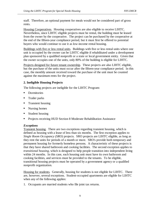staff. Therefore, an optional payment for meals would not be considered part of gross rents.

Housing Cooperatives. Housing cooperatives are also eligible to receive LIHTC. Nevertheless, since LIHTC eligible projects must be rental, the building must be leased from the owner by the cooperative. The project can be purchased by the cooperative at the end of the fifteen-year compliance period, but it must first be offered to potential buyers who would continue to use it as low-income rental housing.

Buildings with five or less rental units. Buildings with five or less rental units where one unit is occupied by the owner can be LIHTC eligible if rehabilitated under a development plan sponsored by a qualified nonprofit or a state or local government entity. Given that the owner occupies one of the units, only 80% of the building is eligible for LIHTC.

Projects designed for future tenant ownership. These projects are also LIHTC eligible, but the purchase of the units must occur after the fifteen-year compliance period. In this case, the monthly amount received toward the purchase of the unit must be counted against the maximum rents for the project.

#### **2. Ineligible Housing Projects**

The following projects are ineligible for the LIHTC Program: Î

- **Dormitories**
- Trailer parks
- **Transient housing**
- **Nursing homes**
- **Student housing**
- **Projects receiving HUD Section 8 Moderate Rehabilitation Assistance**

#### *Exceptions*

Transient housing. There are two exceptions regarding transient housing, which is defined as housing with a lease of less than six months. The first exception applies to *Single Room Occupancy (SRO)* projects. SRO projects are LIHTC eligible, as long as they rent the units for periods of a month or more. SRO's provide both temporary and permanent housing for formerly homeless persons. A characteristic of these projects is that they have shared bathroom and cooking facilities. The second exception applies to *transitional housing*, which is designed to help people transition into independent living within 24 months. In this case, each housing unit must have its own bathroom and cooking facilities, and services must be provided to the tenants. To be eligible, transitional housing projects must be operated by a government agency or a qualified nonprofit organization.

Housing for students. Generally, housing for students is not eligible for LIHTC. There are, however, several exceptions. Student-occupied apartments are eligible for LIHTC when any of the following applies:

1. Occupants are married students who file joint tax returns.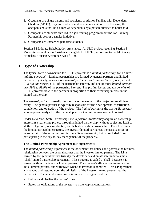- 2. Occupants are single parents and recipients of Aid for Families with Dependent Children (AFDC), they are students, and have minor children. In this case, the occupants must not be claimed as dependents by a person outside the household.
- 3. Occupants are students enrolled in a job training program under the Job Training Partnership Act or a similar initiative.
- 4. Occupants are unmarried part-time students.

Section 8 Moderate Rehabilitation Assistance. An SRO project receiving Section 8 Moderate Rehabilitation Assistance is eligible for LIHTC, according to the McKinney Homeless Housing Assistance Act of 1988.

#### **C. Type of Ownership**

The typical form of ownership for LIHTC projects is a *limited partnership* (or a *limited liability company*). Limited partnerships are formed by general partners and limited partners. Typically, one or more *general partners own from one tenth of one percent (.1%) to one percent (1%)* of the partnership interest, and one or more *limited partners own 99% to 99.9%* of the partnership interest. The profits, losses, and tax benefits of LIHTC projects flow to the partners in proportion to their ownership interest in the limited partnership.

The *general partner* is usually the *sponsor* or developer of the project or an affiliate entity. The general partner is typically responsible for the development, construction, completion, and operation of the project. The *limited partner* is the *tax credit investor*, who acquires nearly all of the ownership without acquiring management control.

Under New York State Partnership Law, a *passive investor* may acquire an ownership interest in a real estate project through a limited partnership, without subjecting itself to all the obligations, responsibilities, and liabilities of direct ownership. Therefore, under the limited partnership structure, the investor limited partner (as the passive investor) gains certain of the economic and tax benefits of ownership, but is precluded from participating in the day-to-day management of the property.

#### **The Limited Partnership Agreement (LP Agreement)**

The *limited partnership agreement* is the document that defines and governs the business relationship between the general partner and the investor limited partner. The LP is formed by the general partner (usually the developer) and an affiliate under a simple "shell" limited partnership agreement. This structure is called a "shell" because it is formed without the investor limited partner. The sponsor's affiliate is admitted as the initial limited partner, and withdraws when the investor is admitted. This LP agreement is amended and restated upon the admission of the investor limited partner into the partnership. The amended agreement is an extensive agreement that:  $\mathbf{r}$ 

- Defines and clarifies the parties' roles
- States the obligations of the investor to make capital contributions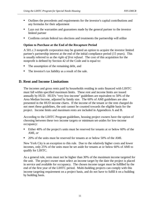- Outlines the precedents and requirements for the investor's capital contributions and any formulas for their adjustment
- Lays out the warranties and guarantees made by the general partner to the investor limited partner
- Confirms certain federal tax elections and treatments the partnership will utilize

#### **Option to Purchase at the End of the Recapture Period**

A 501.c.3 nonprofit corporation may be granted an option to acquire the investor limited partner's partnership interest at the end of the initial compliance period (15 years). This is usually referred to as the *right of first refusal*. The cost of this acquisition for the nonprofit is defined by Section 42 of the Code and is equal to:  $\ddot{\phantom{0}}$ 

- The assumption of the remaining debt, and
- The investor's tax liability as a result of the sale.

#### **D. Rent and Income Limitations**

The incomes and gross rents paid by households residing in units financed with LIHTC must fall within specified maximum limits. These rent and income limits are issued annually by HUD. HUD's "very low-income" guidelines are equivalent to 50% of the Area Median Income, adjusted by family size. The 60% of AMI guidelines are also presented in the HUD income charts. If the income of the tenant or the rent charged do not meet these guidelines, the unit cannot be counted towards the eligible basis for the project. Income limits and maximum rents are included in Appendices A and B.

According to the LIHTC Program guidelines, housing project owners have the option of choosing between these two income targets or minimum set-asides for low-income occupancy:  $\overline{a}$ 

- Either 40% of the project's units must be reserved for tenants at or below 60% of the AMI, *or*
- 20% of the units must be reserved for tenants at or below 50% of the AMI.

New York City is an exception to this rule. Due to the relatively higher costs and lower incomes, only 25% of the units must be set aside for tenants at or below 60% of AMI to qualify for LIHTC.

As a general rule, rents must not be higher than 30% of the maximum income targeted for the unit. The project owner must select an income target by the date the project is placed in service and available for occupancy. The chosen income target must be fulfilled by the end of the first year of the LIHTC period. Multi-building projects can comply with this income targeting requirement on a project basis, and do not have to fulfill it on a building by building basis.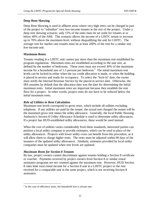#### **Deep Rent Skewing**

Deep Rent Skewing is used in affluent areas where very high rents can be charged in part of the project to "subsidize" very low-income tenants in the rest of the project. Under a deep rent skewing scenario, only 15% of the units must be set aside for tenants at or below 40% of the AMI. This scenario allows the income of a LIHTC tenant to increase up to 70% above the maximum level, without disqualifying the unit for LIHTC. The average rent for market rate tenants must be at least 200% of the rent for a similar size low-income unit.

#### **Maximum Rents**

Tenants residing in a LIHTC unit cannot pay more than the maximum rent established by program regulations. Maximum rents are established according to the unit size, as defined by the number of bedrooms. These rents must not exceed 30% of the maximum income for a household size of 1.5 persons per bedroom.<sup>3</sup> The initial maximum rent levels can be locked-in either when the tax credit allocation is made, or when the building is placed in service and ready for occupancy. To select the "lock-in" date, the owner must notify the Internal Revenue Service by the placed in service date. Otherwise, the IRS assumes by default that the allocation date was the date for determining the initial maximum rents. Initial maximum rents are important because they establish the rent floor for a project. In other words, project rents do not have to be reduced below the initial maximum rents.

#### *Role of Utilities in Rent Calculation*

Maximum rent levels correspond to gross rents, which include all utilities excluding telephone. If any utilities are paid by the tenant, the actual rent charged the tenant will be the maximum gross rent minus the utility allowance. Generally, the local Public Housing Authority's Section 8 Utility Allowance Schedule is used to determine utility allowances. If a project has HUD-established utility allowances, these would be used instead.

When the cost of utilities varies considerably from these standards, interested parties can petition a local utility company to provide estimates, which can be used in place of the utility allowances. Projects with lower utility costs can benefit from this procedure, as it will allow them to charge higher rents. The rents must be adjusted within 90 days of the issuance of the updated utility allowances. Similarly, estimates provided by local utility companies must be updated when rent levels are updated.

#### *Maximum Rents for Section 8 Tenants*

By law, project owners cannot discriminate against tenants holding a Section 8 certificate or voucher. Payments received by project owners from Section 8 or similar rental assistance programs are not counted against the maximum rent. However, HUD Section 8 rules limit total rental income for a Section 8 unit in a LIHTC project to the rent received for a comparable unit in the same project, which is not receiving Section 8 assistance.

 $\overline{a}$  $3$  In the case of efficiency units, the household size is always one.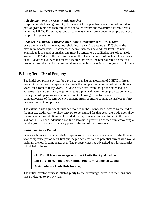#### *Calculating Rents in Special Needs Housing*

In special needs housing projects, the payment for supportive services is not considered part of gross rents and therefore does not count toward the maximum allowable rents under the LIHTC Program, as long as payments come from a government program or a nonprofit organization.

#### *Changes in Household Income after Initial Occupancy of a LIHTC Unit*

Once the tenant is in the unit, household income can increase up to 40% above the maximum income level. If household income increases beyond that level, the next available unit of equal or smaller size must be rented to a qualified household to avoid loss of LIHTC, due to the need to maintain the claimed number of qualified low-income units. Nevertheless, even if a tenant's income increases, the rent collected on the unit cannot exceed the maximum rent requirements, unless the unit is no longer a LIHTC unit.

# **E. Long Term Use of Property**

The initial compliance period for a project receiving an allocation of LIHTC is fifteen years. An *extended use agreement* extends the compliance period an additional fifteen years, for a total of thirty years. In New York State, even though the extended use agreement is not a statutory requirement, as a practical matter, most projects commit to thirty years of operation as low-income rental housing. Due to the intense competitiveness of the LIHTC environment, many sponsors commit themselves to forty or more years of compliance.

The extended use agreement must be recorded in the County land records by the end of the first tax credit year, to allow LIHTC to be claimed for that year (the Code does allow for some relief for late filings). Extended use agreements can be enforced in the courts, and both DHCR and individuals can file a lawsuit to prevent an owner from converting a building to market-rate occupancy prior to the end of the agreement.

#### **Post-Compliance Period**

Owners who wish to convert their property to market-rate use at the end of the fifteenyear compliance period must first put the property for sale to potential buyers who would maintain the low-income rental use. The property must be advertised at a formula price calculated as follows:

**SALE PRICE = Percentage of Project Units that Qualified for LIHTC x (Remaining Debt + Initial Equity + Additional Capital Contributions - Cash Distributions)** 

The initial investor equity is inflated yearly by the percentage increase in the Consumer Price Index, up to 5% per year.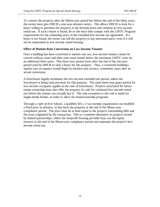To convert the property after the fifteen-year period but before the end of the thirty years, the owner must give DHCR a one-year advance notice. This allows DHCR to look for a buyer willing to purchase the property at the formula price and continue its low-income rental use. If such a buyer is found, he or she must then comply with the LIHTC Program requirements for the remaining years of the extended low-income use agreement. If a buyer is not found, the owner can sell the property to any interested party, even if it will not be maintained as low-income rental housing.

#### **Effect of Market-Rate Conversion on Low-Income Tenants**

Once a building has been converted to market-rate use, low-income tenants cannot be evicted without cause and their rents must remain below the maximum LIHTC rents for an additional three years. This three-year period starts after the end of the one-year period used by DHCR to seek a buyer for the property. Thus, a converted building's market-rate occupancy would begin by attrition and vacancy, sometimes years after its actual conversion.

A foreclosure legally terminates the low-income extended use period, unless the foreclosure is being used precisely for that purpose. The same three-year grace period for low-income occupants applies in the case of foreclosure. Projects structured for future tenant ownership must also offer the property for sale for continued low-income rental use before the tenants can actually buy it. The only exception to this rule is made for single-family homes, in order to allow for homeownership programs.

Through a *right of first refusal*, a qualified 501.c.3 tax-exempt organization can establish a fixed price in advance, to buy back the property at the end of the fifteen-year compliance period. The price must be at least equal to the project's outstanding debt and the taxes originated by the transaction. This is a common alternative in projects owned by limited partnerships, where the nonprofit housing provider buys out the equity investor at the end of the fifteen-year compliance period and maintains the project's lowincome rental use.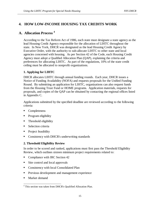# **4. HOW LOW-INCOME HOUSING TAX CREDITS WORK**

# **A. Allocation Process 4**

According to the Tax Reform Act of 1986, each state must designate a state agency as the lead Housing Credit Agency responsible for the allocation of LIHTC throughout the state. In New York, DHCR was designated as the lead Housing Credit Agency by Executive Order, with the authority to sub-allocate LIHTC to other state and local agencies concerned with housing. As per Section 42 of the Code, each Housing Credit Agency must adopt a Qualified Allocation Plan (QAP), explaining the criteria and preferences for allocating LIHTC. As part of the regulations, 10% of the state credit ceiling must be allocated to nonprofit organizations.

#### **1. Applying for LIHTC**

DHCR allocates LIHTC through annual funding rounds. Each year, DHCR issues a Notice of Funding Availability (NOFA) and requests proposals for the Unified Funding Round. By submitting an application for LIHTC, organizations can also request funds from the Housing Trust Fund or HOME programs. Application materials, requests for proposals, and copies of the QAP can be obtained by contacting the regional offices listed in Appendix C.

Applications submitted by the specified deadline are reviewed according to the following criteria: Ī

- Completeness
- **Program eligibility**
- **Threshold eligibility**
- **Selection criteria**
- **Project feasibility**
- Consistency with DHCR's underwriting standards

#### **2. Threshold Eligibility Review**

In order to be scored and ranked, applications must first pass the Threshold Eligibility Review, which outlines sixteen minimum project requirements related to:  $\ddot{\phantom{0}}$ 

- **Compliance with IRC Section 42**
- Site control and local approvals
- **Consistency with local Consolidated Plan**
- **Previous development and management experience**
- **Market demand**

 $\overline{a}$ 4 This section was taken from DHCR's Qualified Allocation Plan.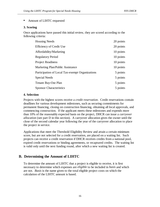#### Amount of LIHTC requested

#### **3. Scoring**

Once applications have passed this initial review, they are scored according to the following criteria:

| <b>Housing Needs</b>                            | 20 points |
|-------------------------------------------------|-----------|
| <b>Efficiency of Credit Use</b>                 | 20 points |
| Affordability/Marketing                         | 10 points |
| <b>Regulatory Period</b>                        | 10 points |
| <b>Project Readiness</b>                        | 10 points |
| Marketing Plan/Public Assistance                | 10 points |
| Participation of Local Tax-exempt Organizations | 5 points  |
| <b>Special Needs</b>                            | 5 points  |
| <b>Tenant Buy-Out Plan</b>                      | 5 points  |
| <b>Sponsor Characteristics</b>                  | 5 points  |

#### **4. Selection**

Projects with the highest scores receive a *credit reservation*. Credit reservations contain deadlines for various development milestones, such as securing commitments for permanent financing, closing on construction financing, obtaining all local approvals, and commencing construction. If the applicant meets these milestones and expends more than 10% of the reasonably expected basis on the project, DHCR can issue a *carryover allocation* (see part D in this section). A carryover allocation gives the owner until the close of the second calendar year following the year of the carryover allocation to place the project in service.

Applications that meet the Threshold Eligibility Review and attain a certain minimum score, but are not selected for a credit reservation, are placed on a waiting list. Such projects can receive a credit reservation if DHCR receives credits from a national pool, expired credit reservations or binding agreements, or recaptured credits. The waiting list is valid only until the next funding round, after which a new waiting list is created.

# **B. Determining the Amount of LIHTC**

To determine the amount of LIHTC that a project is eligible to receive, it is first necessary to determine which expenses are *eligible* to be included in *basis* and which are not. *Basis* is the name given to the total eligible project costs on which the calculation of the LIHTC amount is based.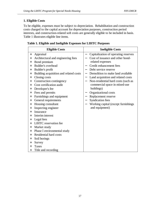#### **1. Eligible Costs**

To be eligible, expenses must be subject to depreciation. Rehabilitation and construction costs charged to the capital account for depreciation purposes, construction period interests, and construction-related soft costs are generally eligible to be included in basis. Table 1 illustrates eligible line items.

| <b>Eligible Costs</b> |                                        | <b>Ineligible Costs</b>  |                                      |  |
|-----------------------|----------------------------------------|--------------------------|--------------------------------------|--|
| $^{+}$                | Appraisal                              | —                        | Capitalization of operating reserves |  |
| $^{+}$                | Architectural and engineering fees     |                          | Cost of issuance and other bond-     |  |
| $+$                   | Bond premium                           |                          | related expenses                     |  |
| $+$                   | Builder's overhead                     |                          | Credit enhancement fees              |  |
| $^{+}$                | Builder's profit                       |                          | Debt service reserve                 |  |
| $+$                   | Building acquisition and related costs | $\overline{\phantom{0}}$ | Demolition to make land available    |  |
| $^{+}$                | Closing costs                          | -                        | Land acquisition and related costs   |  |
| $^{+}$                | Construction contingency               |                          | Non-residential hard costs (such as  |  |
| $+$                   | Cost certification audit               |                          | commercial space in mixed-use        |  |
| $^{+}$                | Developer's fee                        |                          | buildings)                           |  |
| $^{+}$                | Fees and permits                       | —                        | Organizational costs                 |  |
| $^{+}$                | Furnishings and equipment              |                          | Replacement reserve                  |  |
| $^{+}$                | General requirements                   | —                        | <b>Syndication fees</b>              |  |
| $^{+}$                | Housing consultant                     |                          | Working capital (except furnishings  |  |
| $^{+}$                | Inspecting engineer                    |                          | and equipment)                       |  |
| $+$                   | Insurance                              |                          |                                      |  |
| $^{+}$                | Interim interest                       |                          |                                      |  |
| $^{+}$                | Legal fees                             |                          |                                      |  |
| $^{+}$                | <b>LIHTC</b> reservation fee           |                          |                                      |  |
| $^{+}$                | Market study                           |                          |                                      |  |
| $^{+}$                | Phase I environmental study            |                          |                                      |  |
| $^{+}$                | <b>Residential hard costs</b>          |                          |                                      |  |
| $^{+}$                | Soil borings                           |                          |                                      |  |
| $^{+}$                | Survey                                 |                          |                                      |  |
| $^{+}$                | Taxes                                  |                          |                                      |  |
| $^{+}$                | Title and recording                    |                          |                                      |  |

|  |  | Table 1. Eligible and Ineligible Expenses for LIHTC Purposes |  |
|--|--|--------------------------------------------------------------|--|
|  |  |                                                              |  |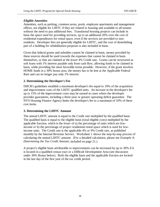#### *Eligible Amenities*

Amenities, such as parking, common areas, pools, employee apartments and management offices, are eligible for LIHTC if they are related to housing and available to all tenants without the need to pay additional fees. Transitional housing projects can include in basis the space used for providing services, up to an additional 20% over the cost of residential expenditures for rental space, even if the services are provided to nonresidents. Developer fees are generally eligible for LIHTC, and the cost of demolishing part of a building for rehabilitation purposes is also included in basis.

Given that federal grants and subsidies cannot be claimed in basis, money provided by these sources should be used towards the expenses that cannot be claimed in basis themselves, or that are claimed at the lower 4% Credit rate. Grants can be structured as soft loans with 1% interest payable only from cash flow, allowing funds to be claimed in basis, while providing the most favorable terms possible. However, if the grant involves HOME funds in a 30% bonus area, the money has to be lent at the Applicable Federal Rate and can no longer pay only 1% interest.

#### **2. Determining the Developer's Fee**

DHCR's guidelines establish a maximum developer's fee equal to 10% of the acquisition and improvement costs of the LIHTC qualified units. An increase in the developer's fee up to 15% of the improvement costs may be earned in cases where the developer provides guarantees, including a three-year or greater operating deficit guarantee. The NYS Housing Finance Agency limits the developer's fee to a maximum of 10% of these cost items.

#### **3. Determining the LIHTC Amount**

The annual LIHTC amount is equal to the Credit rate multiplied by the qualified basis. The qualified basis is equal to the eligible basis (total eligible costs) multiplied by the applicable fraction, which is the *lesser* of a) the percentage of units which are lowincome *or* b) the percentage of project residential rental space which is used for lowincome units. The Credit rate is the applicable 4% or 9% Credit rate, as published monthly by the Internal Revenue Service. Worksheet 1 shows the step-by-step process of calculating the annual LIHTC amount. (For a detailed calculation, please see *Example A: Determining the Tax Credit Amount*, included on page 21.)

A project's eligible basis attributable to improvements can be increased by up to 30% if it is located in a qualified census tract or a Difficult Development Area (see discussion under 30% Bonus below). Both the eligible basis and the applicable fraction are lockedin the last day of the first year of the tax credit period.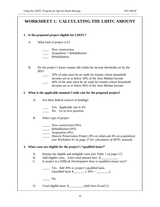# **WORKSHEET 1: CALCULATING THE LIHTC AMOUNT**

#### **1. Is the proposed project eligible for LIHTC?**

A. What kind of project is it?

| New construction               |
|--------------------------------|
| $Acquisition + Rehabilitation$ |

\_\_\_\_ Rehabilitation

- B. Do the project's future tenants fall within the income thresholds set by the IRS?
	- \_\_\_\_ 20% of units must be set aside for tenants whose household incomes are at or below 50% of the Area Median Income
	- \_\_\_\_ 40% of the units must be set aside for tenants whose household incomes are at or below 60% of the Area Median Income

#### **2. What is the applicable nominal Credit rate for the proposed project?**

A. Are there federal sources of funding?

**EXECUTE:** Yes. Applicable rate is 4%

\_\_\_\_ No. *Go to next question*.

B. Select type of project

- New construction (9%)
- **\_\_\_\_\_** Rehabilitation (9%)
- \_\_\_\_\_\_\_ Acquisition (4%)
	- \_\_\_\_\_ Historic Preservation Project (9% on rehab and 4% on acquisition) (*see Worksheet #2 on page 27 for calculation of HPTC amount*)

#### **3. What costs are eligible for the project's "qualified basis?"**

- A. Itemize the eligible and ineligible costs *(see Table 1 on page 17)*
- B. Add eligible costs. Enter total amount here \$
- C. Is project in a Difficult Development Area or qualified census tract?
	- \_\_\_\_\_ Yes. Add 30% to project's qualified basis. (Qualified basis  $\frac{\sqrt{30\%}}{2} =$   $\frac{\sqrt{30\%}}{2} =$   $\frac{\sqrt{30\%}}{2} =$   $\frac{\sqrt{30\%}}{2} =$

 $\overline{\phantom{a}}$  No.

D. Total eligible basis: \$\_\_\_\_\_\_\_\_\_ (*Add lines B and C)*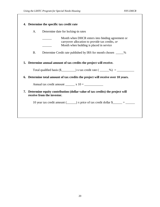| A.        | Determine date for locking-in rates                                                                                                             |  |  |  |  |  |
|-----------|-------------------------------------------------------------------------------------------------------------------------------------------------|--|--|--|--|--|
|           | Month when DHCR enters into binding agreement or<br>carryover allocation to provide tax credits, or<br>Month when building is placed in service |  |  |  |  |  |
| <b>B.</b> | Determine Credit rate published by IRS for month chosen ______%                                                                                 |  |  |  |  |  |
| 5.        | Determine annual amount of tax credits the project will receive.                                                                                |  |  |  |  |  |
|           | Total qualified basis $(\frac{5}{2}$ x tax credit rate $(\_\_\_\_$ / $\frac{1}{2}$                                                              |  |  |  |  |  |
| 6.        | Determine total amount of tax credits the project will receive over 10 years.                                                                   |  |  |  |  |  |
|           | Annual tax credit amount $\frac{\ }{}$ x 10 = $\frac{\ }{}$                                                                                     |  |  |  |  |  |
|           | 7. Determine equity contribution (dollar value of tax credits) the project will<br>receive from the investor.                                   |  |  |  |  |  |
|           | 10 year tax credit amount $(\_\_\_\)$ x price of tax credit dollar $\_{\_\_\_\_\}\ = \_\_\_\_\$                                                 |  |  |  |  |  |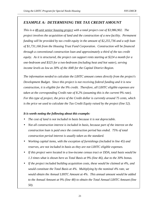### *EXAMPLE A: DETERMINING THE TAX CREDIT AMOUNT*

*This is a 48-unit senior housing project with a total project cost of \$3,986,902. The project involves the acquisition of land and the construction of a new facility. Permanent funding will be provided by tax credit equity in the amount of \$2,255,736 and a soft loan of \$1,731,166 from the Housing Trust Fund Corporation. Construction will be financed through a conventional construction loan and approximately a third of the tax credit equity. As it is structured, the project can support rents starting at \$224 a month for a one-bedroom and \$325 for a two-bedroom (including heat and hot water), serving income levels as low as 30% of the AMI for the Capital District Region.* 

*The information needed to calculate the LIHTC amount comes directly from the project's Development Budget. Since this project is not receiving federal funding and it is new construction, it is eligible for the 9% credit. Therefore, all LIHTC eligible expenses are taken at the corresponding Credit rate of 8.2% (assuming this is the current 9% rate). For this type of project, the price of the Credit dollar is currently around 75 cents, which is the price we used to calculate the Tax Credit Equity raised by the project (line 52).* 

#### *It is worth noting the following about this example:*

- *The cost of land is not included in basis because it is not depreciable.*
- *Not all construction interest is included in basis, because part of the interest on the construction loan is paid once the construction period has ended. 75% of total construction period interest is usually taken as the standard.*
- *Working capital items, with the exception of furnishings (included in line 45) and reserves, are not included in basis as they are not LIHTC eligible expenses.*
- *If this project were located in a low-income census tract or DDA, total basis would be 1.3 times what is shown here as Total Basis at 9% (line 46), due to the 30% bonus.*
- *If the project included building acquisition costs, these would be claimed at 4%, and would constitute the Total Basis at 4%. Multiplying by the nominal 4% rate, we would obtain the Annual LIHTC Amount at 4%. This annual amount would be added to the Annual Amount at 9% (line 48) to obtain the Total Annual LIHTC Amount (line 50).*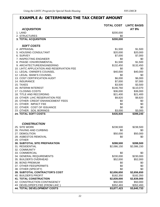# **EXAMPLE A: DETERMINING THE TAX CREDIT AMOUNT**

|                                           | <b>TOTAL COST</b> | <b>LIHTC BASIS</b> |
|-------------------------------------------|-------------------|--------------------|
| <b>ACQUISITION</b>                        |                   | AT 9%              |
| 1. LAND                                   | \$200,000         |                    |
| 2. STRUCTURES                             | \$0               |                    |
| <b>3. TOTAL ACQUISITION</b>               | \$200,000         |                    |
|                                           |                   |                    |
| <b>SOFT COSTS</b>                         |                   |                    |
| 4. APPRAISAL                              | \$1,500           | \$1,500            |
| 5. HOUSING CONSULTANT                     | \$20,000          | \$20,000           |
| 6. SURVEY                                 | \$7,000           | \$7,000            |
| 7. INSPECTING ENGINEER                    | \$0               | \$0                |
| 8. PHASE I ENVIRONMENTAL                  | \$1,500           | \$1,500            |
| 9. ARCHITECTURE/ENGINEERING               | \$132,450         | \$132,450          |
| 10. LIHTC APPLICATION AND RESERVATION FEE | \$0               | \$0                |
| 11. LEGAL: OWNER'S COUNSEL                | \$40,000          | \$40,000           |
| 12. LEGAL: BANK'S COUNSEL                 | \$0               | \$0                |
| 13. COST CERTIFICATION AUDIT              | \$6,000           | \$6,000            |
| 14. INSURANCE                             | \$7,000           | \$7,000            |
| 15. TAXES                                 | \$3,500           | \$3,500            |
| <b>16. INTERIM INTEREST</b>               | \$146,760         | \$110,070          |
| 17. CLOSING COSTS                         | \$36,000          | \$36,000           |
| 18. TITLE AND RECORDING                   | \$21,400          | \$21,400           |
| 19. OTHER: LIHC RESERVATION FEE           | \$9,820           | \$9,820            |
| 20. OTHER: CREDIT ENHANCEMENT FEES        | \$0               | \$0                |
| 21. OTHER: IMPACT FEE                     | \$0               | \$0                |
| 22. OTHER: COST OF ISSUANCE               | \$0               | \$0                |
| 23. OTHER: SOIL BORINGS                   | \$3,000           | \$3,000            |
| <b>24. TOTAL SOFT COSTS</b>               | \$435,930         | \$399,240          |
|                                           |                   |                    |
|                                           |                   |                    |
| <b>CONSTRUCTION</b>                       |                   |                    |
| 25. SITE WORK                             | \$238,500         | \$238,500          |
| 26. PAVING AND CURBING                    | \$0               | \$0                |
| 27. DEMOLITION                            | \$50,000          | \$50,000           |
| 28. ASBESTOS REMOVAL                      | \$0               | \$0                |
| 29. OTHER                                 |                   |                    |
| <b>30. SUBTOTAL SITE PREPARATION</b>      | \$288,500         | \$288,500          |
| 31. RESIDENTIAL                           | \$2,086,150       | \$2,086,150        |
| 32. COMMUNITY                             |                   |                    |
| 33. COMMERCIAL                            | \$0               | \$0                |
| 34. GENERAL REQUIREMENTS                  | \$230,000         | \$230,000          |
| 35. BUILDER'S OVERHEAD                    | \$52,000          | \$52,000           |
| 36. BOND PREMIUM                          | \$0               | \$0                |
| 37. OTHER FEES/PERMITS                    | \$0               | \$0                |
| 38. OTHER (SPECIFY)                       | \$0               | \$0                |
| <b>39. SUBTOTAL CONTRACTOR'S COST</b>     | \$2,656,650       | \$2,656,650        |
| 40. BUILDER'S PROFIT                      | \$182,350         | \$182,350          |
| <b>41. TOTAL CONSTRUCTION</b>             | \$2,839,000       | \$2,839,000        |
| 42. CONSTRUCTION CONTINGENCY              | \$50,000          | \$50,000           |
| 43. DEVELOPER'S FEE (FROM LIHC)           | \$352,493         | \$352,493          |
| <b>44. TOTAL DEVELOPMENT COSTS</b>        | \$3,877,423       | \$3,640,733        |
|                                           |                   |                    |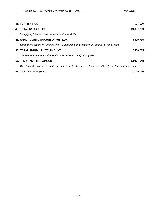| 45. FURNISHINGS                                                                                             | \$27,130    |  |
|-------------------------------------------------------------------------------------------------------------|-------------|--|
| 46. TOTAL BASIS AT 9%                                                                                       | \$3,667,863 |  |
| Multiplying total basis by the tax credit rate $(8.2\%)$ :                                                  |             |  |
| 48. ANNUAL LIHTC AMOUNT AT 9% (8.2%)                                                                        | \$300,765   |  |
| Since there are no 4% credits, line 48 is equal to the total annual amount of tax credits                   |             |  |
| <b>50. TOTAL ANNUAL LIHTC AMOUNT</b>                                                                        | \$300,765   |  |
| The ten year amount is the total annual amount multiplied by ten                                            |             |  |
| <b>51. TEN YEAR LIHTC AMOUNT</b>                                                                            | \$3,007,648 |  |
| We obtain the tax credit equity by multiplying by the price of the tax credit dollar, in this case 75 cents |             |  |
| <b>52. TAX CREDIT EQUITY</b>                                                                                | 2,255,736   |  |
|                                                                                                             |             |  |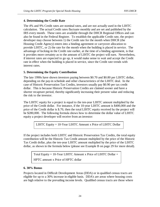#### **4. Determining the Credit Rate**

The 4% and 9% Credit rates are nominal rates, and are not actually used in the LIHTC calculation. The actual Credit rates fluctuate monthly and are set and published by the IRS every month. These rates are available through the DHCR Regional Offices and can also be found in the Federal Register. To establish the applicable Credit rate, the project developer may choose between 1) the Credit rate for the month when DHCR (the Housing Credit Agency) enters into a binding agreement or carryover allocation to provide LIHTC, or 2) the rate for the month when the building is placed in service. The advantage of locking-in the Credit rate earlier, at the time of a binding agreement, is that it provides more certainty as to the amount of LIHTC the project will earn. Nevertheless, if interest rates are expected to go up, it would make sense to wait and accept the Credit rate in effect when the building is placed in service, since the Credit rate trends with interest rates.

#### **5. Determining the Equity Contribution**

The late 1990s have shown investors paying between \$0.70 and \$0.80 per LIHTC dollar, depending on the pay-in schedule and other characteristics of the LIHTC deal. In the case of Historic Preservation Tax Credits, investors usually pay \$0.90 per tax credit dollar. This is because Historic Preservation Credits are claimed sooner and have a shorter recapture period, thereby significantly increasing their present value and reducing the risk to the investor.

The LIHTC equity for a project is equal to the ten-year LIHTC amount multiplied by the price of the Credit dollar. For instance, if the 10-year LIHTC amount is \$400,000 and the price of the Credit dollar is \$.70, then the total LIHTC equity received by the project will be \$280,000. The following formula shows how to determine the dollar value of LIHTC equity a project developer will receive from an investor:

LIHTC Equity = 10-Year LIHTC Amount x Price of LIHTC Dollar

If the project includes both LIHTC and Historic Preservation Tax Credits, the total equity contribution will be the Historic Tax Credit amount multiplied by the price of the Historic Tax Credit dollar, plus the ten-year LIHTC amount multiplied by the price of the LIHTC dollar, as shown in the formula below (please see Example B on page 29 for more detail).

Total Equity = 10-Year LIHTC Amount x Price of LIHTC Dollar + HPTC amount x Price of HPTC dollar

#### **6. 30% Bonus**

Projects located in Difficult Development Areas (DDA) or in qualified census tracts are eligible for up to a 30% increase in eligible basis. DDA's are areas where housing costs are high relative to the prevailing income levels. Qualified census tracts are those where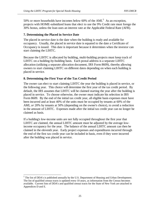50% or more households have incomes below 60% of the  $AMI$ <sup>5</sup>. As an exception, projects with HOME-subsidized loans that elect to use the 9% Credit rate must forego the 30% bonus, unless the loan uses an interest rate at the Applicable Federal Rate (AFR).

#### **7. Determining the Placed in Service Date**

The placed in service date is the date when the building is ready and available for occupancy. Usually, the placed in service date is equated to the date a Certificate of Occupancy is issued. This date is important because it determines when the investor can start claiming the LIHTC.

Because the LIHTC is allocated by building, multi-building projects must keep track of LIHTC on a building-by-building basis. Each postal address is a separate LIHTC allocation (utilizing a separate allocation document, IRS Form 8609), thereby allowing owners to start claiming LIHTC on different dates depending on when each building is placed in service.

#### **8. Determining the First Year of the Tax Credit Period**

 $\overline{a}$ 

The owner can elect to start claiming LIHTC the year the building is placed in service, or the following year. This choice will determine the first year of the tax credit period. By default, the IRS assumes that LIHTC will be claimed starting the year after the building is placed in service. To choose otherwise, the owner must indicate his selection in IRS Form 8609. By the end of the initial tax credit year, all eligible basis expenses must have been incurred and at least 40% of the units must be occupied by tenants at 60% of the AMI, *or* 20% by tenants at 50% (depending on the owner's choice), to avoid a reduction in the amount of LIHTC. Expenses made after the initial tax credit year can no longer be claimed as basis.

If a building's low-income units are not fully occupied throughout the first year that LIHTC are claimed, the annual LIHTC amount must be adjusted by the average lowincome occupancy for the year. The balance of the annual LIHTC amount can then be claimed in the eleventh year. Early project expenses and expenditures incurred through the end of the first tax credit year can be included in basis, even if they were incurred after the building was placed in service.

 $<sup>5</sup>$  The list of DDA's is published annually by the U.S. Department of Housing and Urban Development.</sup> The list of qualified census tracts is updated every 10 years, as information from the Census becomes available. Current lists of DDA's and qualified census tracts for the State of New York are attached in Appendices D and E.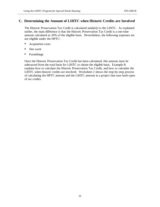#### **C. Determining the Amount of LIHTC when Historic Credits are Involved**

The Historic Preservation Tax Credit is calculated similarly to the LIHTC. As explained earlier, the main difference is that the Historic Preservation Tax Credit is a one-time amount calculated as 20% of the eligible basis. Nevertheless, the following expenses are not eligible under the HPTC:  $\ddot{\phantom{0}}$ 

- **Acquisition costs**
- **Site work**
- **Furnishings**

Once the Historic Preservation Tax Credit has been calculated, this amount must be subtracted from the total basis for LIHTC to obtain the eligible basis. Example B explains how to calculate the Historic Preservation Tax Credit, and how to calculate the LIHTC when historic credits are involved. Worksheet 2 shows the step-by-step process of calculating the HPTC amount and the LIHTC amount in a project that uses both types of tax credits.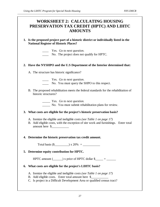# **WORKSHEET 2: CALCULATING HOUSING PRESERVATION TAX CREDIT (HPTC) AND LIHTC AMOUNTS**

**1. Is the proposed project part of a historic district or individually listed in the National Register of Historic Places?** 

Yes. *Go to next question*.

No. The project does not qualify for HPTC.

#### **2. Have the NYSHPO and the U.S Department of the Interior determined that:**

A. The structure has historic significance?

\_\_\_\_ Yes. *Go to next question*.

- No. You must query the SHPO to this respect.
- B. The proposed rehabilitation meets the federal standards for the rehabilitation of historic structures?

\_\_\_\_\_ Yes. *Go to next question.*

\_\_\_\_\_ No. You must submit rehabilitation plans for review.

#### **3. What costs are eligible for the project's historic preservation basis?**

- A. Itemize the eligible and ineligible costs *(see Table 1 on page 17)*
- B. Add eligible costs, with the exception of site work and furnishings. Enter total amount here \$\_\_\_\_\_\_\_\_\_\_\_

#### **4. Determine the historic preservation tax credit amount.**

Total basis  $(\$$   $) \times 20\% =$ 

#### **5. Determine equity contribution for HPTC.**

HPTC amount  $(\_\_\_\_)$  x price of HPTC dollar  $\frac{1}{2}$  =  $\_\_\_\_\_\_\_$ 

#### **6. What costs are eligible for the project's LIHTC basis?**

- A. Itemize the eligible and ineligible costs *(see Table 1 on page 17)*
- B. Add eligible costs. Enter total amount here \$
- C. Is project in a Difficult Development Area or qualified census tract?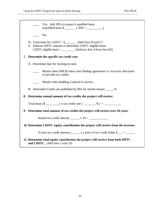| Yes. Add 30% to project's qualified basis.                                                                                                                                                       |  |  |  |  |
|--------------------------------------------------------------------------------------------------------------------------------------------------------------------------------------------------|--|--|--|--|
| No.                                                                                                                                                                                              |  |  |  |  |
| D. Total basis for LIHTC: \$__________ (Add lines B and C)<br>E. Subtract HPTC amount to determine LIHTC eligible basis:<br>LIHTC eligible basis = $\_\_\_\_\_\_$ (Subtract line 4 from line 6D) |  |  |  |  |
| 7. Determine the specific tax credit rate.                                                                                                                                                       |  |  |  |  |
| A. Determine date for locking-in rates                                                                                                                                                           |  |  |  |  |
| Month when DHCR enters into binding agreement or carryover allocation<br>to provide tax credits                                                                                                  |  |  |  |  |
| Month when building is placed in service                                                                                                                                                         |  |  |  |  |
| B. Determine Credit rate published by IRS for month chosen ______%                                                                                                                               |  |  |  |  |
| 8. Determine annual amount of tax credits the project will receive.                                                                                                                              |  |  |  |  |
|                                                                                                                                                                                                  |  |  |  |  |
| 9. Determine total amount of tax credits the project will receive over 10 years.                                                                                                                 |  |  |  |  |
| Annual tax credit amount $\frac{\ }{}$ x 10 = $\frac{\ }{}$                                                                                                                                      |  |  |  |  |
| 10. Determine LIHTC equity contribution the project will receive from the investor.                                                                                                              |  |  |  |  |
| 10 year tax credit amount $(\_\_\_\_)$ x price of tax credit dollar $\_{\_\_\_} = \_\_\_\_\_$                                                                                                    |  |  |  |  |
| 11. Determine total equity contribution the project will receive from both HPTC<br>and LIHTC. (Add lines $5$ and $10$ )                                                                          |  |  |  |  |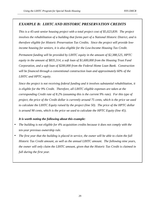#### *EXAMPLE B: LIHTC AND HISTORIC PRESERVATION CREDITS*

*This is a 45-unit senior housing project with a total project cost of \$5,023,839. The project involves the rehabilitation of a building that forms part of a National Historic District, and is therefore eligible for Historic Preservation Tax Credits. Since the project will provide lowincome housing for seniors, it is also eligible for the Low-Income Housing Tax Credit.* 

*Permanent funding will be provided by LIHTC equity in the amount of \$2,388,525, HPTC equity in the amount of \$835,314, a soft loan of \$1,600,000 from the Housing Trust Fund Corporation, and a soft loan of \$200,000 from the Federal Home Loan Bank. Construction will be financed through a conventional construction loan and approximately 60% of the LIHTC and HPTC equity.* 

*Since the project is not receiving federal funding and it involves substantial rehabilitation, it is eligible for the 9% Credit. Therefore, all LIHTC eligible expenses are taken at the corresponding Credit rate of 8.2% (assuming this is the current 9% rate). For this type of project, the price of the Credit dollar is currently around 75 cents, which is the price we used to calculate the LIHTC Equity raised by the project (line 50). The price of the HPTC dollar is around 90 cents, which is the price we used to calculate the HPTC Equity (line 45).* 

#### *It is worth noting the following about this example:*

- *The building is not eligible for 4% acquisition credits because it does not comply with the ten-year previous ownership rule.*
- *The first year that the building is placed in service, the owner will be able to claim the full Historic Tax Credit amount, as well as the annual LIHTC amount. The following nine years, the owner will only claim the LIHTC amount, given that the Historic Tax Credit is claimed in full during the first year.*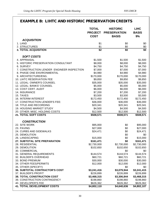# **EXAMPLE B: LIHTC AND HISTORIC PRESERVATION CREDITS**

|                                            | <b>TOTAL</b><br><b>PROJECT</b><br><b>COST</b> | <b>HISTORIC</b><br><b>PRESERVATION</b><br><b>BASIS</b> | <b>LIHC</b><br><b>BASIS</b><br>9% |
|--------------------------------------------|-----------------------------------------------|--------------------------------------------------------|-----------------------------------|
| <b>ACQUISITION</b>                         |                                               |                                                        |                                   |
| 1. LAND                                    | \$1                                           | \$0                                                    | \$0                               |
| 2. STRUCTURES                              | \$1<br>$\sqrt{2}$                             | \$0<br>\$0                                             | \$0<br>\$0                        |
| <b>3. TOTAL ACQUISITION</b>                |                                               |                                                        |                                   |
| <b>SOFT COSTS</b>                          |                                               |                                                        |                                   |
| 4. APPRAISAL                               | \$1,500                                       | \$1,500                                                | \$1,500                           |
| 5. HISTORIC PRESERVATION CONSULTANT        | \$8,000                                       | \$8,000                                                | \$8,000                           |
| 6. SURVEY                                  | \$4,750                                       | \$4,750                                                | \$4,750                           |
| 7. CONSTRUCTION LENDER ENGINEER INSPECTION | \$7,000                                       | \$7,000                                                | \$7,000                           |
| 8. PHASE ONE ENVIRONMENTAL                 | \$4,980                                       | \$4,980                                                | \$4,980                           |
| 9. ARCHITECTURE/ENG.                       | \$170,000                                     | \$170,000                                              | \$170,000                         |
| 10. LIHTC RESERVATION FEE                  | \$9,850                                       | \$9,850                                                | \$9,850                           |
| 11. LEGAL: OWNER'S COUNSEL                 | \$35,000                                      | \$35,000                                               | \$35,000                          |
| 12. LEGAL: BANKS' COUNSEL                  | \$5,000                                       | \$5,000                                                | \$5,000                           |
| 13. COST CERT. AUDIT                       | \$6,000                                       | \$6,000                                                | \$6,000                           |
| 14. INSURANCE                              | \$7,200                                       | \$7,200                                                | \$7,200                           |
| 15. TAXES                                  | \$3,500                                       | \$3,500                                                | \$3,500                           |
| <b>16. INTERIM INTEREST</b>                | \$172,450                                     | \$172,450                                              | \$172,450                         |
| 17. CONSTRUCTION LENDER'S FEE:             | \$36,000                                      | \$36,000                                               | \$36,000                          |
| 18. TITLE AND RECORDING                    | \$20,341                                      | \$20,341                                               | \$20,341                          |
| <b>19. HOUSING MARKET STUDY</b>            | \$4,500                                       | \$4,500                                                | \$4,500                           |
| 20. OTHER: MISC. HOLDING COSTS             | \$12,500                                      | \$12,500                                               | \$12,500                          |
| 21. TOTAL SOFT COSTS                       | \$508,571                                     | \$508,571                                              | \$508,571                         |
|                                            |                                               |                                                        |                                   |
| <b>CONSTRUCTION</b>                        |                                               |                                                        |                                   |
| 22. SITE WORK                              | \$95,000                                      | \$0                                                    | \$95,000                          |
| 23. PAVING                                 | \$27,000                                      | \$0                                                    | \$27,000                          |
| 24. CURBS AND SIDEWALKS                    | \$24,471                                      | \$0                                                    | \$24,471                          |
| 25. DEMOLITION                             |                                               | \$0                                                    | \$0                               |
| 26. LANDSCAPING                            | \$15,000                                      | \$0                                                    | \$15,000                          |
| 27. SUBTOTAL SITE PREPARATION              | \$161,471                                     | \$0                                                    | \$161,471                         |
| 28. RESIDENTIAL                            | \$2,730,000                                   | \$2,730,000                                            | \$2,730,000                       |
| 29. DEMOLITION                             | \$102,650                                     | \$102,650                                              | \$102,650                         |
| 30. COMMERCIAL                             |                                               | \$0                                                    | \$0                               |
| 31. GENERAL REQUIREMENTS                   | \$144,574                                     | \$144,574                                              | \$144,574                         |
| 32. BUILDER'S OVERHEAD                     | \$60,721                                      | \$60,721                                               | \$60,721                          |
| 33. BOND PREMIUM                           | \$30,000                                      | \$30,000                                               | \$30,000                          |
| 34. OTHER FEES/PERMITS                     | \$12,000                                      | \$12,000                                               | \$12,000                          |
| 35. OTHER (SPECIFY)                        |                                               | \$0                                                    | \$0                               |
| 36. SUBTOTAL CONTRACTOR'S COST             | \$3,241,416                                   | \$3,079,944                                            | \$3,241,415                       |
| 37. BUILDER'S PROFIT                       | \$226,899                                     | \$226,899                                              | \$226,899                         |
| <b>38. TOTAL CONSTRUCTION COST</b>         | \$3,468,315                                   | \$3,306,844                                            | \$3,468,315                       |
| 39. CONSTRUCTION CONTINGENCY               | \$198,860                                     | \$198,860                                              | \$198,860                         |
| 40. DEVELOPER'S FEE                        | \$626,362                                     | \$626,362                                              | \$626,362                         |
| <b>41. TOTAL DEVELOPMENT COSTS</b>         | \$4,802,110                                   | \$4,640,636                                            | \$4,802,107                       |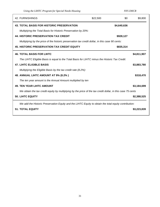*Using the LIHTC Program for Special Needs Housing* MYS DHCR

| 42. FURNISHINGS                                                                                             | \$22,500 | \$0         | \$9,800     |
|-------------------------------------------------------------------------------------------------------------|----------|-------------|-------------|
| <b>43. TOTAL BASIS FOR HISTORIC PRESERVATION</b>                                                            |          | \$4,640,636 |             |
| Multiplying the Total Basis for Historic Preservation by 20%:                                               |          |             |             |
| <b>44. HISTORIC PRESERVATION TAX CREDIT</b>                                                                 |          | \$928,127   |             |
| Multiplying by the price of the historic preservation tax credit dollar, in this case 90 cents:             |          |             |             |
| <b>45. HISTORIC PRESERVATION TAX CREDIT EQUITY</b>                                                          |          | \$835,314   |             |
| <b>46. TOTAL BASIS FOR LIHTC</b>                                                                            |          |             | \$4,811,907 |
| The LIHTC Eligible Basis is equal to the Total Basis for LIHTC minus the Historic Tax Credit:               |          |             |             |
| <b>47. LIHTC ELIGIBLE BASIS</b>                                                                             |          |             | \$3,883,780 |
| Multiplying the Eligible Basis by the tax credit rate (8.2%):                                               |          |             |             |
| 48. ANNUAL LIHTC AMOUNT AT 9% (8.2%)                                                                        |          |             | \$318,470   |
| The ten year amount is the Annual Amount multiplied by ten                                                  |          |             |             |
| <b>49. TEN YEAR LIHTC AMOUNT</b>                                                                            |          |             | \$3,184,699 |
| We obtain the tax credit equity by multiplying by the price of the tax credit dollar, in this case 75 cents |          |             |             |
| <b>50. LIHTC EQUITY</b>                                                                                     |          |             | \$2,388,525 |
| We add the Historic Preservation Equity and the LIHTC Equity to obtain the total equity contribution:       |          |             |             |
| <b>51. TOTAL EQUITY</b>                                                                                     |          |             | \$3,223,839 |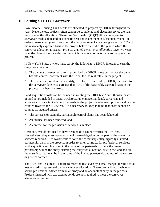### **D. Earning a LIHTC Carryover**

Low-Income Housing Tax Credits are allocated to projects by DHCR throughout the year. Nevertheless, projects often cannot be completed and placed in service the year they receive the allocation. Therefore, Section  $42(h)(1)(E)$  allows taxpayers to *carryover* credits allocated in a specific year and claim them in subsequent years. In order to earn a *carryover allocation*, the taxpayer must incur costs greater than 10% of the reasonably expected basis in the project before the end of the year in which the carryover allocation is issued. Projects granted a *carryover allocation* have two years from the close of the calendar year in which the allocation was made to complete the project.

In New York State, owners must certify the following to DHCR, in order to earn the carryover allocation:

- 1. The owner's attorney, on a form proscribed by DHCR, must certify that the owner has site control, consistent with the Code, for the real estate in the project.
- 2. The owner's accountant must certify, on a form proscribed by DHCR, that prior to the carryover date, costs greater than 10% of the reasonably expected basis in the project have been incurred.

Land acquisition costs can be included in meeting the "10% test," even though the cost of land is not included in basis. Architectural, engineering, legal, surveying and appraisal costs are typically incurred early in the project development process and can be counted towards the "10% test." It is necessary to keep in mind that costs cannot be counted as incurred unless:  $\ddot{\phantom{0}}$ 

- The service (for example, partial architectural plans) has been delivered,
- An invoice has been rendered, and
- A contract for the provision of services is in place.

Costs incurred do not need to have been paid to count towards the 10% test. Nevertheless, they must represent a legitimate obligation on the part of the owner for services rendered. It is worthwhile to form the ownership entity, typically a limited partnership, early in the process, in order to enter contracts for professional services, land acquisition and financing in the name of the partnership. Since the limited partnership will be the entity claiming the carryover allocation, title to the land and all the costs incurred must be in the name of the limited partnership and not of the sponsor or general partner.

The "10% test" is a must. Failure to meet the test, even by a small margin, means a total loss of credits represented by the carryover allocation. Therefore, it is worthwhile to secure professional advice from an attorney and an accountant early in the process. Projects financed with tax-exempt bonds are not required to meet the carryover allocation requirements.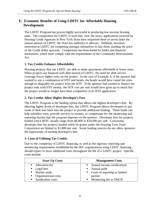### **E. Economic Benefits of Using LIHTC for Affordable Housing Development**

The LIHTC Program has proven highly successful in producing low-income housing units. The competition for LIHTC is such that, over the years, applications received by Housing Credit Agencies in New York State have requested three to seven times the annual amount of LIHTC the State has authority to allocate. Similarly, investors interested in LIHTC are competing amongst themselves to buy them, pushing the price of the Credit dollar upwards. Competition has been fueled by banks and financial institutions, which must comply with the requirements of the Community Reinvestment Act.

### **1. Tax Credits Enhance Affordability**

Housing projects that use LIHTC are able to make apartments affordable at lower rents. When projects are financed with debt instead of LIHTC, the need for debt service coverage forces higher rents on the project. In the case of Example A, if the sponsor had wanted to use a combination of HTF and bonds, the bonds would have raised the rents enough to disqualify the project from the HTF. If the sponsor had wanted to finance the project only with HTF money, the HTF cost per unit would have gone up so much that the project would no longer have been competitive in its HTF application.

### **2. Tax Credits Allow Higher Developer's Fees**

The LIHTC Program is the funding option that allows the highest developer's fees. By allowing higher levels of developer fees, the LIHTC Program allows developers to put some of their fees back into the project to provide additional funding. These funds can help subsidize rents, provide services to tenants, or compensate for the monitoring and reporting burden that the program imposes on the sponsor. Developer fees for projects funded with LIHTC usually range from \$8,000 to \$10,000 per unit. Conversely, developer fees for projects funded solely by grants under the Housing Trust Fund Corporation are limited to \$1,800 per unit. Some funding sources do not allow sponsors the opportunity of earning developer's fees.

### **3. Costs of Utilizing Tax Credits**

Due to the complexity of LIHTC financing, as well as the rigorous reporting and monitoring requirements established by the IRS, organizations using LIHTC financing should expect to incur additional costs throughout the life of a LIHTC project. Specific costs include:

| <b>Start-Up Costs</b>     | <b>Management Costs</b>         |
|---------------------------|---------------------------------|
| • Allocation fee          | • Annual income certifications  |
| $\blacksquare$ Legal fees | • Annual audit                  |
| • Market study            | • Costs of reporting to limited |
| • Organizational costs    | partner                         |
| • Syndication costs       | • Monitoring fee to DHCR        |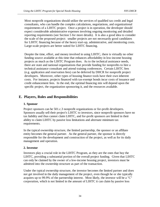Most nonprofit organizations should utilize the services of qualified tax credit and legal consultants, who can handle the complex calculations, negotiations, and organizational requirements of a LIHTC project. Once a project is in operation, the developer should expect considerable administrative expenses involving ongoing monitoring and detailed reporting requirements (see Section 5 for more details). It is also a good idea to consider the scale of the proposed project: smaller projects are not necessarily good candidates for LIHTC financing because of the heavy start-up, administrative, and monitoring costs. Large-scale projects are better suited for LIHTC financing.

Despite the time, effort, and money involved in using LIHTC, there is virtually no other funding source available at this time that enhances affordability in low-income housing projects as much as the LIHTC Program does. As to the technical assistance needs, there are state and national organizations that provide funding for nonprofits to hire a technical assistance consultant and attend training conferences. Certain LIHTC fees (e.g. application and reservation fees) can be deferred by DHCR for nonprofit project developers. Moreover, other types of housing finance tools have their own inherent costs. For instance, projects financed with tax-exempt bonds incur costs of issuance and credit enhancement fees. In the end, the optimal financing mix will depend upon the specific project, the organization sponsoring it, and the resources available.

### **E. Players, Roles and Responsibilities**

### **1. Sponsor**

Project sponsors can be 501.c.3 nonprofit organizations or for-profit developers. Sponsors usually sell their project's LIHTC to investors, since nonprofit sponsors have no tax liability and thus cannot claim LIHTC, and for-profit sponsors are limited in their ability to claim LIHTC by passive loss limitations and alternate minimum tax requirements.

In the typical ownership structure, the limited partnership, the sponsor or an affiliate entity becomes the general partner. As the general partner, the sponsor is directly responsible for the development and construction of the project, as well as for its daily management and operation.

### **2. Investor**

Investors play a crucial role in the LIHTC Program, as they are the ones that buy the LIHTC, providing a substantial portion of the overall project funding. Given that LIHTC can only be claimed by the owner of a low-income housing project, investors must be admitted into the ownership structure as part of the transaction.

Under the typical ownership structure, the investor becomes the limited partner and does not get involved in the daily management of the project, even though he or she typically acquires up to 99.9% of the partnership interest. Most likely, the investor will be a "C" corporation, which is not limited in the amount of LIHTC it can claim by passive loss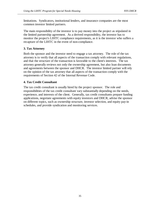limitations. Syndicators, institutional lenders, and insurance companies are the most common investor limited partners.

The main responsibility of the investor is to pay money into the project as stipulated in the limited partnership agreement. As a derived responsibility, the investor has to monitor the project's LIHTC compliance requirements, as it is the investor who suffers a recapture of the LIHTC in the event of non-compliance.

### **3. Tax Attorney**

Both the sponsor and the investor need to engage a tax attorney. The role of the tax attorney is to verify that all aspects of the transaction comply with relevant regulations, and that the structure of the transaction is favorable to the client's interests. The tax attorney generally reviews not only the ownership agreement, but also loan documents and agreements between the sponsor and DHCR. The investor limited partner will rely on the opinion of the tax attorney that all aspects of the transaction comply with the requirements of Section 42 of the Internal Revenue Code.

### **4. Tax Credit Consultant**

The tax credit consultant is usually hired by the project sponsor. The role and responsibilities of the tax credit consultant vary substantially depending on the needs, experience, and interests of the client. Generally, tax credit consultants prepare funding applications, negotiate agreements with equity investors and DHCR, advise the sponsor on different topics, such as ownership structure, investor selection, and equity pay-in schedules, and provide syndication and monitoring services.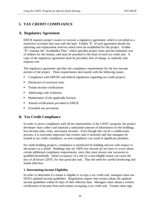## **5. TAX CREDIT COMPLIANCE**

### **A. Regulatory Agreement**

DHCR requires project owners to execute a regulatory agreement, which is recorded as a restrictive covenant that runs with the land. Exhibit "E" of such agreement details the operating and replacement reserves which must be established for the project. Exhibit "D" contains the "Availability Plan," which specifies project rents and the estimated cost of utilities for the tenants, and must be attached to the lease of each tax credit unit. A copy of the regulatory agreement must be provided, free of charge, to anybody who requests one.

The regulatory agreement specifies the compliance requirements for the low-income portion of the project. These requirements deal mainly with the following issues:  $\mathbf{r}$ 

- Compliance with DHCR's and federal regulations regarding tax credit projects
- Disclosure of restricted rents
- Tenant income certifications
- Addressing code violations
- **Maintenance of the applicable fraction**
- **Annual certifications provided to DHCR**
- **Extended use provisions**

### **B. Tax Credit Compliance**

In order to prove compliance with all the requirements of the LIHTC program, the project developer must collect and maintain a substantial amount of information on the buildings, low-income units, rents, and tenant incomes. Even though this can be a cumbersome process, it is extremely important that owners take it seriously and that managers be trained in tax credit compliance, as non-compliance can result in significant penalties.

For multi-building projects, compliance is monitored by building and not with respect to the project as a whole. Buildings that are 100% low income do not have to worry about certain additional compliance requirements, since they must always rent vacancies to qualified households. Initial occupancy of a unit by a non-eligible tenant can cause the loss of all future LIHTC for that particular unit. Thus the need for careful monitoring and tenant selection.

### **1. Determining Income Eligibility**

In order to determine if a tenant is eligible to occupy a tax credit unit, managers must use HUD's updated income guidelines. Regulations require that owners adopt the updated income guidelines within 45 days of their effective date. Managers must obtain a written certification of income from each tenant occupying a tax credit unit. Tenants must sign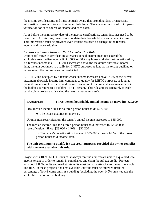the income certifications, and must be made aware that providing false or inaccurate information is grounds for eviction under their lease. The manager must seek third party verification for each source of income and each asset.

At or before the anniversary date of the income certifications, tenant incomes need to be recertified. At this time, tenants must update their household size and annual income. This information must be provided even if there has been no change in the tenant's income and household size.

### *Increases in Tenant Income: Next Available Unit Rule*

Upon initial move-in certification, a tenant's annual income must not exceed the applicable area median income limit (50% or 60%) by household size. At recertification, if a tenant's income in a LIHTC unit increases above the maximum allowable income limit, the unit continues to qualify for LIHTC purposes as long as the tenant qualified on move-in *and* the unit remains rent restricted.

A LIHTC unit occupied by a tenant whose income increases above 140% of the current maximum allowable income limit continues to qualify for LIHTC purposes, as long as the unit remains rent restricted and the next vacant unit of comparable or smaller size in the building is rented to a qualified LIHTC tenant. This rule applies separately to each building in a project and is called the *next available unit rule*.

### **EXAMPLE: Three-person household, annual income on move-in: \$20,000**

60% median income limit for a three-person household: \$22,500

 $\Rightarrow$  The tenant qualifies on move-in.

Upon annual recertification, the tenant's annual income increases to \$35,000.

The median income limit for a three-person household increased to \$23,000 at recertification. Since  $$23,000 \times 140\% = $32,200$ 

 $\Rightarrow$  The tenant's recertification income of \$35,000 exceeds 140% of the threeperson household income limit.

**The unit continues to qualify for tax credit purposes provided the owner complies with the next available unit rule.** 

Projects with 100% LIHTC units must always rent the next vacant unit to a qualified lowincome tenant in order to remain in compliance and claim the full tax credit. Projects with both LIHTC units and market rate units must be more attentive to the next available unit rule. In these projects, the next available unit rule must be followed until the percentage of low-income units in a building (excluding the over 140% units) equals the applicable fraction of the building.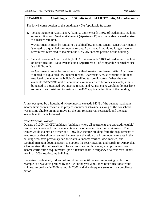### **EXAMPLE A building with 100 units total: 40 LIHTC units, 60 market units**

The low-income portion of the building is 40% (applicable fraction)

1. Tenant income in Apartment A (LIHTC unit) exceeds 140% of median income limit on recertification. Next available unit (Apartment B) of comparable or smaller size is a market rate unit.

 $\Rightarrow$  Apartment B must be rented to a qualified low-income tenant. Once Apartment B is rented to a qualified low-income tenant, Apartment A would no longer have to remain rent restricted to maintain the 40% low-income portion of the building.

2. Tenant income in Apartment A (LIHTC unit) exceeds 140% of median income limit on recertification. Next available unit (Apartment C) of comparable or smaller size is a LIHTC unit.

 $\Rightarrow$  Apartment C must be rented to a qualified low-income tenant. After Apartment C is rented to a qualified low-income tenant, Apartment A must continue to be rent restricted to maintain the building's qualified tax credit status. When the next available *market rate* unit of comparable or smaller size becomes available, it must be rented to a qualified low-income tenant, and Apartment A would no longer have to remain rent restricted to maintain the 40% applicable fraction of the building.

A unit occupied by a household whose income exceeds 140% of the current maximum income limit counts towards the project's minimum set-aside, as long as the household was income eligible on initial move-in, the unit remains rent restricted, and the next available unit rule is followed.

### *Recertification Waiver*

Owners of 100% LIHTC buildings (buildings where all apartments are tax credit eligible) can request a waiver from the annual tenant income recertification requirement. The waiver would exempt an owner of a 100% low-income building from the requirements to keep records that show an annual income recertification of all low-income tenants in the building who have previously had their annual income verified, documented, and certified; maintain documentation to support the recertification; and certify to DHCR that it has received this information. The waiver does not, however, exempt owners from income certification requirements upon a tenant's initial occupancy of a residential rental unit in a 100% low-income building.

If a waiver is obtained, it does not go into effect until the next monitoring cycle. For example, if a waiver is granted by the IRS in the year 2000, then recertifications would still need to be done in 2000 but not in 2001 and all subsequent years of the compliance period.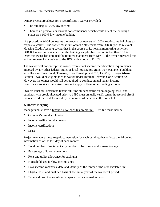DHCR procedure allows for a recertification waiver provided: r<br>-

- The building is 100% low-income
- There is no previous or current non-compliance which would affect the building's status as a 100% low-income building

IRS procedure 94-64 delineates the process for owners of 100% low-income buildings to request a waiver. The owner must first obtain a statement from DHCR (or the relevant Housing Credit Agency) saying that in the course of its normal monitoring activities, DHCR has seen no evidence that the building's applicable fraction is less than 100%. Once the owner has obtained the required statement from DHCR, the owner may send the written request for a waiver to the IRS, with a copy to DHCR.

The waiver will not exempt the owner from tenant income recertification requirements imposed by any other federal, state, or local housing program. For example, a building with Housing Trust Fund, Turnkey, Rural Development 515, HOME, or project-based Section 8 would be eligible for the waiver under Internal Revenue Code Section 42. However, the owner would still be required to conduct annual tenant income recertifications since the waiver does not apply to these other funding sources.

Owners must still determine tenant full-time student status on an ongoing basis, and buildings with credit allocated prior to 1990 must annually verify tenant household size if the restricted rent is determined by the number of persons in the household.

### **2. Record Keeping**

Managers must have a tenant file for each tax credit unit. This file must include:  $\ddot{\phantom{0}}$ 

- Occupant's rental application
- Income verification documents
- Income certifications
- Lease

Project managers must keep <u>documentation for each building</u> that reflects the following information as of the last day of each month: <u>"</u>

- Total number of rental units by number of bedrooms and square footage
- **Percentage of low-income units**
- Rent and utility allowance for each unit
- Household size for low-income units
- Low-income vacancies, date and identity of the renter of the next available unit
- Eligible basis and qualified basis at the initial year of the tax credit period
- Type and use of non-residential space that is claimed in basis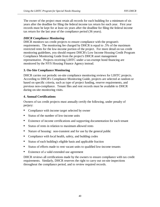The owner of the project must retain all records for each building for a minimum of six years after the deadline for filing the federal income tax return for each year. First year records must be kept for at least six years after the deadline for filing the federal income tax return for the last year of the compliance period (36 years).

### *DHCR Compliance Monitoring*

DHCR monitors tax credit projects to ensure compliance with the program's requirements. The monitoring fee charged by DHCR is equal to .5% of the maximum restricted rents for the low-income portion of the project. For more detail on tax credit monitoring guidelines, you should request DHCR's Low Income Housing Credit Program Compliance Monitoring Guide from the project's DHCR asset management representative. Projects receiving LIHTC under a tax-exempt bond financing are monitored by the NYS Housing Finance Agency instead.

### **3. On-Site Compliance Monitoring**

DHCR carries out periodic on-site compliance monitoring reviews for LIHTC projects. According to DHCR's Compliance Monitoring Guide, projects are selected at random or based on specific criteria, such as type of project funding, reserve requirements, and previous non-compliance. Tenant files and rent records must be available to DHCR during on-site monitoring visits.

### **4. Annual Certifications**

Owners of tax credit projects must annually certify the following, under penalty of perjury:  $\mathbf{r}$ 

- Compliance with income target selected by owner
- Status of the number of low-income units
- $\blacksquare$ Existence of income certifications and supporting documentation for each tenant
- Status of rents in relation to maximum allowed rents
- Nature of housing: non-transient and for use by the general public
- **Compliance with local health, safety, and building codes**
- Status of each building's eligible basis and applicable fraction
- Status of efforts made to rent vacant units to qualified low-income tenants
- Existence of a valid extended use agreement

DHCR reviews all certifications made by the owners to ensure compliance with tax credit requirements. Similarly, DHCR reserves the right to carry out on-site inspections throughout the compliance period, and to review required records.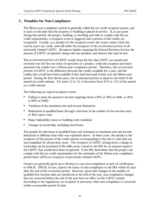### **C. Penalties for Non-Compliance**

The fifteen-year compliance period is generally called the tax credit recapture period, and it starts on the date that the property or building is placed in service. If, at any point during that period, the project, building, or dwelling unit fails to comply with the tax credit requirements, a recapture event is triggered and a portion of the credits are recaptured. Usually, as a penalty for the recapture event, the owner cannot claim the current year's tax credit, and will suffer the recapture of the *accelerated portion* of all previously claimed LIHTC. Recapture implies repaying the Internal Revenue Service the amount of LIHTC recaptured, along with any penalties and interest that may be due.

The *accelerated portion* of LIHTC results from the fact that LIHTC are earned and received over the first ten years of operation of a project, while the recapture provision amortizes the credits over a fifteen-year compliance period. Therefore, this *accelerated portion* of LIHTC is the difference between the credits available for a year, and the credits that would have been available if they had been paid evenly over the fifteen-year period. During the first eleven years, the accelerated portion is equal to one third of the annual tax credit amount. For years 12 to 15, it decreases from 4/15 to 1/15 of the annual tax credit amount.

The following are typical recapture events: Î

- Failing to meet the sponsor's income targeting choice (20% at 50% of AMI, *or* 40% at 60% of AMI)
- Violation of the maximum rent and income limitations
- Reductions in qualified basis through a decrease in the number of low-income units or floor space ratio
- Major habitability issues or building code violations
- Changes in ownership, including foreclosure

The penalty for decreases in qualified basis and violations to maximum rent and income limitations is different than what was explained above. In these cases, the penalty is the recapture of the portion of the credit amount corresponding to the unit or units that are non-compliant for all previous years. The recapture of LIHTC arising from a change in ownership can be prevented if the seller posts a bond to the IRS for an amount equal to the LIHTC that would have been recaptured. If the IRS determines that the project can comply with the tax credit requirements for the remainder of the fifteen-year compliance period there will be no recapture of previously claimed LIHTC.

Owners are generally given up to 90 days to cure non-compliance or lack of certification to DHCR. DHCR, in turn, reports the status of non-compliance to the IRS within 45 days after the end of the correction period. However, given that changes in the number of qualified low-income units are monitored at the end of the year, non-compliance changes that are corrected before the end of the year have no effect on the LIHTC earned. According to the regulations, no recapture is necessary when non-compliance is corrected within a reasonable period of time.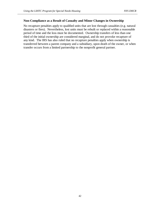#### **Non-Compliance as a Result of Casualty and Minor Changes in Ownership**

No recapture penalties apply to qualified units that are lost through casualties (e.g. natural disasters or fires). Nevertheless, lost units must be rebuilt or replaced within a reasonable period of time and the loss must be documented. Ownership transfers of less than one third of the initial ownership are considered marginal, and do not provoke recapture of any kind. The IRS has also ruled that no recapture penalties apply when ownership is transferred between a parent company and a subsidiary, upon death of the owner, or when transfer occurs from a limited partnership to the nonprofit general partner.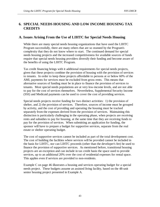## **6. SPECIAL NEEDS HOUSING AND LOW INCOME HOUSING TAX CREDITS**

### **A. Issues Arising From the Use of LIHTC for Special Needs Housing**

While there are many special needs housing organizations that have used the LIHTC Program successfully, there are many others that are so stunned by the Program's complexity that they do not know where to start. The continued demand for special needs housing projects and the increased competitiveness for available sources of funds require that special needs housing providers diversify their funding and become aware of the benefits of using the LIHTC Program.

Tax credit financing brings with it additional requirements for special needs projects, given that these projects combine the provision of housing with the provision of services to tenants. In order to keep these projects affordable to persons at or below 60% of the AMI, payments for services must be excluded from gross rents. This means that alternative sources of funding must be in place to finance the provision of services to tenants. Most special needs populations are at very low-income levels, and are not able to pay for the cost of services themselves. Nevertheless, Supplemental Security Income (SSI) and Medicaid payments can be used to cover the cost of providing services.

Special needs projects receive funding for two distinct activities: 1) the provision of shelter, and 2) the provision of services. Therefore, sources of income must be grouped by activity, and the cost of providing and operating the housing must be tracked separately from the expenses derived from the provision of services. Maintaining this distinction is particularly challenging in the operating phase, when projects are receiving rents and subsidies to pay for housing, at the same time that they are receiving funds to pay for the provision of services. When submitting an application for funding, the sponsor will have to prepare a budget for supportive services, separate from the real estate or shelter operating budget.

The cost of supportive services cannot be included as part of the total development cost. The cost of building the facilities where services will be provided cannot be included in the basis for LIHTC, nor can LIHTC proceeds (other than the developer's fee) be used to finance the provision of supportive services. As mentioned before, transitional housing projects are an exception and can include in tax credit basis the space used to provide services, up to an additional 20% over the cost of residential expenses for rental space. This applies even if services are provided to non-residents.

Example C on page 46 illustrates a housing and services operating budget for a special needs project. These budgets assume an assisted living facility, based on the 48-unit senior housing project presented in Example A.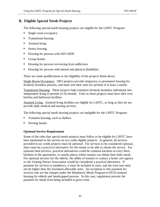### **B. Eligible Special Needs Projects**

The following special needs housing projects are eligible for the LIHTC Program:

- Î **Single room occupancy**
- **Transitional housing**
- **Assisted living**
- **Senior housing**
- Housing for persons with HIV/AIDS
- Group homes
- Housing for persons recovering from addictions
- Housing for persons with mental and physical disabilities

There are some qualifications to the eligibility of the projects listed above:

Single Room Occupancy. SRO projects provide temporary or permanent housing for formerly homeless persons, and must rent their units for periods of at least a month.

Transitional Housing. These projects help transition formerly homeless individuals into independent living in periods of 24 months. Units in these projects must have their own kitchen and bathroom facilities.

Assisted Living. Assisted living facilities are eligible for LIHTC, as long as they do not provide daily medical and nursing services.

The following special needs housing projects are ineligible for the LIHTC Program: Î

- Transient housing, such as shelters
- Nursing homes

### **Optional Service Requirement**

Some of the rules that special needs projects must follow to be eligible for LIHTC have been mentioned in the section on tax credit eligible projects. In general, all services provided in tax credit projects must be *optional*. For services to be considered optional, there must be a *practical alternative* for the tenant to be able to obtain the service. For optional meal services, practical alternatives could be common kitchens in every floor, kitchens in the apartments, or nearby places where tenants can obtain their daily meals. For optional services for the elderly, the ability of tenants to contact a home care agency or the Visiting Nurses Association would be considered a practical alternative. If payment for services is mandatory, it must be included in rents, and the total rent must not be higher than the maximum allowable rents. An exception to this payment for services rule are the charges under the Mandatory Meals Program in HUD-assisted housing for elderly and handicapped persons. In this case, regulations prevent the payment for meals from being included in gross rents.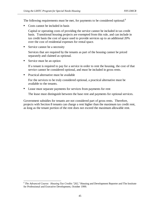The following requirements must be met, for payments to be considered optional:<sup>6</sup> Î

Costs cannot be included in basis

Capital or operating costs of providing the service cannot be included in tax credit basis. Transitional housing projects are exempted from this rule, and can include in tax credit basis the cost of space used to provide services up to an additional 20% over the cost of residential expenses for rental space.

■ Service cannot be a necessity

Services that are required by the tenants as part of the housing cannot be priced separately and claimed as optional.

Service must be an option

If a tenant is required to pay for a service in order to rent the housing, the cost of that service cannot be considered optional, and must be included in gross rents.

**Practical alternative must be available** 

For the services to be truly considered optional, a practical alternative must be available to the tenants.

Lease must separate payments for services from payments for rent

The lease must distinguish between the base rent and payments for optional services.

Government subsidies for tenants are not considered part of gross rents. Therefore, projects with Section 8 tenants can charge a rent higher than the maximum tax credit rent, as long as the tenant portion of the rent does not exceed the maximum allowable rent.

 $\overline{a}$ <sup>6</sup> *The Advanced Course: Housing Tax Credits "202,"* Housing and Development Reporter and The Institute for Professional and Executive Development, October 1999.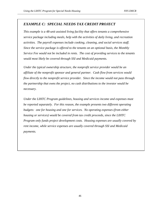### *EXAMPLE C: SPECIAL NEEDS TAX CREDIT PROJECT*

*This example is a 48-unit assisted living facility that offers tenants a comprehensive service package including meals, help with the activities of daily living, and recreation activities. The payroll expenses include cooking, cleaning, and social services staff. Since the service package is offered to the tenants on an optional basis, the Monthly Service Fee would not be included in rents. The cost of providing services to the tenants would most likely be covered through SSI and Medicaid payments.* 

*Under the typical ownership structure, the nonprofit service provider would be an affiliate of the nonprofit sponsor and general partner. Cash flow from services would flow directly to the nonprofit service provider. Since the income would not pass through the partnership that owns the project, no cash distributions to the investor would be necessary.* 

*Under the LIHTC Program guidelines, housing and services income and expenses must be reported separately. For this reason, the example presents two different operating budgets: one for housing and one for services. No operating expenses (from either housing or services) would be covered from tax credit proceeds, since the LIHTC Program only funds project development costs. Housing expenses are usually covered by rent income, while service expenses are usually covered through SSI and Medicaid payments.*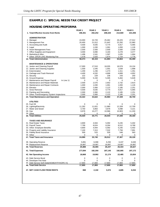#### **EXAMPLE C: SPECIAL NEEDS TAX CREDIT PROJECT**

#### **HOUSING OPERATING PROFORMA**

| 1. Total Effective Income from Rents<br>196,361<br>202,252<br>208,320<br>214.569<br><b>ADMINISTRATION</b><br>2. Manager<br>24,000<br>24,720<br>25,462<br>26,225<br>3. Management Fee<br>20,400<br>21,012<br>21,642<br>22,292<br>4. Accounting and Audit<br>4,500<br>4,635<br>4,774<br>4,917<br>5. Legal<br>1,000<br>1,030<br>1,061<br>1,093<br>6. Asset Management Fees<br>2,500<br>2,500<br>2,500<br>2,500<br>7. Office Supplies and Equipment<br>3,000<br>3,090<br>3,278<br>3,183<br>8. Marketing & Misc.<br>1,496<br>1,541<br>1,635<br>1,587<br>9. Other: DHCR LIHC Monitoring Fee<br>1,578<br>1,625<br>1,674<br>1,724<br>10. Total Administration<br>58,474<br>60,153<br>61,883<br>63,664<br><b>MAINTENANCE &amp; OPERATIONS</b><br>11. Janitor and Cleaning Payroll<br>17,000<br>17,510<br>18,035<br>18,576<br>12. Janitor and Cleaning Supplies<br>1,500<br>1,545<br>1,591<br>1,639<br>13. Extermination<br>1,200<br>1,236<br>1,273<br>1,311<br>14. Garbage and Trash Removal<br>4,532<br>4,400<br>4,668<br>4,808<br>222<br>15. Security<br>229<br>236<br>243<br>16. Ground Expense<br>5,000<br>5,150<br>5,305<br>5,464<br>17. Maintenance and Repair Payroll<br>In Line 11<br>$\mathbf 0$<br>0<br>$\mathbf 0$<br>0<br>18. Maintenance and Repair Materials<br>2,500<br>2,575<br>2,652<br>2,732<br>19. Maintenance and Repair Contracts<br>1,000<br>1,030<br>1,061<br>1,093<br>20. Elevator<br>2,000<br>2,060<br>2,122<br>2,185<br>21. Snow Removal<br>4,500<br>4,635<br>4,774<br>4,917<br>22. Painting and Decorating<br>2,000<br>2,060<br>2,122<br>2,185<br>23. Other: Fire/Emergency System Inspections<br>2,000<br>2,060<br>2,122<br>2,185<br>24. Total Maintenance and Operation<br>47,339<br>43,322<br>44,622<br>45,960<br><b>UTILITIES</b><br>$\mathbf 0$<br>$\mathbf 0$<br>25. Fuel Oil<br>0<br>0<br>26. Lighting/Electricity<br>11,292<br>11,631<br>11,980<br>12,339<br>27. Water and Sewer<br>3,750<br>3,863<br>3,978<br>4,098<br>28. Gas<br>9,978<br>10,277<br>10,586<br>10,903<br>29. Other<br>$\Omega$<br>0<br>0<br>0<br>25,020<br>25,771<br><b>30. Total Utilities</b><br>26,544<br>27,340<br><b>TAXES AND INSURANCE</b><br>31. Real Estate Taxes<br>4,800<br>4,944<br>5,092<br>5,245<br>32. Payroll Taxes<br>7,790<br>8,024<br>8,264<br>8,512<br>33. Other: Employee Benefits<br>4,800<br>4,944<br>5,092<br>5,245<br>34. Property and Liability Insurance<br>7,100<br>7,313<br>7,532<br>7,758<br>35. Fidelity Bond Insurance<br>500<br>530<br>515<br>546<br>36. Other<br>0<br>0<br>0<br>0<br>37. Total Taxes and Insurance<br>24,990<br>25,740<br>26,512<br>27,307<br>38. Operating Reserve<br>5,891<br>6,068<br>6,250<br>6,437<br>19,997<br>39. Replacement Reserve<br>19,997<br>19,997<br>19,997<br>40. Total Reserves<br>25,888<br>26,065<br>26,247<br>26,434<br>41. Total Expenses<br>177,694<br>182,350<br>187,145<br>192,085<br>42. Net Operating Income<br>18,668<br>19,902<br>21,174<br>22,485<br>43. Debt Service Bond<br>0<br>0<br>0<br>0<br>$\mathbf 0$<br>0<br>44. Developer Fee Note<br>0<br>0 |                                              | YEAR 1 | <b>YEAR 2</b> | <b>YEAR 3</b> | YEAR 4 | <b>YEAR 5</b>    |
|----------------------------------------------------------------------------------------------------------------------------------------------------------------------------------------------------------------------------------------------------------------------------------------------------------------------------------------------------------------------------------------------------------------------------------------------------------------------------------------------------------------------------------------------------------------------------------------------------------------------------------------------------------------------------------------------------------------------------------------------------------------------------------------------------------------------------------------------------------------------------------------------------------------------------------------------------------------------------------------------------------------------------------------------------------------------------------------------------------------------------------------------------------------------------------------------------------------------------------------------------------------------------------------------------------------------------------------------------------------------------------------------------------------------------------------------------------------------------------------------------------------------------------------------------------------------------------------------------------------------------------------------------------------------------------------------------------------------------------------------------------------------------------------------------------------------------------------------------------------------------------------------------------------------------------------------------------------------------------------------------------------------------------------------------------------------------------------------------------------------------------------------------------------------------------------------------------------------------------------------------------------------------------------------------------------------------------------------------------------------------------------------------------------------------------------------------------------------------------------------------------------------------------------------------------------------------------------------------------------------------------------------------------------------------------------------------------------------------------------------------------------------------------------------------------------------------------------------------------------------------------------------------------------------------------------------------------------------------------------------------------------------------------|----------------------------------------------|--------|---------------|---------------|--------|------------------|
|                                                                                                                                                                                                                                                                                                                                                                                                                                                                                                                                                                                                                                                                                                                                                                                                                                                                                                                                                                                                                                                                                                                                                                                                                                                                                                                                                                                                                                                                                                                                                                                                                                                                                                                                                                                                                                                                                                                                                                                                                                                                                                                                                                                                                                                                                                                                                                                                                                                                                                                                                                                                                                                                                                                                                                                                                                                                                                                                                                                                                                  |                                              |        |               |               |        | 221,006          |
|                                                                                                                                                                                                                                                                                                                                                                                                                                                                                                                                                                                                                                                                                                                                                                                                                                                                                                                                                                                                                                                                                                                                                                                                                                                                                                                                                                                                                                                                                                                                                                                                                                                                                                                                                                                                                                                                                                                                                                                                                                                                                                                                                                                                                                                                                                                                                                                                                                                                                                                                                                                                                                                                                                                                                                                                                                                                                                                                                                                                                                  |                                              |        |               |               |        |                  |
|                                                                                                                                                                                                                                                                                                                                                                                                                                                                                                                                                                                                                                                                                                                                                                                                                                                                                                                                                                                                                                                                                                                                                                                                                                                                                                                                                                                                                                                                                                                                                                                                                                                                                                                                                                                                                                                                                                                                                                                                                                                                                                                                                                                                                                                                                                                                                                                                                                                                                                                                                                                                                                                                                                                                                                                                                                                                                                                                                                                                                                  |                                              |        |               |               |        |                  |
|                                                                                                                                                                                                                                                                                                                                                                                                                                                                                                                                                                                                                                                                                                                                                                                                                                                                                                                                                                                                                                                                                                                                                                                                                                                                                                                                                                                                                                                                                                                                                                                                                                                                                                                                                                                                                                                                                                                                                                                                                                                                                                                                                                                                                                                                                                                                                                                                                                                                                                                                                                                                                                                                                                                                                                                                                                                                                                                                                                                                                                  |                                              |        |               |               |        | 27,012<br>22,960 |
|                                                                                                                                                                                                                                                                                                                                                                                                                                                                                                                                                                                                                                                                                                                                                                                                                                                                                                                                                                                                                                                                                                                                                                                                                                                                                                                                                                                                                                                                                                                                                                                                                                                                                                                                                                                                                                                                                                                                                                                                                                                                                                                                                                                                                                                                                                                                                                                                                                                                                                                                                                                                                                                                                                                                                                                                                                                                                                                                                                                                                                  |                                              |        |               |               |        |                  |
|                                                                                                                                                                                                                                                                                                                                                                                                                                                                                                                                                                                                                                                                                                                                                                                                                                                                                                                                                                                                                                                                                                                                                                                                                                                                                                                                                                                                                                                                                                                                                                                                                                                                                                                                                                                                                                                                                                                                                                                                                                                                                                                                                                                                                                                                                                                                                                                                                                                                                                                                                                                                                                                                                                                                                                                                                                                                                                                                                                                                                                  |                                              |        |               |               |        | 5,065            |
|                                                                                                                                                                                                                                                                                                                                                                                                                                                                                                                                                                                                                                                                                                                                                                                                                                                                                                                                                                                                                                                                                                                                                                                                                                                                                                                                                                                                                                                                                                                                                                                                                                                                                                                                                                                                                                                                                                                                                                                                                                                                                                                                                                                                                                                                                                                                                                                                                                                                                                                                                                                                                                                                                                                                                                                                                                                                                                                                                                                                                                  |                                              |        |               |               |        | 1,126            |
|                                                                                                                                                                                                                                                                                                                                                                                                                                                                                                                                                                                                                                                                                                                                                                                                                                                                                                                                                                                                                                                                                                                                                                                                                                                                                                                                                                                                                                                                                                                                                                                                                                                                                                                                                                                                                                                                                                                                                                                                                                                                                                                                                                                                                                                                                                                                                                                                                                                                                                                                                                                                                                                                                                                                                                                                                                                                                                                                                                                                                                  |                                              |        |               |               |        | 2,500            |
|                                                                                                                                                                                                                                                                                                                                                                                                                                                                                                                                                                                                                                                                                                                                                                                                                                                                                                                                                                                                                                                                                                                                                                                                                                                                                                                                                                                                                                                                                                                                                                                                                                                                                                                                                                                                                                                                                                                                                                                                                                                                                                                                                                                                                                                                                                                                                                                                                                                                                                                                                                                                                                                                                                                                                                                                                                                                                                                                                                                                                                  |                                              |        |               |               |        | 3,377            |
|                                                                                                                                                                                                                                                                                                                                                                                                                                                                                                                                                                                                                                                                                                                                                                                                                                                                                                                                                                                                                                                                                                                                                                                                                                                                                                                                                                                                                                                                                                                                                                                                                                                                                                                                                                                                                                                                                                                                                                                                                                                                                                                                                                                                                                                                                                                                                                                                                                                                                                                                                                                                                                                                                                                                                                                                                                                                                                                                                                                                                                  |                                              |        |               |               |        | 1,684            |
|                                                                                                                                                                                                                                                                                                                                                                                                                                                                                                                                                                                                                                                                                                                                                                                                                                                                                                                                                                                                                                                                                                                                                                                                                                                                                                                                                                                                                                                                                                                                                                                                                                                                                                                                                                                                                                                                                                                                                                                                                                                                                                                                                                                                                                                                                                                                                                                                                                                                                                                                                                                                                                                                                                                                                                                                                                                                                                                                                                                                                                  |                                              |        |               |               |        | 1,776            |
|                                                                                                                                                                                                                                                                                                                                                                                                                                                                                                                                                                                                                                                                                                                                                                                                                                                                                                                                                                                                                                                                                                                                                                                                                                                                                                                                                                                                                                                                                                                                                                                                                                                                                                                                                                                                                                                                                                                                                                                                                                                                                                                                                                                                                                                                                                                                                                                                                                                                                                                                                                                                                                                                                                                                                                                                                                                                                                                                                                                                                                  |                                              |        |               |               |        | 65,499           |
|                                                                                                                                                                                                                                                                                                                                                                                                                                                                                                                                                                                                                                                                                                                                                                                                                                                                                                                                                                                                                                                                                                                                                                                                                                                                                                                                                                                                                                                                                                                                                                                                                                                                                                                                                                                                                                                                                                                                                                                                                                                                                                                                                                                                                                                                                                                                                                                                                                                                                                                                                                                                                                                                                                                                                                                                                                                                                                                                                                                                                                  |                                              |        |               |               |        |                  |
|                                                                                                                                                                                                                                                                                                                                                                                                                                                                                                                                                                                                                                                                                                                                                                                                                                                                                                                                                                                                                                                                                                                                                                                                                                                                                                                                                                                                                                                                                                                                                                                                                                                                                                                                                                                                                                                                                                                                                                                                                                                                                                                                                                                                                                                                                                                                                                                                                                                                                                                                                                                                                                                                                                                                                                                                                                                                                                                                                                                                                                  |                                              |        |               |               |        | 19,134           |
|                                                                                                                                                                                                                                                                                                                                                                                                                                                                                                                                                                                                                                                                                                                                                                                                                                                                                                                                                                                                                                                                                                                                                                                                                                                                                                                                                                                                                                                                                                                                                                                                                                                                                                                                                                                                                                                                                                                                                                                                                                                                                                                                                                                                                                                                                                                                                                                                                                                                                                                                                                                                                                                                                                                                                                                                                                                                                                                                                                                                                                  |                                              |        |               |               |        | 1,688            |
|                                                                                                                                                                                                                                                                                                                                                                                                                                                                                                                                                                                                                                                                                                                                                                                                                                                                                                                                                                                                                                                                                                                                                                                                                                                                                                                                                                                                                                                                                                                                                                                                                                                                                                                                                                                                                                                                                                                                                                                                                                                                                                                                                                                                                                                                                                                                                                                                                                                                                                                                                                                                                                                                                                                                                                                                                                                                                                                                                                                                                                  |                                              |        |               |               |        | 1,351            |
|                                                                                                                                                                                                                                                                                                                                                                                                                                                                                                                                                                                                                                                                                                                                                                                                                                                                                                                                                                                                                                                                                                                                                                                                                                                                                                                                                                                                                                                                                                                                                                                                                                                                                                                                                                                                                                                                                                                                                                                                                                                                                                                                                                                                                                                                                                                                                                                                                                                                                                                                                                                                                                                                                                                                                                                                                                                                                                                                                                                                                                  |                                              |        |               |               |        | 4,952            |
|                                                                                                                                                                                                                                                                                                                                                                                                                                                                                                                                                                                                                                                                                                                                                                                                                                                                                                                                                                                                                                                                                                                                                                                                                                                                                                                                                                                                                                                                                                                                                                                                                                                                                                                                                                                                                                                                                                                                                                                                                                                                                                                                                                                                                                                                                                                                                                                                                                                                                                                                                                                                                                                                                                                                                                                                                                                                                                                                                                                                                                  |                                              |        |               |               |        | 250              |
|                                                                                                                                                                                                                                                                                                                                                                                                                                                                                                                                                                                                                                                                                                                                                                                                                                                                                                                                                                                                                                                                                                                                                                                                                                                                                                                                                                                                                                                                                                                                                                                                                                                                                                                                                                                                                                                                                                                                                                                                                                                                                                                                                                                                                                                                                                                                                                                                                                                                                                                                                                                                                                                                                                                                                                                                                                                                                                                                                                                                                                  |                                              |        |               |               |        | 5,628            |
|                                                                                                                                                                                                                                                                                                                                                                                                                                                                                                                                                                                                                                                                                                                                                                                                                                                                                                                                                                                                                                                                                                                                                                                                                                                                                                                                                                                                                                                                                                                                                                                                                                                                                                                                                                                                                                                                                                                                                                                                                                                                                                                                                                                                                                                                                                                                                                                                                                                                                                                                                                                                                                                                                                                                                                                                                                                                                                                                                                                                                                  |                                              |        |               |               |        | 0                |
|                                                                                                                                                                                                                                                                                                                                                                                                                                                                                                                                                                                                                                                                                                                                                                                                                                                                                                                                                                                                                                                                                                                                                                                                                                                                                                                                                                                                                                                                                                                                                                                                                                                                                                                                                                                                                                                                                                                                                                                                                                                                                                                                                                                                                                                                                                                                                                                                                                                                                                                                                                                                                                                                                                                                                                                                                                                                                                                                                                                                                                  |                                              |        |               |               |        | 2,814            |
|                                                                                                                                                                                                                                                                                                                                                                                                                                                                                                                                                                                                                                                                                                                                                                                                                                                                                                                                                                                                                                                                                                                                                                                                                                                                                                                                                                                                                                                                                                                                                                                                                                                                                                                                                                                                                                                                                                                                                                                                                                                                                                                                                                                                                                                                                                                                                                                                                                                                                                                                                                                                                                                                                                                                                                                                                                                                                                                                                                                                                                  |                                              |        |               |               |        | 1,126            |
|                                                                                                                                                                                                                                                                                                                                                                                                                                                                                                                                                                                                                                                                                                                                                                                                                                                                                                                                                                                                                                                                                                                                                                                                                                                                                                                                                                                                                                                                                                                                                                                                                                                                                                                                                                                                                                                                                                                                                                                                                                                                                                                                                                                                                                                                                                                                                                                                                                                                                                                                                                                                                                                                                                                                                                                                                                                                                                                                                                                                                                  |                                              |        |               |               |        | 2,251            |
|                                                                                                                                                                                                                                                                                                                                                                                                                                                                                                                                                                                                                                                                                                                                                                                                                                                                                                                                                                                                                                                                                                                                                                                                                                                                                                                                                                                                                                                                                                                                                                                                                                                                                                                                                                                                                                                                                                                                                                                                                                                                                                                                                                                                                                                                                                                                                                                                                                                                                                                                                                                                                                                                                                                                                                                                                                                                                                                                                                                                                                  |                                              |        |               |               |        | 5,065            |
|                                                                                                                                                                                                                                                                                                                                                                                                                                                                                                                                                                                                                                                                                                                                                                                                                                                                                                                                                                                                                                                                                                                                                                                                                                                                                                                                                                                                                                                                                                                                                                                                                                                                                                                                                                                                                                                                                                                                                                                                                                                                                                                                                                                                                                                                                                                                                                                                                                                                                                                                                                                                                                                                                                                                                                                                                                                                                                                                                                                                                                  |                                              |        |               |               |        | 2,251            |
|                                                                                                                                                                                                                                                                                                                                                                                                                                                                                                                                                                                                                                                                                                                                                                                                                                                                                                                                                                                                                                                                                                                                                                                                                                                                                                                                                                                                                                                                                                                                                                                                                                                                                                                                                                                                                                                                                                                                                                                                                                                                                                                                                                                                                                                                                                                                                                                                                                                                                                                                                                                                                                                                                                                                                                                                                                                                                                                                                                                                                                  |                                              |        |               |               |        | 2,251            |
|                                                                                                                                                                                                                                                                                                                                                                                                                                                                                                                                                                                                                                                                                                                                                                                                                                                                                                                                                                                                                                                                                                                                                                                                                                                                                                                                                                                                                                                                                                                                                                                                                                                                                                                                                                                                                                                                                                                                                                                                                                                                                                                                                                                                                                                                                                                                                                                                                                                                                                                                                                                                                                                                                                                                                                                                                                                                                                                                                                                                                                  |                                              |        |               |               |        | 48,759           |
|                                                                                                                                                                                                                                                                                                                                                                                                                                                                                                                                                                                                                                                                                                                                                                                                                                                                                                                                                                                                                                                                                                                                                                                                                                                                                                                                                                                                                                                                                                                                                                                                                                                                                                                                                                                                                                                                                                                                                                                                                                                                                                                                                                                                                                                                                                                                                                                                                                                                                                                                                                                                                                                                                                                                                                                                                                                                                                                                                                                                                                  |                                              |        |               |               |        |                  |
|                                                                                                                                                                                                                                                                                                                                                                                                                                                                                                                                                                                                                                                                                                                                                                                                                                                                                                                                                                                                                                                                                                                                                                                                                                                                                                                                                                                                                                                                                                                                                                                                                                                                                                                                                                                                                                                                                                                                                                                                                                                                                                                                                                                                                                                                                                                                                                                                                                                                                                                                                                                                                                                                                                                                                                                                                                                                                                                                                                                                                                  |                                              |        |               |               |        |                  |
|                                                                                                                                                                                                                                                                                                                                                                                                                                                                                                                                                                                                                                                                                                                                                                                                                                                                                                                                                                                                                                                                                                                                                                                                                                                                                                                                                                                                                                                                                                                                                                                                                                                                                                                                                                                                                                                                                                                                                                                                                                                                                                                                                                                                                                                                                                                                                                                                                                                                                                                                                                                                                                                                                                                                                                                                                                                                                                                                                                                                                                  |                                              |        |               |               |        | 0                |
|                                                                                                                                                                                                                                                                                                                                                                                                                                                                                                                                                                                                                                                                                                                                                                                                                                                                                                                                                                                                                                                                                                                                                                                                                                                                                                                                                                                                                                                                                                                                                                                                                                                                                                                                                                                                                                                                                                                                                                                                                                                                                                                                                                                                                                                                                                                                                                                                                                                                                                                                                                                                                                                                                                                                                                                                                                                                                                                                                                                                                                  |                                              |        |               |               |        | 12,709           |
|                                                                                                                                                                                                                                                                                                                                                                                                                                                                                                                                                                                                                                                                                                                                                                                                                                                                                                                                                                                                                                                                                                                                                                                                                                                                                                                                                                                                                                                                                                                                                                                                                                                                                                                                                                                                                                                                                                                                                                                                                                                                                                                                                                                                                                                                                                                                                                                                                                                                                                                                                                                                                                                                                                                                                                                                                                                                                                                                                                                                                                  |                                              |        |               |               |        | 4,221            |
|                                                                                                                                                                                                                                                                                                                                                                                                                                                                                                                                                                                                                                                                                                                                                                                                                                                                                                                                                                                                                                                                                                                                                                                                                                                                                                                                                                                                                                                                                                                                                                                                                                                                                                                                                                                                                                                                                                                                                                                                                                                                                                                                                                                                                                                                                                                                                                                                                                                                                                                                                                                                                                                                                                                                                                                                                                                                                                                                                                                                                                  |                                              |        |               |               |        | 11,230           |
|                                                                                                                                                                                                                                                                                                                                                                                                                                                                                                                                                                                                                                                                                                                                                                                                                                                                                                                                                                                                                                                                                                                                                                                                                                                                                                                                                                                                                                                                                                                                                                                                                                                                                                                                                                                                                                                                                                                                                                                                                                                                                                                                                                                                                                                                                                                                                                                                                                                                                                                                                                                                                                                                                                                                                                                                                                                                                                                                                                                                                                  |                                              |        |               |               |        | 0                |
|                                                                                                                                                                                                                                                                                                                                                                                                                                                                                                                                                                                                                                                                                                                                                                                                                                                                                                                                                                                                                                                                                                                                                                                                                                                                                                                                                                                                                                                                                                                                                                                                                                                                                                                                                                                                                                                                                                                                                                                                                                                                                                                                                                                                                                                                                                                                                                                                                                                                                                                                                                                                                                                                                                                                                                                                                                                                                                                                                                                                                                  |                                              |        |               |               |        | 28,160           |
|                                                                                                                                                                                                                                                                                                                                                                                                                                                                                                                                                                                                                                                                                                                                                                                                                                                                                                                                                                                                                                                                                                                                                                                                                                                                                                                                                                                                                                                                                                                                                                                                                                                                                                                                                                                                                                                                                                                                                                                                                                                                                                                                                                                                                                                                                                                                                                                                                                                                                                                                                                                                                                                                                                                                                                                                                                                                                                                                                                                                                                  |                                              |        |               |               |        |                  |
|                                                                                                                                                                                                                                                                                                                                                                                                                                                                                                                                                                                                                                                                                                                                                                                                                                                                                                                                                                                                                                                                                                                                                                                                                                                                                                                                                                                                                                                                                                                                                                                                                                                                                                                                                                                                                                                                                                                                                                                                                                                                                                                                                                                                                                                                                                                                                                                                                                                                                                                                                                                                                                                                                                                                                                                                                                                                                                                                                                                                                                  |                                              |        |               |               |        |                  |
|                                                                                                                                                                                                                                                                                                                                                                                                                                                                                                                                                                                                                                                                                                                                                                                                                                                                                                                                                                                                                                                                                                                                                                                                                                                                                                                                                                                                                                                                                                                                                                                                                                                                                                                                                                                                                                                                                                                                                                                                                                                                                                                                                                                                                                                                                                                                                                                                                                                                                                                                                                                                                                                                                                                                                                                                                                                                                                                                                                                                                                  |                                              |        |               |               |        | 5,402            |
|                                                                                                                                                                                                                                                                                                                                                                                                                                                                                                                                                                                                                                                                                                                                                                                                                                                                                                                                                                                                                                                                                                                                                                                                                                                                                                                                                                                                                                                                                                                                                                                                                                                                                                                                                                                                                                                                                                                                                                                                                                                                                                                                                                                                                                                                                                                                                                                                                                                                                                                                                                                                                                                                                                                                                                                                                                                                                                                                                                                                                                  |                                              |        |               |               |        | 8,768            |
|                                                                                                                                                                                                                                                                                                                                                                                                                                                                                                                                                                                                                                                                                                                                                                                                                                                                                                                                                                                                                                                                                                                                                                                                                                                                                                                                                                                                                                                                                                                                                                                                                                                                                                                                                                                                                                                                                                                                                                                                                                                                                                                                                                                                                                                                                                                                                                                                                                                                                                                                                                                                                                                                                                                                                                                                                                                                                                                                                                                                                                  |                                              |        |               |               |        | 5,402            |
|                                                                                                                                                                                                                                                                                                                                                                                                                                                                                                                                                                                                                                                                                                                                                                                                                                                                                                                                                                                                                                                                                                                                                                                                                                                                                                                                                                                                                                                                                                                                                                                                                                                                                                                                                                                                                                                                                                                                                                                                                                                                                                                                                                                                                                                                                                                                                                                                                                                                                                                                                                                                                                                                                                                                                                                                                                                                                                                                                                                                                                  |                                              |        |               |               |        | 7,991            |
|                                                                                                                                                                                                                                                                                                                                                                                                                                                                                                                                                                                                                                                                                                                                                                                                                                                                                                                                                                                                                                                                                                                                                                                                                                                                                                                                                                                                                                                                                                                                                                                                                                                                                                                                                                                                                                                                                                                                                                                                                                                                                                                                                                                                                                                                                                                                                                                                                                                                                                                                                                                                                                                                                                                                                                                                                                                                                                                                                                                                                                  |                                              |        |               |               |        | 563              |
|                                                                                                                                                                                                                                                                                                                                                                                                                                                                                                                                                                                                                                                                                                                                                                                                                                                                                                                                                                                                                                                                                                                                                                                                                                                                                                                                                                                                                                                                                                                                                                                                                                                                                                                                                                                                                                                                                                                                                                                                                                                                                                                                                                                                                                                                                                                                                                                                                                                                                                                                                                                                                                                                                                                                                                                                                                                                                                                                                                                                                                  |                                              |        |               |               |        | 0                |
|                                                                                                                                                                                                                                                                                                                                                                                                                                                                                                                                                                                                                                                                                                                                                                                                                                                                                                                                                                                                                                                                                                                                                                                                                                                                                                                                                                                                                                                                                                                                                                                                                                                                                                                                                                                                                                                                                                                                                                                                                                                                                                                                                                                                                                                                                                                                                                                                                                                                                                                                                                                                                                                                                                                                                                                                                                                                                                                                                                                                                                  |                                              |        |               |               |        | 28,126           |
|                                                                                                                                                                                                                                                                                                                                                                                                                                                                                                                                                                                                                                                                                                                                                                                                                                                                                                                                                                                                                                                                                                                                                                                                                                                                                                                                                                                                                                                                                                                                                                                                                                                                                                                                                                                                                                                                                                                                                                                                                                                                                                                                                                                                                                                                                                                                                                                                                                                                                                                                                                                                                                                                                                                                                                                                                                                                                                                                                                                                                                  |                                              |        |               |               |        | 6,630            |
|                                                                                                                                                                                                                                                                                                                                                                                                                                                                                                                                                                                                                                                                                                                                                                                                                                                                                                                                                                                                                                                                                                                                                                                                                                                                                                                                                                                                                                                                                                                                                                                                                                                                                                                                                                                                                                                                                                                                                                                                                                                                                                                                                                                                                                                                                                                                                                                                                                                                                                                                                                                                                                                                                                                                                                                                                                                                                                                                                                                                                                  |                                              |        |               |               |        | 19,997           |
|                                                                                                                                                                                                                                                                                                                                                                                                                                                                                                                                                                                                                                                                                                                                                                                                                                                                                                                                                                                                                                                                                                                                                                                                                                                                                                                                                                                                                                                                                                                                                                                                                                                                                                                                                                                                                                                                                                                                                                                                                                                                                                                                                                                                                                                                                                                                                                                                                                                                                                                                                                                                                                                                                                                                                                                                                                                                                                                                                                                                                                  |                                              |        |               |               |        |                  |
|                                                                                                                                                                                                                                                                                                                                                                                                                                                                                                                                                                                                                                                                                                                                                                                                                                                                                                                                                                                                                                                                                                                                                                                                                                                                                                                                                                                                                                                                                                                                                                                                                                                                                                                                                                                                                                                                                                                                                                                                                                                                                                                                                                                                                                                                                                                                                                                                                                                                                                                                                                                                                                                                                                                                                                                                                                                                                                                                                                                                                                  |                                              |        |               |               |        | 26,627           |
|                                                                                                                                                                                                                                                                                                                                                                                                                                                                                                                                                                                                                                                                                                                                                                                                                                                                                                                                                                                                                                                                                                                                                                                                                                                                                                                                                                                                                                                                                                                                                                                                                                                                                                                                                                                                                                                                                                                                                                                                                                                                                                                                                                                                                                                                                                                                                                                                                                                                                                                                                                                                                                                                                                                                                                                                                                                                                                                                                                                                                                  |                                              |        |               |               |        | 197,172          |
|                                                                                                                                                                                                                                                                                                                                                                                                                                                                                                                                                                                                                                                                                                                                                                                                                                                                                                                                                                                                                                                                                                                                                                                                                                                                                                                                                                                                                                                                                                                                                                                                                                                                                                                                                                                                                                                                                                                                                                                                                                                                                                                                                                                                                                                                                                                                                                                                                                                                                                                                                                                                                                                                                                                                                                                                                                                                                                                                                                                                                                  |                                              |        |               |               |        | 23,834           |
|                                                                                                                                                                                                                                                                                                                                                                                                                                                                                                                                                                                                                                                                                                                                                                                                                                                                                                                                                                                                                                                                                                                                                                                                                                                                                                                                                                                                                                                                                                                                                                                                                                                                                                                                                                                                                                                                                                                                                                                                                                                                                                                                                                                                                                                                                                                                                                                                                                                                                                                                                                                                                                                                                                                                                                                                                                                                                                                                                                                                                                  |                                              |        |               |               |        | 0                |
|                                                                                                                                                                                                                                                                                                                                                                                                                                                                                                                                                                                                                                                                                                                                                                                                                                                                                                                                                                                                                                                                                                                                                                                                                                                                                                                                                                                                                                                                                                                                                                                                                                                                                                                                                                                                                                                                                                                                                                                                                                                                                                                                                                                                                                                                                                                                                                                                                                                                                                                                                                                                                                                                                                                                                                                                                                                                                                                                                                                                                                  |                                              |        |               |               |        | 0                |
|                                                                                                                                                                                                                                                                                                                                                                                                                                                                                                                                                                                                                                                                                                                                                                                                                                                                                                                                                                                                                                                                                                                                                                                                                                                                                                                                                                                                                                                                                                                                                                                                                                                                                                                                                                                                                                                                                                                                                                                                                                                                                                                                                                                                                                                                                                                                                                                                                                                                                                                                                                                                                                                                                                                                                                                                                                                                                                                                                                                                                                  | 45. Debt Service Soft Debt(HOME/HTF/HOPE VI) | 17,800 | 17.800        | 17,800        | 17,800 | 17,800           |
| 17,800<br>17,800<br>46. Total Debt Service<br>17,800<br>17,800                                                                                                                                                                                                                                                                                                                                                                                                                                                                                                                                                                                                                                                                                                                                                                                                                                                                                                                                                                                                                                                                                                                                                                                                                                                                                                                                                                                                                                                                                                                                                                                                                                                                                                                                                                                                                                                                                                                                                                                                                                                                                                                                                                                                                                                                                                                                                                                                                                                                                                                                                                                                                                                                                                                                                                                                                                                                                                                                                                   |                                              |        |               |               |        | 17,800           |
| 868<br><b>47. NET CASH FLOW FROM RENTS</b><br>2,102<br>3,374<br>4,685                                                                                                                                                                                                                                                                                                                                                                                                                                                                                                                                                                                                                                                                                                                                                                                                                                                                                                                                                                                                                                                                                                                                                                                                                                                                                                                                                                                                                                                                                                                                                                                                                                                                                                                                                                                                                                                                                                                                                                                                                                                                                                                                                                                                                                                                                                                                                                                                                                                                                                                                                                                                                                                                                                                                                                                                                                                                                                                                                            |                                              |        |               |               |        | 6,034            |
|                                                                                                                                                                                                                                                                                                                                                                                                                                                                                                                                                                                                                                                                                                                                                                                                                                                                                                                                                                                                                                                                                                                                                                                                                                                                                                                                                                                                                                                                                                                                                                                                                                                                                                                                                                                                                                                                                                                                                                                                                                                                                                                                                                                                                                                                                                                                                                                                                                                                                                                                                                                                                                                                                                                                                                                                                                                                                                                                                                                                                                  |                                              |        |               |               |        |                  |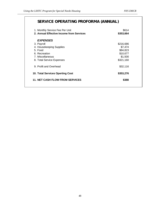# **SERVICE OPERATING PROFORMA (ANNUAL)**

| 1. Monthly Service Fee Per Unit<br>2. Annual Effective Income from Services | \$614<br>\$353,664 |
|-----------------------------------------------------------------------------|--------------------|
| <b>EXPENSES</b>                                                             |                    |
| 3. Payroll                                                                  | \$216,686          |
| 4. Housekeeping Supplies                                                    | \$7,474            |
| 5. Food                                                                     | \$84,823           |
| 6. Recreation                                                               | \$10,677           |
| 7. Miscellaneous                                                            | \$1,500            |
| 8. Total Service Expenses                                                   | \$321,160          |
| 9. Profit and Overhead                                                      | \$32,116           |
| 10. Total Services Operting Cost                                            | \$353,276          |
| <b>11. NET CASH FLOW FROM SERVICES</b>                                      | \$388              |
|                                                                             |                    |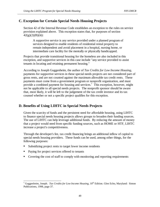### **C. Exception for Certain Special Needs Housing Projects**

Section 42 of the Internal Revenue Code establishes an exception to the rules on service provision explained above. This exception states that, for purposes of section  $42(g)(2)(B)(iii):$ 

A supportive service is any service provided under a planned program of services designed to enable residents of residential rental property to remain independent and avoid placement in a hospital, nursing home, or intermediate care facility for the mentally or physically handicapped.

Projects that provide transitional housing for the homeless are also included in this exception, and supportive services in this case include "any service provided to assist tenants in locating and retaining permanent housing."

According to Joseph Guggenheim, the author of *Tax Credits for Low Income Housing*, payments for supportive services in these special needs projects are not considered part of gross rents, and are not counted against the maximum allowable tax credit rents. These payments must come from a government program or nonprofit organization, and must provide a combined payment for housing and services.<sup>7</sup> This exception, however, might not be applicable to all special needs projects. The nonprofit sponsor should be aware that, most likely, it will be left to the judgement of the tax credit investor and its tax counsel whether or not a specific project qualifies for this exception.

### **D. Benefits of Using LIHTC in Special Needs Projects**

Given the scarcity of funds and the persistent need for affordable housing, using LIHTC to finance special needs housing projects allows groups to broaden their funding sources. The use of LIHTC can help leverage additional funds. By reducing the amount of money that a project would need from specific funding sources, such as HOME or HTF, LIHTC increase a project's competitiveness.

Through the developer's fee, tax credit financing brings an additional inflow of capital to special needs housing providers. These funds can be used, among other things, for the following purposes:  $\ddot{\phantom{0}}$ 

- Subsidizing project rents to target lower income residents
- Paying for project services offered to tenants
- Covering the cost of staff to comply with monitoring and reporting requirements

<sup>&</sup>lt;sup>7</sup> Guggenheim, Joseph. *Tax Credits for Low Income Housing*, 10<sup>th</sup> Edition. Glen Echo, Maryland: Simon Publications, 1998, page 37.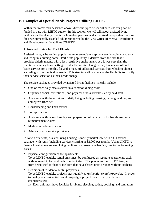### **E. Examples of Special Needs Projects Utilizing LIHTC**

Within the framework described above, different types of special needs housing can be funded in part with LIHTC equity. In this section, we will talk about assisted living facilities for the elderly, SROs for homeless persons, and supervised independent housing for developmentally disabled adults supported by the NYS Office of Mental Retardation and Developmental Disabilities (OMRDD).

### **1. Assisted Living for Frail Elderly**

Assisted living is becoming popular as an intermediate step between living independently and living in a nursing home. Part of its popularity is derived from the fact that it provides elderly tenants with a less restrictive environment, at a lower cost than the traditional nursing home setting. Under the assisted living model, tenants are offered basic services for a monthly fee and a menu of additional services from which to choose according to their individual needs. This structure allows tenants the flexibility to modify their service selection as their needs change.

The service packages provided by assisted living facilities typically include: Î

- One or more daily meals served in a common dining room
- Organized social, recreational, and physical fitness activities led by paid staff
- Assistance with the activities of daily living including dressing, bathing, and ingress and egress from bed
- Housekeeping and linen service
- **Transportation**
- Assistance with record keeping and preparation of paperwork for health insurance reimbursement claims
- **Medication administration**
- Advocacy with service providers

In New York State, assisted living housing is mostly market rate with a full service package, with rents (including services) starting at \$2,000 per month. Using LIHTC to finance low-income assisted living facilities has proven challenging, due to the following issues:

- $\ddot{\phantom{0}}$  Physical configuration of the apartments To be LIHTC eligible, rental units must be configured as separate apartments, each with its own kitchen and bathroom facilities. This precludes the LIHTC Program from being used to finance facilities that have shared units or units without kitchens.
- **•** Definition of residential rental properties To be LIHTC eligible, projects must qualify as *residential rental properties.* In order to qualify as a residential rental property, a project must comply with two characteristics:

a) Each unit must have facilities for living, sleeping, eating, cooking, and sanitation.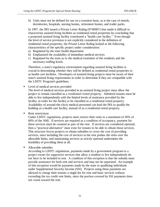b) Units must not be defined for use on a transient basis, as is the case of motels, dormitories, hospitals, nursing homes, retirement homes, and trailer parks.

In 1997, the IRS issued a Private Letter Ruling (9740007) that made it difficult to characterize assisted living facilities as residential rental properties by concluding that a proposed assisted living facility constituted a "health care facility." Even though the level of service provision is not explicitly considered in the definition of residential rental properties, the Private Letter Ruling looked at the following characteristics of the specific project under consideration:

- a) Regulated by the state health department
- b) Emphasized the availability of immediate medical services
- c) Regulated by the state as to the medical treatment of the residents and the necessary staffing levels.

Therefore, a state's regulatory environment regarding assisted living facilities is crucial in determining whether they will be defined as residential rental properties or as health care facilities. Developers of assisted living projects must be aware of their state's assisted living requirements in order to determine if they are compatible with the LIHTC Program's guidelines.

Level of medical services provided

The level of medical services provided in an assisted living project must allow the project to remain classified as a *residential rental property*. Admitted tenants must be able to live independently with the limited levels of assistance provided by the facility, in order for the facility to be classified as a residential rental property. Availability of around-the-clock medical personnel can lead the IRS to qualify the building as a health care facility, instead of as a residential rental property.

**Rent restrictions** 

Under LIHTC regulations, projects must restrict their rents to a maximum of 30% of 60% of the AMI. If services are required as a condition of occupancy, payment for these services must be counted as part of the rent. If services are considered optional, then a "practical alternative" must exist for tenants to be able to obtain those services. This structure forces projects to obtain subsidies to cover the cost of providing services, since including the cost of services in the rent pushes the rents over the allowable limits, and maintaining services as strictly optional undermines the feasibility of providing them at all.

Allowable subsidies

According to LIHTC regulations, payments made by a government program to a project owner for supportive services that allow a resident to live independently do not have to be included in rent. A condition of this exception is that the subsidy must provide assistance for both rent and services and may not be separated. An example of this exception would be payments made by the state to qualifying individuals under Supplemental Security Income (SSI). Projects using these payments are allowed to charge their tenants a single fee for rent and basic services without exceeding the tax credit rent limits, since the portion covered by SSI payments does not count toward the rent.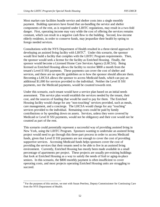Most market-rate facilities bundle service and shelter costs into a single monthly payment. Building operators have found that un-bundling the service and shelter components of the rent, as is required under LIHTC regulations, may result in a two-fold danger. First, operating income may vary while the cost of offering the services remains constant, which can result in a negative cash flow to the building. Second, low-income elderly residents, in order to conserve funds, may jeopardize their health by opting to forego needed services.

Consultations with the NYS Department of Health resulted in a three-tiered approach to developing an assisted living facility with LIHTC<sup>8</sup>. Under this scenario, the sponsor would first build a facility that complies with the LIHTC Program requirements. Then, the sponsor would seek a license for the facility as Enriched Housing. Finally, the sponsor would become a Licensed Home Care Services Agency (LHCSA). Being licensed as Enriched Housing allows the facility to receive \$800 a month from the tenant's Level II SSI payments. These payments can cover the cost of shelter and services, and there are no specific guidelines as to how the sponsor should allocate them. Becoming a LHCSA allows the sponsor to access Medicaid funds, which can pay an additional \$1,000 for services provided to the individual. Neither the Level II SSI payments, nor the Medicaid payments, would be counted towards rent.

Under this scenario, each tenant would have a service plan based on an initial needs assessment. This service plan would establish the services needed by the tenant, their cost, and the sources of funding that would be used to pay for them. The Enriched Housing facility would charge for any "non-touching" services provided, such as meals, care management, and a concierge. The LHCSA would charge for any "touching" services provided to the individual. Remaining costs could be paid by family contributions or by spending down on assets. Services, unless they were covered by Medicaid or Level II SSI payments, would not be obligatory and their cost would not be counted as part of the rent.

This scenario could potentially represent a successful way of providing assisted living in New York, using the LIHTC Program. Sponsors wanting to undertake an assisted living project would need to go through this three-part process in order to access Medicaid funds, given that Level II SSI payments are not enough to cover the cost of providing supportive services. Accessing Medicaid funds helps sponsors cover the cost of providing the services that their tenants need to be able to live in an assisted living environment. Currently, Enriched Housing has mostly been made available in a small percentage of apartments per project. These projects are usually pre-existing buildings that look at Enriched Housing as a way to satisfy the needs of frail or aging-in-place seniors. In this scenario, the \$800 monthly payment is often insufficient to cover operating costs, and most projects operating Enriched Housing units are struggling to succeed.

 $\overline{a}$ <sup>8</sup> For the purposes of this section, we met with Susan Peerless, Deputy Commissioner for Continuing Care from the NYS Department of Health.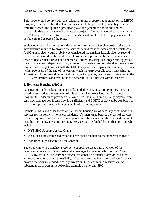This model would comply with the residential rental property requirement of the LIHTC Program, because the health-related services would be provided by an entity different from the owner: the sponsor, presumably also the general partner in the limited partnership that would own and operate the project. The model would comply with the LIHTC Program's rent restriction, because Medicaid and Level II SSI payments would not be counted as part of the rents.

Scale would be an important consideration for the success of such a project, since the infrastructure required to provide the services would make it unfeasible at a small scale. A 100-unit project would probably be considered the smallest feasible size. A second consideration would be the need to capitalize a rent-up reserve, because occupancy in these projects is need-driven and not market-driven, resulting in a longer rent-up period than is typical for independent living projects. Sponsors must consider that these market characteristics might conflict with the LIHTC requirement to place the building in service within two years of the end of the year in which the carryover allocation was achieved. A possible solution would be to build the project in phases, renting each phase within the LIHTC requirements and treating it as a separate LIHTC project with lower debt.

#### **2. Homeless Housing (SROs)**

Facilities for the homeless can be partially funded with LIHTC equity if they meet the criteria described at the beginning of this section. Homeless Housing Assistance Program (HHAP) funds provided as a low-interest loan (1% interest only, payable from cash flow and accrued if cash flow is insufficient) and LIHTC equity can be combined to fund development costs, including capitalized operating reserves.

Homeless SROs and other forms of transitional housing are of necessity combined with services for the formerly homeless residents. As mentioned before, the cost of services that are required as a condition of occupancy must be included in the rent, and that rent must be at or below the statutory limit. Services can be funded from other sources, which include: <u>"</u>

- NYS SRO Support Service Grants
- A sinking fund established from the developer's fee paid to the nonprofit sponsor
- Additional funds secured by the sponsor

The opportunity to capitalize a reserve to support services with a portion of the developer's fee can provide substantial advantages to the nonprofit sponsor. Most LIHTC investors will be wary of projects that depend on annual grants or legislative appropriations for operating feasibility. Creating a reserve from the developer's fee can provide the security needed to satisfy investors. Such capitalized reserves can be substantial, as shown in the following example of a 40-unit SRO.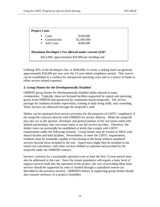| <b>Project Costs:</b>                                                                                            |                   |             |  |  |
|------------------------------------------------------------------------------------------------------------------|-------------------|-------------|--|--|
| п                                                                                                                | Land.             | \$100,000   |  |  |
| П                                                                                                                | Construction      | \$2,400,000 |  |  |
| П                                                                                                                | <b>Soft Costs</b> | \$280,000   |  |  |
| <b>Maximum Developer's Fee allowed under current QAP:</b><br>\$412,000, approximately \$10,000 per dwelling unit |                   |             |  |  |

Utilizing 50% of the developer's fee, or \$200,000, to create a sinking fund can generate approximately \$18,000 per year over the 15-year initial compliance period. This reserve can be established as a cushion for unexpected operating costs and as a source of funds to offset service-related expenses.

### **3. Group Homes for the Developmentally Disabled**

OMRDD group homes for developmentally disabled adults abound in many communities. Typically, these are licensed facilities supported by capital and operating grants from OMRDD and sponsored by community-based nonprofits. The service package for residents includes supervision, training in daily living skills, and counseling. These services are delivered through the nonprofit's staff.

Shelter can be separated from service provision for the purposes of LIHTC compliance, if the nonprofit contracts directly with OMRDD for service delivery. While the nonprofit may also act as the sponsor, developer and general partner of the real estate entity (the limited partnership), that real estate entity is not the service provider. Therefore, the shelter rents can potentially be established at levels that comply with LIHTC requirements under the following scenario. Group homes may be treated as SROs with shared kitchen and bath facilities. Nevertheless, to meet the LIHTC requirements, residents must be nominally capable of functioning in the home without mandated services beyond those included in the rent. Supervision might then be included in the rental cost calculation, with other services defined as optional and provided by the nonprofit under the OMRDD contract.

Investor concerns for a sustainable operation over at least the first 15-year period must also be addressed in this case. Since the tenant population will require a basic level of support services built into the operation of the project, the cost of providing these basic services should be supported by rents or funded through a capitalized reserve (as described in the previous section). OMRDD's history in supporting group homes should also reassure investors of a project's feasibility.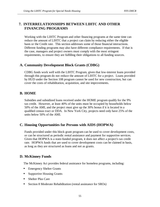## **7. INTERRELATIONSHIPS BETWEEN LIHTC AND OTHER FINANCING PROGRAMS**

Working with the LIHTC Program and other financing programs at the same time can reduce the amount of LIHTC that a project can claim by reducing either the eligible basis or the Credit rate. This section addresses some of those financial interactions. Different funding programs may also have different compliance requirements. If that is the case, managers and project owners must comply with the most stringent requirements, to ensure they are fulfilling their obligations to all funding sources.

### **A. Community Development Block Grants (CDBG)**

CDBG funds work well with the LIHTC Program, given that low-interest loans provided through this program do not reduce the amount of LIHTC for a project. Loans provided by HUD under the Section 108 program cannot be used for new construction, but can cover the costs of rehabilitation, acquisition, and site improvements.

### **B. HOME**

Subsidies and subsidized loans received under the HOME program qualify for the 9% tax credit. However, at least 40% of the units must be occupied by households below 50% of the AMI, and the project must give up the 30% bonus if it is located in a qualified census tract or DDA. In New York City, projects need only have 25% of the units below 50% of the AMI.

## **C. Housing Opportunities for Persons with AIDS (HOPWA)**

Funds provided under this block grant program can be used to cover development costs, or can be structured as periodic rental assistance and payment for supportive services. Given that HOPWA is a state-funded program, it does not affect a project's tax credit rate. HOPWA funds that are used to cover development costs can be claimed in basis, as long as they are structured as loans and not as grants.

## **D. McKinney Funds**

The McKinney Act provides federal assistance for homeless programs, including: Î

- **Emergency Shelter Grants**
- **Supportive Housing Grants**
- Shelter Plus Care
- **Section 8 Moderate Rehabilitation (rental assistance for SROs)**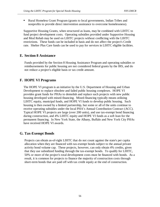Rural Homeless Grant Program (grants to local governments, Indian Tribes and nonprofits to provide direct intervention assistance to overcome homelessness).

Supportive Housing Grants, when structured as loans, may be combined with LIHTC to fund project development costs. Operating subsidies provided under Supportive Housing and Mod Rehab may be used on LIHTC projects without conflicting with the LIHTC restrictions. These funds can be included in basis and do not affect the project's Credit rate. Shelter Plus Care funds can be used to pay for services in LIHTC eligible facilities.

### **E. Section 8 Assistance**

Funds provided by the Section 8 Housing Assistance Program and operating subsidies or reimbursements for public housing are not considered federal grants by the IRS, and do not reduce a project's eligible basis or tax credit amount.

## **F. HOPE VI Programs**

The HOPE VI program is an initiative by the U.S. Department of Housing and Urban Development to replace obsolete and failed public housing complexes. HOPE VI provides grant funds for PHAs to demolish and replace such projects with new public housing developed with mixed-financing. Mixed-financing typically means utilizing LIHTC equity, municipal funds, and HOPE VI funds to develop public housing. Such housing is then owned by a limited partnership, but some or all of the units continue to receive operating subsidies under the local PHA's Annual Contribution Contract (ACC). Typical HOPE VI projects are large (over 200 units), and use tax-exempt bond financing during construction, and 4% LIHTC equity and HOPE VI funds as a soft loan for the permanent financing. In New York State, the Albany, Buffalo and New York City PHAs have received HOPE VI awards.

## **G. Tax-Exempt Bonds**

Projects can obtain as-of-right LIHTC that do not count against the state's per capita allocation when they are financed with tax-exempt bonds subject to the annual private activity bond volume cap. These projects, however, can only obtain 4% credits, given that they use subsidized funding through the tax-exempt bonds. To qualify for LIHTC, 50% or more of the project's total development costs must be financed with bonds. As a result, it is common for projects to finance the majority of construction costs through short-term bonds that are paid off with tax credit equity at the end of construction.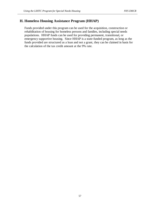### **H. Homeless Housing Assistance Program (HHAP)**

Funds provided under this program can be used for the acquisition, construction or rehabilitation of housing for homeless persons and families, including special needs populations. HHAP funds can be used for providing permanent, transitional, or emergency supportive housing. Since HHAP is a state-funded program, as long as the funds provided are structured as a loan and not a grant, they can be claimed in basis for the calculation of the tax credit amount at the 9% rate.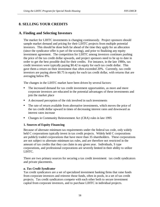## **8. SELLING YOUR CREDITS**

### **A. Finding and Selecting Investors**

The market for LIHTC investments is changing continuously. Project sponsors should sample market demand and pricing for their LIHTC projects from multiple potential investors. This should be done both far ahead of the time they apply for an allocation (since the syndicator offer is part of the scoring), and prior to finalizing any equity investment agreement. The competition for LIHTC among investors continues pushing the price of the tax credit dollar upwards, and project sponsors need to be up to date in order to get the best possible deal for their credits. For instance, in the late 1980s, tax credit investors were typically paying \$0.42 in equity for each tax credit dollar. This gave them a return on their investment that often exceeded 20%. Currently, tax credit investors are paying above \$0.75 in equity for each tax credit dollar, with returns that are averaging below 8%.

The changes in the LIHTC market have been driven by several factors: Î

- The increased demand for tax credit investment opportunities, as more and more corporate investors are educated in the potential advantages of these investments and join the market place
- A decreased perception of the risk involved in such investments
- **The rate of return available from alternative investments, which moves the price of** the tax credit dollar upward in times of decreasing interest rates and downward as interest rates increase
- Changes in Community Reinvestment Act (CRA) rules in late 1995

### **1. Sources of Equity Financing**

Because of alternate minimum tax requirements under the federal tax code, only widely held C corporations typically invest in tax credit projects. Widely held C corporations are publicly traded corporations that have more than 35 shareholders. These corporations are not subject to alternate minimum tax rules, and are therefore not restricted in the amount of tax credits that they can claim in any given year. Individuals, S type corporations, and professional corporations are severely limited in their ability to utilize LIHTC.

There are two primary sources for securing a tax credit investment: tax credit syndicators and private placements.

### *a. Tax Credit Syndicator*

Tax credit syndicators are a set of specialized investment banking firms that raise funds from corporate investors and reinvest those funds, often in pools, in a set of tax credit projects. Tax credit syndicators compete with each other both to secure investment capital from corporate investors, and to purchase LIHTC in individual projects.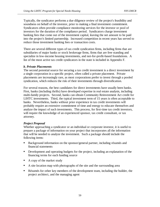Typically, the syndicator performs a due diligence review of the project's feasibility and soundness on behalf of the investor, prior to making a final investment commitment. Syndicators often provide compliance monitoring services for the investor or pool of investors for the duration of the compliance period. Syndicators charge investment banking fees that come out of the investment capital, leaving the net amount to be paid into the project's limited partnership. Increased competition in recent years has served to reduce those investment banking fees or transaction costs.

There are several different types of tax credit syndication firms, including firms that are subsidiaries of major banks or stock brokerage firms, firms that are free standing and specialize in low-income housing investments, and not-for-profit-based foundations. A list of the most active tax credit syndicators in the state is included in Appendix F.

#### *b. Private Placements*

The second potential source for securing a tax credit investment is a direct investment by a single corporation in a specific project, often called a private placement. Private placements are increasingly rare, as most corporations prefer to invest through a pooled syndication, which reduces the risk of their investments through diversification.

For several reasons, the best candidates for direct investments have usually been banks. First, banks (including thrifts) have developed expertise in real estate analysis, including multi-family projects. Second, banks can obtain Community Reinvestment Act credit for LIHTC investments. Third, the typical investment term of 15 years is often acceptable to banks. Nevertheless, banks without prior experience in tax credit investments will probably require an extensive commitment of time and energy to educate themselves and analyze the impact of such investments. This process, for first-time tax credit investors, will require the knowledge of an experienced sponsor, tax credit consultant, or tax attorney.

### *Project Proposal*

Whether approaching a syndicator or an individual or corporate investor, it is useful to prepare a package of information on your project that incorporates all the information that will be needed to analyze the investment. Such a package should include the following items:  $\ddot{\phantom{0}}$ 

- Background information on the sponsor/general partner, including résumés and financial statements
- Development and operating budgets for the project, including an explanation of the financing terms for each funding source
- A copy of the market study
- A site location map with photographs of the site and the surrounding area
- Résumés for other key members of the development team, including the builder, the project architect, and the managing agent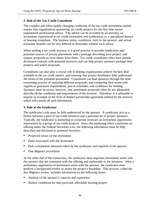#### **2. Role of the Tax Credit Consultant**

The complex and often rapidly changing conditions of the tax credit investment market require that organizations sponsoring tax credit projects for the first time secure experienced professional advice. This advice can be provided by an attorney, an accountant experienced in tax credit investment and syndication, or a specialized finance or housing consultant. The business terms, conditions, risks to the sponsor, and actual economic benefits can be very difficult to determine without such advice.

When seeking a tax credit investor, it is good practice to provide syndicators and potential sources of private placements with a package describing your project, and request proposals or term sheets from them. Tax credit consultants often have already developed contacts with potential investors and can help project sponsors package their projects and solicit proposals.

Consultants can also play a crucial role in helping organizations achieve the best deal available in the tax credit market, and ensuring that project developers fully understand the terms of the potential investment. Consultants can lead sponsors through the timeconsuming process of analyzing different proposals, and comparing their terms with regards to guarantee requirements, pay-in schedules, and conditions for funding. Sponsors must be aware, however, that investment proposals often do not adequately describe all the conditions and requirements of the investor. Therefore, it is advisable to request an example of the form of limited partnership agreement utilized by the investor, which will contain all such information.

#### **3. Role of the Syndicator**

The syndicator's role must be fully understood by the sponsor. A syndicator acts as a broker between a pool of tax credit investors and a potential set of project sponsors. Typically, the syndicator is marketing to corporate investors an investment opportunity represented by a group of tax credit projects. Since this marketing effort constitutes an offering under the Federal Securities Law, the following information must be fully described and disclosed to potential investors:  $\ddot{\phantom{0}}$ 

- Projected return on the investment
- Risks associated with the investment
- Risk containment measures taken by the syndicator and required of the sponsor
- Due diligence procedures

At the other end of the transaction, the syndicator must negotiate investment terms with the sponsor that are consistent with the offering and marketable to the investors. After a preliminary negotiation of investment terms with the sponsor, the syndicator must perform a background review to assess the project's feasibility. This process, called the due diligence review, includes information on the following issues:  $\overline{a}$ 

- Analysis of the sponsor's capacity and experience
- Market conditions for that particular affordable housing project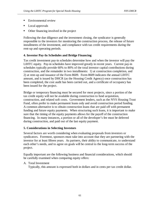- Environmental review
- Local approvals
- Other financing involved in the project

Following the due diligence and the investment closing, the syndicator is generally responsible to the investors for monitoring the construction process, the release of future installments of the investment, and compliance with tax credit requirements during the rent-up and operating periods.

### **4. Investor Pay-In Schedules and Bridge Financing**

Tax credit investment pay-in schedules determine how and when the investor will pay the LIHTC equity. Pay-in schedules have improved greatly in recent years. Current pay-in schedules typically provide 60% to 80% of the total investor capital contributions during construction, and the remainder in two installments: 1) at construction completion, and 2) at rent-up and issuance of the Form 8609. Form 8609 indicates the annual LIHTC amount, and is issued by DHCR (as the Housing Credit Agency) once construction has been completed, the cost audit has been carried out, and a certificate of occupancy has been issued for the project.

Bridge or temporary financing must be secured for most projects, since a portion of the tax credit equity will not be available during construction to fund acquisition, construction, and related soft costs. Government lenders, such as the NYS Housing Trust Fund, often prefer to make permanent loans only and avoid construction period funding. A common alternative is to obtain construction loans that are paid off with permanent funding and future equity payments. When structuring such loans, it is important to make sure that the timing of the equity payments allows for the payoff of the construction financing. In many instances, a portion or all of the developer's fee must be deferred during construction, and paid out of the last equity payment.

### **5. Considerations in Selecting Investors**

Several factors are worth considering when evaluating proposals from investors or syndicators. Foremost, sponsors must take into account that they are partnering with the investor for at least fifteen years. As partners, their ability to communicate, to understand each other's needs, and to agree on goals will be central to the long-term success of the project.

Equally important are the following business and financial considerations, which should be carefully examined when comparing equity offers:

### A. Total Investment

Typically, this amount is expressed both in dollars and in cents per tax credit dollar.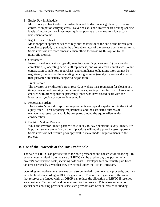#### B. Equity Pay-In Schedule

More money upfront reduces construction and bridge financing, thereby reducing construction period carrying costs. Nevertheless, since investors are seeking specific levels of return on their investment, quicker pay-ins usually lead to a lower total investment amount.

#### C. Right of First Refusal

Most nonprofit sponsors desire to buy out the investor at the end of the fifteen-year compliance period, to maintain the affordable status of the project over a longer term. Some investors are more amenable than others to providing this option to the nonprofit sponsor.

#### D. Guarantees

Investors and syndicators typically seek four specific guarantees: 1) construction completion, 2) operating deficits, 3) repurchase, and 4) tax credit compliance. While construction completion, repurchase, and compliance obligations often cannot be negotiated, the term of the operating deficit guarantee (usually 3 years) and a cap on that guarantee are usually subject to negotiation.

E. Track Record

The investor or syndicator's track record, as well as their reputation for closing in a timely manner and honoring their commitments, are important factors. These can be checked with other sponsors, preferably those who have closed deals with the investor or syndicator you are interested in.

#### F. Reporting Burden

The investor's periodic reporting requirements are typically spelled out in the initial equity offer. These reporting requirements, and the associated burdens on management resources, should be compared among the equity offers under consideration.

### G. Decision Making Process

While the investor limited partner's role in day-to-day operations is very limited, it is important to analyze which partnership actions will require prior investor approval. Some investors will require prior approval to make modest improvements to the project.

### **B. Use of the Proceeds of the Tax Credit Sale**

The sale of LIHTC can provide funds for both permanent and construction financing. In general, equity raised from the sale of LIHTC can be used to pay any portion of a project's construction costs, including soft costs. Developer fees are usually paid from tax credit proceeds, given that they are earned under the LIHTC Program.

Operating and replacement reserves can also be funded from tax credit proceeds, but they must be funded according to DHCR's guidelines. This is true regardless of the source that reserves are funded with, as DHCR can reduce the allocation of LIHTC if reserves are considered "excessive" and unnecessary for the project. This raises an issue for special needs housing providers, since such providers are often interested in funding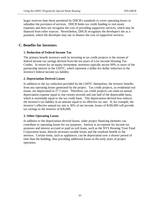larger reserves than those permitted by DHCR's standards to cover operating losses or subsidize the provision of services. DHCR limits tax credit funding to real estate expenses and does not recognize the cost of providing supportive services, which may be financed from other sources. Nevertheless, DHCR recognizes the developer's fee as a payment, which the developer may use to finance the cost of supportive services.

### **C. Benefits for Investors**

### **1. Reduction of Federal Income Tax**

The primary benefit investors seek by investing in tax credit projects is the stream of federal income tax savings derived from the ten years of Low Income Housing Tax Credits. In return for an equity investment, investors typically secure 99% or more of the partnership interest in the LIHTC, which represent a dollar-for-dollar reduction in the investor's federal income tax liability.

#### **2. Depreciation-Derived Losses**

In addition to the tax reduction provided by the LIHTC themselves, the investor benefits from any operating losses generated by the project. Tax credit projects, as residential real estate, are depreciated in 27.5 years. Therefore, tax credit projects can claim an annual depreciation expense equal to one twenty-seventh and one half of the depreciable basis, which is essentially equal to the tax credit basis. This depreciation-derived loss reduces the investor's tax liability in an amount equal to its effective tax rate. If, for example, the investor's effective annual tax rate is 36% of net income, losses of \$100,000 will provide tax savings to the investor of \$36,000.

### **3. Other Operating Losses**

In addition to the depreciation-derived losses, other project financing elements can contribute to operating losses for tax purposes. Interest is an expense for income tax purposes and interest accrued or paid on soft loans, such as the NYS Housing Trust Fund Corporation loans, directly increases taxable losses and the resultant benefit to the investor. Certain items, such as appliances, can be depreciated over a shorter period of time than the building, thus providing additional losses in the early years of project operation.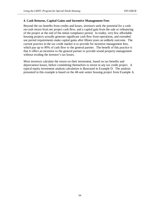#### **4. Cash Returns, Capital Gains and Incentive Management Fees**

Beyond the tax benefits from credits and losses, investors seek the potential for a cashon-cash return from net project cash flow, and a capital gain from the sale or refinancing of the project at the end of the initial compliance period. In reality, very few affordable housing projects actually generate significant cash flow from operations, and extended use period requirements make capital gains after fifteen years an unlikely outcome. The current practice in the tax credit market is to provide for incentive management fees, which pay up to 90% of cash flow to the general partner. The benefit of this practice is that it offers an incentive to the general partner to provide sound property management without eroding the investor's tax losses.

Most investors calculate the return on their investment, based on tax benefits and depreciation losses, before committing themselves to invest in any tax credit project. A typical equity investment analysis calculation is illustrated in Example D. The analysis presented in this example is based on the 48-unit senior housing project from Example A.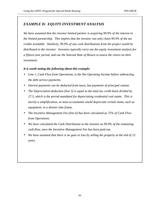### *EXAMPLE D: EQUITY INVESTMENT ANALYSIS*

*We have assumed that the investor limited partner is acquiring 99.9% of the interest in the limited partnership. This implies that the investor can only claim 99.9% of the tax credits available. Similarly, 99.9% of any cash distributions from the project would be distributed to the investor. Investors typically carry out the equity investment analysis for a fifteen-year period, and use the Internal Rate of Return to assess the return on their investment.* 

#### *It is worth noting the following about this example:*

- *Line 1, Cash Flow from Operations, is the Net Operating Income before subtracting the debt service payments.*
- *Interest payments can be deducted from taxes, but payments of principal cannot.*
- *The Depreciation deduction (line 5) is equal to the total tax credit basis divided by 27.5, which is the period mandated for depreciating residential real estate. This is merely a simplification, as most accountants would depreciate certain items, such as equipment, in a shorter time frame.*
- *The Incentive Management Fee (line 6) has been calculated as 75% of Cash Flow from Operations.*
- *We have calculated the Cash Distribution to the investor as 99.9% of the remaining cash flow, once the Incentive Management Fee has been paid out.*
- *We have assumed that there is no gain or loss by selling the property at the end of 15 years.*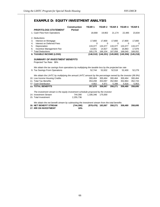## **EXAMPLE D: EQUITY INVESTMENT ANALYSIS**

| <b>PROFIT/LOSS STATEMENT</b>                                                                               | <b>Construction</b><br><b>Period</b> | <b>YEAR1</b>         |          |         | YEAR 2 YEAR 3 YEAR 4 YEAR 5                     |            |
|------------------------------------------------------------------------------------------------------------|--------------------------------------|----------------------|----------|---------|-------------------------------------------------|------------|
| 1. Cash Flow from Operations                                                                               |                                      | 18,668               | 19,902   | 21,174  | 22,485                                          | 23,834     |
| 2. Deductions                                                                                              |                                      |                      |          |         |                                                 |            |
| Interest on Mortgage<br>3.                                                                                 |                                      | 17,800               | 17,800   | 17,800  | 17,800                                          | 17,800     |
| Interest on Deferred Fees<br>4.                                                                            |                                      | $\Omega$             | $\Omega$ | 0       | $\Omega$                                        | 0          |
| Depreciation<br>5.                                                                                         |                                      | 133,377              | 133,377  | 133,377 | 133,377                                         | 133,377    |
| Incentive Management Fee<br>6.                                                                             |                                      | 14,001               | 14,927   | 15,881  | 16,863                                          | 17,876     |
| 7. Total Deductions                                                                                        |                                      | 165,178              | 166,104  | 167,058 | 168,040                                         | 169,052    |
| 8. TAXABLE INCOME (LOSS)                                                                                   |                                      |                      |          |         | $(146,510)$ $(146,201)$ $(145,883)$ $(145,556)$ | (145, 218) |
| <b>SUMMARY OF INVESTMENT BENEFITS</b>                                                                      |                                      |                      |          |         |                                                 |            |
| Projected Tax Rate: 36%                                                                                    |                                      |                      |          |         |                                                 |            |
| We obtain the tax savings from operations by multiplying the taxable loss by the projected tax rate        |                                      |                      |          |         |                                                 |            |
| 9. Tax Savings From Operations                                                                             |                                      | 52.744               | 52.632   | 52.518  | 52.400                                          | 52,279     |
| We obtain the LIHTC by multiplying the annual LIHTC amount by the percentage owned by the investor (99.9%) |                                      |                      |          |         |                                                 |            |
| 10. Low Income Housing Credits                                                                             |                                      | 300,464              | 300,464  | 300,464 | 300,464                                         | 300,464    |
| 11. Total Tax Benefits                                                                                     |                                      | 353,208              | 353.097  | 352.982 | 352.864                                         | 352,743    |
| 12. Cash Distribution                                                                                      |                                      | 4,662                | 4,971    | 5,288   | 5,616                                           | 5,953      |
| <b>13. TOTAL BENEFITS</b>                                                                                  |                                      | 357,870              | 358,067  | 358,271 | 358,480                                         | 358,695    |
| The investment stream is the equity investment schedule proposed by the investor                           |                                      |                      |          |         |                                                 |            |
| 14. Investment Stream                                                                                      | 744,390                              | 1,336,346            | 175.000  |         |                                                 |            |
| 15. Total Investment                                                                                       | 2,255,736                            |                      |          |         |                                                 |            |
| We obtain the net benefit stream by subtracting the investment stream from the total benefits              |                                      |                      |          |         |                                                 |            |
| <b>16. NET BENEFIT STREAM</b>                                                                              | (744, 390)                           | $(978, 476)$ 183,067 |          | 358,271 | 358,480                                         | 358,695    |
| <b>17. IRR ON INVESTMENT</b>                                                                               | 16%                                  |                      |          |         |                                                 |            |
|                                                                                                            |                                      |                      |          |         |                                                 |            |
|                                                                                                            |                                      |                      |          |         |                                                 |            |
|                                                                                                            |                                      |                      |          |         |                                                 |            |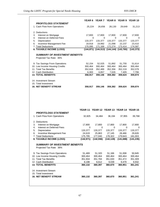|                                                                  |                                         | YEAR 6 YEAR 7 YEAR 8 YEAR 9 YEAR 10             |                   |                       |                       |
|------------------------------------------------------------------|-----------------------------------------|-------------------------------------------------|-------------------|-----------------------|-----------------------|
| <b>PROFIT/LOSS STATEMENT</b><br>1. Cash Flow from Operations     | 25,224                                  | 26,656                                          | 28,130            | 29,649                | 31,213                |
| 2. Deductions                                                    |                                         |                                                 |                   |                       |                       |
| 3.<br>Interest on Mortgage                                       | 17,800                                  | 17,800                                          | 17,800            | 17,800                | 17,800                |
| 4.<br>Interest on Deferred Fees                                  |                                         | 0<br>0                                          | 0                 | 0                     | 0                     |
| 5.<br>Depreciation<br>Incentive Management Fee<br>6.             | 133,377<br>18,918                       | 133,377<br>19,992                               | 133,377<br>21,098 | 133,377<br>22,237     | 133,377<br>23,410     |
| 7. Total Deductions                                              | 170,095                                 | 171,169                                         | 172,274           | 173,414               | 174,587               |
| 8. TAXABLE INCOME (LOSS)                                         |                                         | $(144,871)$ $(144,513)$ $(144,144)$ $(143,765)$ |                   |                       | (143, 373)            |
| <b>SUMMARY OF INVESTMENT BENEFITS</b>                            |                                         |                                                 |                   |                       |                       |
| Projected Tax Rate: 36%                                          |                                         |                                                 |                   |                       |                       |
| 9. Tax Savings From Operations                                   | 52,154                                  | 52,025                                          | 51,892            | 51,755                | 51,614                |
| 10. Low Income Housing Credits                                   | 300,464                                 | 300,464                                         | 300,464           | 300,464               | 300,464               |
| 11. Total Tax Benefits                                           | 352,618                                 | 352,489                                         | 352,356           | 352,219               | 352,079               |
| 12. Cash Distribution<br><b>13. TOTAL BENEFITS</b>               | 6,300                                   | 6,657                                           | 7,026             | 7,405<br>359,624      | 7,796                 |
|                                                                  | 358,917                                 | 359,146                                         | 359,382           |                       | 359,874               |
| 14. Investment Stream                                            |                                         |                                                 |                   |                       |                       |
| 15. Total Investment                                             |                                         |                                                 |                   |                       |                       |
| <b>16. NET BENEFIT STREAM</b>                                    | 358,917                                 | 359,146                                         | 359,382           | 359,624               | 359,874               |
|                                                                  |                                         |                                                 |                   |                       |                       |
|                                                                  | YEAR 11 YEAR 12 YEAR 13 YEAR 14 YEAR 15 |                                                 |                   |                       |                       |
| <b>PROFIT/LOSS STATEMENT</b>                                     |                                         |                                                 |                   |                       |                       |
| 1. Cash Flow from Operations                                     | 32,825                                  | 34,484                                          | 36,194            | 37,955                | 39,768                |
| 2. Deductions                                                    |                                         |                                                 |                   |                       |                       |
| 3.<br>Interest on Mortgage                                       | 17,800                                  | 17,800                                          | 17,800            | 17,800                | 17,800                |
| 4.<br>Interest on Deferred Fees                                  | 0                                       | 0                                               | 0                 | 0                     | 0                     |
| 5.<br>Depreciation                                               | 133,377                                 | 133,377                                         | 133,377           | 133,377               | 133,377               |
| Incentive Management Fee<br>6.                                   | 24,619                                  | 25.863                                          | 27,145<br>178,322 | 28,466                | 29,826                |
| 7. Total Deductions<br>8. TAXABLE INCOME (LOSS)                  | 175,795<br>(142, 971)                   | 177,040<br>(142, 556)                           | (142, 128)        | 179,643<br>(141, 688) | 181,003<br>(141, 235) |
| <b>SUMMARY OF INVESTMENT BENEFITS</b><br>Projected Tax Rate: 36% |                                         |                                                 |                   |                       |                       |
| 9. Tax Savings From Operations                                   | 51,469                                  | 51,320                                          | 51,166            | 51,008                | 50,845                |
| 10. Low Income Housing Credits                                   | 300,464                                 | 300,464                                         | 300,464           | 300,464               | 300,464               |
| 11. Total Tax Benefits                                           | 351,934                                 | 351,784                                         | 351,630           | 351,472               | 351,309               |
| 12. Cash Distribution<br><b>13. TOTAL BENEFITS</b>               | 8,198<br>360,132                        | 8,612<br>360,397                                | 9,039<br>360,670  | 9,479<br>360,951      | 9,932<br>361,241      |
| 14. Investment Stream                                            |                                         |                                                 |                   |                       |                       |
| 15. Total Investment                                             |                                         |                                                 |                   |                       |                       |
| <b>16. NET BENEFIT STREAM</b>                                    | 360,132                                 | 360,397                                         | 360,670           | 360,951               | 361,241               |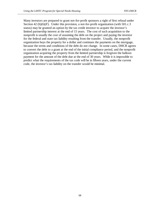Many investors are prepared to grant not-for-profit sponsors a right of first refusal under Section 42 (h)(6)(F). Under this provision, a not-for-profit organization (with 501.c.3 status) may be granted an option by the tax credit investor to acquire the investor's limited partnership interest at the end of 15 years. The cost of such acquisition to the nonprofit is usually the cost of assuming the debt on the project and paying the investor for the federal and state tax liability resulting from the transfer. Usually, the nonprofit organization buys the property for a dollar and continues the payments on the mortgage, because the terms and conditions of the debt do not change. In some cases, DHCR agrees to convert the debt to a grant at the end of the initial compliance period, and the nonprofit organization acquiring the property from the limited partnership is forgiven the balloon payment for the amount of the debt due at the end of 30 years. While it is impossible to predict what the requirements of the tax code will be in fifteen years, under the current code, the investor's tax liability on the transfer would be minimal.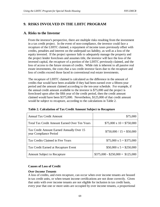# **9. RISKS INVOLVED IN THE LIHTC PROGRAM**

### **A. Risks to the Investor**

From the investor's perspective, there are multiple risks resulting from the investment in a tax credit project. In the event of non-compliance, the investor could face a recapture of the LIHTC claimed, a repayment of income taxes previously offset with credits, penalties and interest on the underpaid tax liability, as well as a loss of the equity invested. If the project sponsor fails to adequately manage the property and the project lender forecloses and assumes title, the investor will face the loss of the invested capital, the recapture of a portion of the LIHTC previously claimed, and the loss of access to the future stream of credits. While risk is inherent to all passive real estate investments, the costs that a tax credit investor faces due to the recapture and loss of credits exceed those faced in conventional real estate investments.

The recapture of LIHTC claimed is calculated as the difference in the amount of credits that would have been available if they had been earned over a fifteen-year period and the amount claimed according to the ten-year schedule. For example, if the annual credit amount available to the investor is \$75,000 and the project is foreclosed upon after the fifth year of the credit period, then the credit amount claimed would have been \$375,000. Nevertheless, \$125,000 of that credit amount would be subject to recapture, according to the calculations in Table 2.

| <b>Annual Tax Credit Amount</b>                                     | \$75,000                         |
|---------------------------------------------------------------------|----------------------------------|
| Total Tax Credit Amount Earned Over Ten Years                       | $$75,000 \times 10 = $750,000$   |
| Tax Credit Amount Earned Annually Over 15<br>year Compliance Period | $$750,000 / 15 = $50,000$        |
| Tax Credits Claimed in Five Years                                   | $$75,000 \times 5 = $375,000$    |
| Tax Credit Earned at Recapture Event                                | $$50,000 \times 5 = $250,000$    |
| <b>Amount Subject to Recapture</b>                                  | $$375,000 - $250,000 = $125,000$ |

**Table 2. Calculation of Tax Credit Amount Subject to Recapture** 

#### **Causes of Loss of Credit**

#### *Over Income Tenants*

A loss of credits, and even recapture, can occur when over income tenants are housed in tax credit units, or when tenant income certifications are not done correctly. Given that units with over income tenants are not eligible for inclusion in tax credit basis, every year that one or more units are occupied by over income tenants, a proportional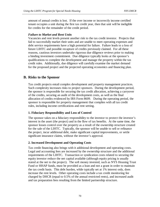amount of annual credits is lost. If the over income or incorrectly income certified tenant occupies a unit during the first tax credit year, then that unit will be ineligible for credits for the remainder of the credit period.

#### *Failure to Market and Rent Units*

Vacancies and rent levels present another risk to the tax credit investor. Projects that fail to successfully market their units and are unable to meet operating expenses and debt service requirements have a high potential for failure. Failure leads to a loss of future LIHTC and possible recapture of credits previously claimed. For all these reasons, cautious investors undertake rigorous due diligence reviews prior to making a binding investment commitment. Due diligence typically looks at the sponsor's qualifications to complete the development and manage the property within the tax credit rules. Additionally, due diligence will carefully examine the market demand for the proposed project and the projected operating economics and financing plan.

# **B. Risks to the Sponsor**

Tax credit projects entail complex development and property management practices. Such complexity increases risks to project sponsors. During the development period, the sponsor is responsible for securing the tax credit allocation, achieving a carryover of the credits, securing an audit of the development costs, as well as the final allocation of credits evidenced by IRS Form 8609. During the operating period, the sponsor is responsible for property management that complies with all tax credit rules, including income certifications and rent setting.

### **1. Fiduciary Responsibility and Loss of Control**

The sponsor takes on a fiduciary responsibility to the investor to protect the investor's interest in the asset (the project) and in the flow of tax benefits. At the same time, the sponsor losses control over the property as a result of the ownership structure created for the sale of the LIHTC. Typically, the sponsor will be unable to sell or refinance the project, incur additional debt, make significant capital improvements, or settle significant insurance claims, without the investor's approval.

### **2. Increased Development and Operating Costs**

Tax credit financing also brings with it additional development and operating costs. Legal and accounting fees are increased by the ownership structure and the additional requirements of the LIHTC. Transaction or syndication costs related to securing the equity investor reduce the net capital available (although equity pricing is usually stated at the net to the project). The soft money invested, such as NYS Housing Trust Fund or HHAP funds, must be provided as a loan and not a grant in order to maintain the tax credit basis. This debt burden, while typically set at 1% interest only, does increase the rent levels. Other operating costs include a tax credit monitoring fee charged by DHCR (equal to 0.5% of the annual restricted rents), and increased audit and tax preparation fees resulting from the limited partnership structure.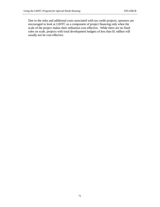Due to the risks and additional costs associated with tax credit projects, sponsors are encouraged to look at LIHTC as a component of project financing only when the scale of the project makes their utilization cost-effective. While there are no fixed rules on scale, projects with total development budgets of less than \$1 million will usually not be cost-effective.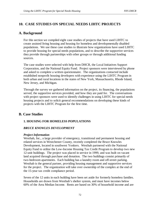# **10. CASE STUDIES ON SPECIAL NEEDS LIHTC PROJECTS**

## **A. Background**

For this section we compiled eight case studies of projects that have used LIHTC to create assisted living housing and housing for homeless and developmentally disabled populations. We use these case studies to illustrate how organizations have used LIHTC to provide housing for special needs populations, and to describe the supportive services they provide through partnerships with other groups or through additional funding sources.

The case studies were selected with help from DHCR, the Local Initiatives Support Corporation, and the National Equity Fund. Project sponsors were interviewed by phone and asked to complete a written questionnaire. The organizations contacted include established nonprofit housing developers with experience using the LIHTC Program in both urban and rural locations in the states of New York, Massachusetts, Rhode Island, New Jersey, and Michigan.

Through the survey we gathered information on the project, its financing, the populations served, the supportive services provided, and how they are paid for. The conversations with project sponsors were used to identify challenges in using LIHTC for special needs housing projects and to solicit general recommendations on developing these kinds of projects with the LIHTC Program for the first time.

# **B. Case Studies**

### **1. HOUSING FOR HOMELESS POPULATIONS**

### *BRUCE KNOWLES DEVELOPMENT*

#### *Project Information*

Westhab, Inc., a large provider of emergency, transitional and permanent housing and related services in Westchester County, recently completed the Bruce Knowles Development, located in southwest Yonkers. Westhab partnered with the National Equity Fund to utilize the Low-Income Housing Tax Credit Program to develop two new 12-unit buildings. The project was placed in service in 1999, and was built on vacant land acquired through purchase and donation. The two buildings consist primarily of two-bedroom apartments. Each building has a laundry room and off-street parking. Westhab is the general partner, providing housing management and supportive services for the project. The organization will take over ownership of the complex at the end of the 15-year tax credit compliance period.

Seven of the 12 units in each building have been set aside for formerly homeless families. Households are drawn from Westhab's shelter system, and must have incomes below 60% of the Area Median Income. Rents are based on 30% of household income and are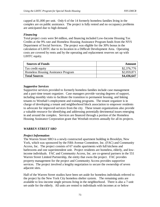capped at \$1,000 per unit. Only 6 of the 14 formerly homeless families living in the complex are on public assistance. The project is fully rented and no occupancy problems are anticipated due to high demand.

#### *Financing*

Total project costs were \$4 million, and financing included Low-Income Housing Tax Credits at the 9% rate and Homeless Housing Assistance Program funds from the NYS Department of Social Services. The project was eligible for the 30% bonus in the calculation of LIHTC due to its location in a Difficult Development Area. Operating costs are covered by rents and by the operating and replacement reserves set up with LIHTC equity.

| <b>Sources of Funds</b>             | Amount      |
|-------------------------------------|-------------|
| Tax credit equity                   | \$2,376,776 |
| Homeless Housing Assistance Program | \$2,059,871 |
| <b>Total Sources</b>                | \$4,436,647 |

#### *Supportive Services*

Supportive services provided to formerly homeless families include case management and a part-time tenant organizer. Case managers provide varying degrees of support, including monthly visits to facilitate the transition to permanent housing, and linking tenants to Westhab's employment and training programs. The tenant organizer is in charge of developing a tenant and neighborhood block association to empower residents to advocate for improved services from the city. These tenant organizations also provide a valuable resource for identifying and addressing potentially detrimental issues emerging in and around the complex. Services are financed through a portion of the Homeless Housing Assistance Corporation grant that Westhab receives annually for all its projects.

### *WARREN STREET SRO*

#### *Project Information*

The Warren Street SRO is a newly constructed apartment building in Brooklyn, New York, which was sponsored by the Fifth Avenue Committee, Inc. (FAC) and Community Access, Inc. The project consists of 67 studio apartments with full kitchens and bathrooms and one superintendent unit. Project residents are homeless, elderly, and lowincome individuals. FAC and Community Access, Inc. are co-general partners in the 551 Warren Street Limited Partnership, the entity that owns the project. FAC provides property management for the project and Community Access provides supportive services. The project involved a lengthy negotiation to secure the ownership of seven adjacent sites.

Half of the Warren Street studios have been set-aside for homeless individuals referred to the project by the New York City homeless shelter system. The remaining units are available to low-income single persons living in the neighborhood. There is also a 7-unit set-aside for the elderly. All units are rented to individuals with incomes at or below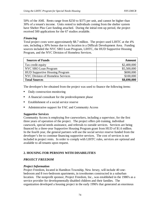50% of the AMI. Rents range from \$250 to \$375 per unit, and cannot be higher than 30% of a tenant's income. Units rented to individuals coming from the shelter system have Shelter Plus Care funding attached. During the initial rent-up period, the project received 500 applications for the 67 studios available.

#### *Financing*

Total project costs were approximately \$8.7 million. The project used LIHTC at the 4% rate, including a 30% bonus due to its location in a Difficult Development Area. Funding sources included the NYC SRO Loan Program, LIHTC, the HUD Supportive Housing Program, and the NYC Division of Homeless Services.

| <b>Sources of Funds</b>               | <b>Amount</b> |
|---------------------------------------|---------------|
| Tax credit equity                     | \$2,400,000   |
| NYC SRO Loan Program                  | \$5,500,000   |
| <b>HUD Supportive Housing Program</b> | \$690,000     |
| NYC Division of Homeless Services     | \$100,000     |
| <b>Total Sources</b>                  | \$8,690,000   |

The developer's fee obtained from the project was used to finance the following items: Î

- Daily construction monitoring
- A financial consultant for the predevelopment phase
- **Establishment of a social service reserve**
- Administrative support for FAC and Community Access

#### *Supportive Services*

Community Access is employing five caseworkers, including a supervisor, for the first three years of operation of the project. The project offers job training, individual casework, special needs assistance, and referrals to outside services. Services are being financed by a three-year Supportive Housing Program grant from HUD of \$1.6 million. In the fourth year, the general partners will use the social service reserve funded from the developer's fee to continue financing supportive services. The cost of services is not included in project rents. In order to comply with LIHTC rules, services are optional and available to all tenants upon request.

### **2. HOUSING FOR PERSONS WITH DISABILITIES**

### *PROJECT FREEDOM*

#### *Project Information*

Project Freedom, located in Hamilton Township, New Jersey, will include 40 onebedroom and 8 two-bedroom apartments, in townhomes constructed in a suburban location. The nonprofit sponsor, Project Freedom, Inc., was established in the 1980's as a service provider for developmentally disabled children and their families. The organization developed a housing project in the early 1990's that generated an enormous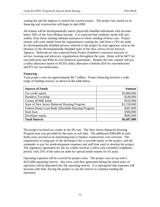waiting list and the impetus to launch the current project. The project has closed on its financing and construction will begin in mid-2000.

All tenants will be developmentally and/or physically disabled individuals with incomes below 50% of the Area Median Income. It is expected that residents' needs will vary widely, from those needing minimal assistance to those needing 24-hour care. Project tenants will come mainly from the organization's waiting list, and from a 25% set aside for developmentally disabled persons referred to the project by state agencies, such as the Division of the Developmentally Disabled (part of the New Jersey Social Services Agency). Referrals are also expected from Project Freedom's extensive network of service, housing and advocacy organizations throughout the state. Rents will be \$471 for one-bedrooms and \$504 for two-bedroom apartments. Besides the rent, tenants will pay a utility allowance based on HUD's utility allowance schedule (\$54 for one-bedrooms and \$72 for two-bedrooms).

### *Financing*

| <b>Sources of Funds</b>                             | Amount      |
|-----------------------------------------------------|-------------|
| Tax credit equity                                   | \$3,800,000 |
| <b>Hamilton Township</b>                            | \$240,000   |
| <b>County HOME funds</b>                            | \$320,000   |
| <b>State of New Jersey Balanced Housing Program</b> | \$1,150,000 |
| Federal Home Loan Bank Affordable Housing Program   | \$287,000   |
| State loan                                          | \$300,000   |
| Developer equity                                    | \$600,000   |
| <b>Total Sources</b>                                | \$6,697,000 |

Total project costs are approximately \$6.7 million. Project financing involves a wide range of funding sources, as shown in the table below.

The project received tax credits at the 9% rate. The New Jersey Balanced Housing Program loan was provided by the state as soft debt. The additional \$300,000 in state funds were secured as an amortizing loan to finance construction cost overruns. The organization is using part of the developer's fee to provide equity to the project, and the remainder to pay for predevelopment expenses and staff time used to develop the project. The regulatory agreement for the tax credits involves a thirty-year extended compliance period, with 25% of the units set aside for special needs tenants for 45 years.

Operating expenses will be covered by project rents. The project was set up with a \$225,000 operating reserve. Any extra cash flow generated during the initial years of operation will be deposited into the operating reserve. It is anticipated that expenses will increase with time, forcing the project to use the reserve to continue funding the operation.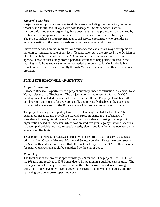#### *Supportive Services*

Project Freedom provides services to all its tenants, including transportation, recreation, tenant associations, and linkages with case managers. Some services, such as transportation and tenant organizing, have been built into the project and can be used by the tenants on an optional basis at no cost. These services are covered by project rents. The project includes a property manager/social service coordinator who provides an initial evaluation of the tenants' needs and coordinates a network of support.

Supportive services are not required for occupancy and each tenant may develop his or her own customized bundle of services. Tenants referred to the project by the Division of Developmentally Disabled under the 25% set aside receive services directly from the agency. These services range from a personal assistant to help getting dressed in the morning, to full-day supervision or an as-needed emergency call. Medicaid-eligible tenants receive their services directly through Medicaid and can select their own service provider.

## *ELIZABETH BLACKWELL APARTMENTS*

### *Project Information*

Elizabeth Blackwell Apartments is a project currently under construction in Geneva, New York, a city south of Rochester. The project involves the reuse of a former YMCA building, which included commercial uses on the first floor. The project will have 20 one-bedroom apartments for developmentally and physically disabled individuals, and commercial space leased to the Boys and Girls Club and a construction company.

The project is being developed by Castle Street Housing Limited Partnership. The general partner is Equity Providence-Capital Street Housing, Inc, a subsidiary of Providence Housing Development Corporation. Providence Housing is a nonprofit organization based in Rochester, which was created five years ago by Catholic Charities to develop affordable housing for special needs, elderly and families in the twelve-county area around Rochester.

Tenants for the Elizabeth Blackwell project will be referred by social service agencies, primarily from Ontario, Monroe, Wayne and Seneca counties. Rents have been seen at \$365 a month, and it is anticipated that all tenants will pay less than 30% of their income for rent. Construction should be completed by the end of 2000.

### *Financing*

The total cost of the project is approximately \$2.9 million. The project used LIHTC at the 9% rate and received a 30% bonus due to its location in a qualified census tract. The funding sources for the project are shown in the table below. Providence Housing is using part of the developer's fee to cover construction and development costs, and the remaining portion to cover operating costs.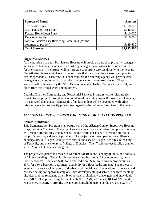| <b>Sources of Funds</b>                           | <b>Amount</b> |
|---------------------------------------------------|---------------|
| Tax credit equity                                 | \$1,900,000   |
| NYS Housing Trust Fund                            | \$646,000     |
| Federal Home Loan Bank                            | \$110,000     |
| Developer equity                                  | \$150,000     |
| Jobs for Geneva City Revolving Loan Fund (for the |               |
| commercial portion)                               | \$129,500     |
| <b>Total Sources</b>                              | \$2,935,500   |

#### *Supportive Services*

As the housing manager, Providence Housing will provide a part-time property manager in charge of building maintenance and of organizing a tenant association and activities for the residents. The project will not provide supportive services directly to the tenants. Nevertheless, tenants will have to demonstrate that they have the necessary support to live independently. Therefore, it is expected that the referring agency will provide case management and other ancillary services necessary for the referred tenant. These services will be financed by the NYS Developmentally Disabled Service Office, SSI, and funds from the United Way, among others.

Catholic Charities Community and Residential Services Program will be referring six tenants to the project through a memorandum of understanding with Providence Housing. It is expected that similar memoranda of understanding will be developed with other referring agencies, to specify procedures regarding the delivery of services to the tenants.

#### *ALLEGAN COUNTY SUPPORTIVE HOUSING DEMONSTRATION PROGRAM*

#### *Project Information*

This Demonstration Program is an outgrowth of the Allegan County Supportive Housing Corporation in Michigan. The project was developed as scattered-site supportive housing by Heritage Homes, Inc. Management, the for-profit subsidiary of Heritage Homes, a nonprofit housing and service provider. The project was developed in three different municipalities in Allegan County: two sites in the City of Allegan, two sites in the City of Fennville, and one site in the Village of Douglas. The 47-unit project is fully occupied with 52 households on a waiting list.

The project was placed in service in December of 1999 and January of 2000, and consists of 14 new buildings. The unit mix contains 4 one-bedrooms, 39 two-bedrooms, and 4 three-bedrooms. Rents are \$309 for a one-bedroom, \$363 for a two-bedroom duplex, \$371 for a two-bedroom apartment, and \$409 for a three-bedroom unit. The project is intended to serve a wide variety of disabled and special needs populations in the area, and has been set up for approximately one third developmentally disabled, one third mentally disabled, and the remaining as a mix of homeless, physically challenged, and individuals with AIDS. The project targets 5 units at 60% of AMI, 20 units at 40% of AMI, and the rest at 50% of AMI. Currently, the average household income in the project is 32% of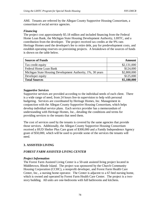AMI. Tenants are referred by the Allegan County Supportive Housing Consortium, a consortium of social service agencies.

#### *Financing*

The project cost approximately \$5.18 million and included financing from the Federal Home Loan Bank, the Michigan State Housing Development Authority, LIHTC, and a contribution from the developer. The project received tax credits at the 9% rate. Heritage Homes used the developer's fee to retire debt, pay for predevelopment costs, and establish operating reserves on preexisting projects. A breakdown of the sources of funds is shown on the table below.

| <b>Sources of Funds</b>                                    | Amount      |
|------------------------------------------------------------|-------------|
| Tax credit equity                                          | \$2,131,000 |
| Federal Home Loan Bank                                     | \$124,000   |
| Michigan State Housing Development Authority, 1%, 30 years | \$2,800,000 |
| Developer equity                                           | \$125,000   |
| <b>Total Sources</b>                                       | \$5,180,000 |

#### *Supportive Services*

Supportive services are provided according to the individual needs of each client. There is a wide range of need, from 24 hours live-in supervision to help with personal budgeting. Services are coordinated by Heritage Homes, Inc. Management in conjunction with the Allegan County Supportive Housing Consortium, which helps develop individual service plans. Each service provider has a memorandum of understanding with Heritage Homes, Inc., detailing the conditions and terms for providing services to the tenants that need them.

The cost of services used by the tenants is covered by the same agencies that provide those services. Additionally, the Allegan County Supportive Housing Consortium received a HUD Shelter Plus Care grant of \$300,000 and a Family Independence Agency grant of \$50,000, which will be used to provide some of the services the tenants will need.

## **3. ASSISTED LIVING**

### *FOREST FARM ASSISTED LIVING CENTER*

#### *Project Information*

The Forest Farm Assisted Living Center is a 50-unit assisted living project located in Middletown, Rhode Island. The project was sponsored by the Church Community Housing Corporation (CCHC), a nonprofit developer, and Forest Farm Health Care Center, Inc., a nursing home operator. The Center is adjacent to a 67-bed nursing home, which is owned and operated by Forest Farm Health Care Center. The project is a twostory building. All units are one-bedrooms with full bathrooms and kitchens.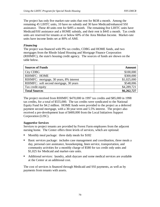The project has only five market-rate units that rent for \$638 a month. Among the remaining 45 LIHTC units, 10 have no subsidy and 30 have Medicaid/enhanced SSI assistance. These 40 units rent for \$495 a month. The remaining five LIHTC units have Medicaid/SSI assistance and a HOME subsidy, and their rent is \$445 a month. Tax credit units are reserved for tenants at or below 60% of the Area Median Income. Market-rate units have income limits set at 80% of AMI.

#### *Financing*

The project was financed with 9% tax credits, CDBG and HOME funds, and two mortgages from the Rhode Island Housing and Mortgage Finance Corporation (RIHMFC), the state's housing credit agency. The sources of funds are shown on the table below.

| <b>Sources of Funds</b>                 | <b>Amount</b> |
|-----------------------------------------|---------------|
| City CDBG                               | \$100,000     |
| RIHMFC: HOME                            | \$300,000     |
| RIHMFC: mortgage, 30 years, 8% interest | \$1,025,000   |
| RIHMFC: soft second mortgage, 30 years  | \$548,006     |
| Tax credit equity                       | \$4,289,721   |
| <b>Total Sources</b>                    | \$6,262,727   |

The project received from RIHMFC \$470,000 in 1997 tax credits and \$85,000 in 1998 tax credits, for a total of \$555,000. The tax credits were syndicated to the National Equity Fund for \$4.2 million. HOME funds were provided to the project as a deferred payment second mortgage, with a 30-year term and 5.5% interest. The project also received a pre-development loan of \$400,000 from the Local Initiatives Support Corporation (LISC).

### *Supportive Services*

Services to project tenants are provided by Forest Farm employees from the adjacent nursing home. The Center offers three levels of services, which are optional:  $\ddot{\phantom{0}}$ 

- Monthly meal package: three daily meals for \$182
- Basic services package: includes case management and coordination, three meals a day, personal care assistance, housekeeping, linen service, transportation, and community activities for a monthly charge of \$580 for tax credit only units and \$1,025 for Medicaid and market-rate units.
- Additional services: laundry, adult daycare and some medical services are available at the Center at an additional cost.

The cost of services is financed through Medicaid and SSI payments, as well as by payments from tenants with assets.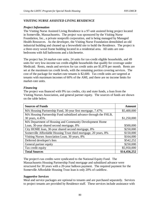### *VISITING NURSE ASSISTED LIVING RESIDENCE*

#### *Project Information*

The Visiting Nurse Assisted Living Residence is a 97-unit assisted living project located in Somerville, Massachusetts. The project was sponsored by the Visiting Nurse Foundation, Inc., a private nonprofit corporation, and is being managed by Managed Health Resources. As the developer, the Visiting Nurse Foundation demolished an old industrial building and cleaned up a brownfield site to build the Residence. The project is a three-story wood frame building located in a residential area. All units are onebedrooms with full bathrooms and a kitchenette.

The project has 24 market-rate units, 24 units for tax-credit eligible households, and 49 units for very low-income tax credit-eligible households that qualify for coverage under Medicaid. Rents, meals and services for tax credit units are \$1,878 per month. Rents are set at the maximum tax credit levels, with the remaining portion covering services. The cost of the package for market-rate tenants is \$2,600. Tax credit units are targeted at tenants with maximum incomes of 60% of the AMI, and there are no income limits for market-rate units.

#### *Financing*

The project was financed with 9% tax credits, city and state funds, a loan from the Visiting Nurses Association, and general partner equity. The sources of funds are shown on the table below.

| <b>Sources of Funds</b>                                          | <b>Amount</b> |
|------------------------------------------------------------------|---------------|
| MA Housing Partnership Fund, 30-year first mortgage, 7.47%       | \$5,400,000   |
| MA Housing Partnership Fund subsidized advance through the FHLB, |               |
| 30 years, 4.45%                                                  | \$1,250,000   |
| MA Department of Housing and Community Development Home          |               |
| Loan, 30-year shared second mortgage, 8%                         | \$500,000     |
| City HOME loan, 30-year shared second mortgage, 8%               | \$250,000     |
| Somerville Affordable Housing Trust third mortgage, 20 years, 8% | \$150,000     |
| Visiting Nurses Association Loan, 30 years, 8%                   | \$164,000     |
| Deferred developer's fees                                        | \$542,252     |
| General partner equity                                           | \$250,000     |
| Tax credit equity                                                | \$5,950,000   |
| <b>Total Sources</b>                                             | \$14,456,252  |

The project's tax credits were syndicated to the National Equity Fund. The Massachusetts Housing Partnership Fund mortgage and subsidized advance were structured for 30 years with a 20-year balloon payment. The required payment for the Somerville Affordable Housing Trust loan is only 20% of cashflow.

### *Supportive Services*

Meal and service packages are optional to tenants and are purchased separately. Services to project tenants are provided by Residence staff. These services include assistance with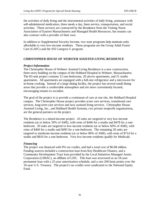the activities of daily living and the instrumental activities of daily living, assistance with self-administered medication, three meals a day, linen service, transportation, and social activities. These services are contracted by the Residence from the Visiting Nurse Association of Eastern Massachusetts and Managed Health Resources, but tenants can also contract with a provider of their own.

In addition to Supplemental Security Income, two state programs help maintain units affordable to very low-income residents. These programs are the Group Adult Foster Care (GAFC) and the SSI Category G program.

### *CHRISTOPHER HOUSE OF WEBSTER ASSISTED LIVING RESIDENCE*

#### *Project Information*

The Christopher House of Webster Assisted Living Residence is a new construction, three-story building on the campus of the Hubbard Hospital in Webster, Massachusetts. The 83-unit project contains 12 one-bedrooms, 20 alcove apartments, and 51 studio apartments. All apartments are equipped with a full-size refrigerator and a microwave for in-home cooking. Instead of a large dining facility, the project has several small dining areas that provide a comfortable atmosphere and are more conveniently located, encouraging tenants to socialize.

The goal of the project is to provide a continuum of care at one site, the Hubbard Hospital campus. The Christopher House project provides acute care services, transitional care services, long-term care services and now assisted living services. Christopher House Assisted Living, Inc., and Hubbard Health Systems, two private nonprofit organizations, are the general partners on the project.

The Residence is a mixed-income project. 43 units are targeted to very low-income residents (at or below 50% of AMI), with rents of \$446 for a studio and \$478 for a onebedroom. 20 units are targeted to low-income residents (at or below 60% of AMI), with rents of \$460 for a studio and \$495 for a one-bedroom. The remaining 20 units are targeted to moderate-income residents (at or below 80% of AMI), with rents of \$714 for a studio and \$816 for a one-bedroom. Very low-income residents qualify for Medicaid.

### *Financing*

The project was financed with 9% tax credits, and had a total cost of \$6.88 million. Funding sources included a construction loan from Key Healthcare Finance, and a Community Development Trust loan provided by the Local Initiatives Managed Assets Corporation (LIMAC), an affiliate of LISC. This loan was structured as an 18-year permanent loan with a 25-year amortization schedule, and a rate 260 basis points over the 10-year U.S. Treasury. The project's tax credits were syndicated to the National Equity Fund.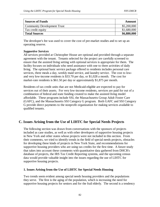| <b>Sources of Funds</b>            | Amount      |
|------------------------------------|-------------|
| <b>Community Development Trust</b> | \$5,200,000 |
| Tax credit equity                  | \$1,680,000 |
| <b>Total Sources</b>               | \$6,880,000 |

The developer's fee was used to cover the cost of pre-market studies and to set up an operating reserve.

#### *Supportive Services*

All services provided at Christopher House are optional and provided through a separate agreement with the tenant. Tenants selected for the project are carefully screened to ensure that the assisted living setting with optional services is appropriate for them. The facility focuses on individuals who need assistance with one to three activities of daily living. The optional basic service package offered to residents includes personal care services, three meals a day, weekly maid service, and laundry service. The cost to lowand very low-income residents is \$33.70 per day, or \$1,028 a month. The cost for market-rate residents is \$61.50 per day or approximately \$1,875 per month.

Residents of tax credit units that are not Medicaid-eligible are expected to pay for services out of their assets. For very low-income residents, services are paid for out of a combination of federal and state funding created to make the assisted living model affordable. These programs include SSI, the Massachusetts Group Adult Foster Care (GAFC), and the Massachusetts SSI Category G program. Both GAFC and SSI Category G provide direct payments to the nonprofit organization for making services available to qualified tenants.

# **C. Issues Arising from the Use of LIHTC for Special Needs Projects**

The following section was drawn from conversations with the sponsors of projects included as case studies, as well as with other developers of supportive housing projects in New York and other states whose projects were not included in this section. From their comments, we tried to identify trends in the field of special needs projects, obstacles for developing these kinds of projects in New York State, and recommendations for supportive housing providers who are using tax credits for the first time. A future study that takes into account these comments with quantitative data gathered from DHCR's database of projects, the IRS Tax Credit Reporting systems, and the upcoming census data would provide valuable insight into the issues regarding the use of LIHTC for supportive housing projects.

### **1. Issues Arising from the Use of LIHTC for Special Needs Housing**

Two trends seem evident among special needs housing providers and the populations they serve. The first is the aging of the population, which is increasing the need for supportive housing projects for seniors and for the frail elderly. The second is a tendency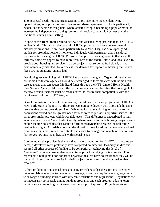among special needs housing organizations to provide more independent living opportunities, as opposed to group homes and shared apartments. This is particularly evident in the senior housing field, where assisted living is becoming a popular model to increase the independence of aging seniors and provide care at a lower cost than the traditional nursing home setting.

In spite of this trend, there seem to be few or no assisted living projects that use LIHTC in New York. This is also the case with LIHTC projects that serve developmentally disabled populations. New York, particularly New York City, has developed good models for providing formerly homeless individuals with permanent and transitional housing options using the LIHTC Program. Supportive housing projects that serve the formerly homeless appear to have more resources at the federal, state, and local levels to provide both housing and services than do projects that serve the frail elderly or the developmentally disabled. Nevertheless, the demand for supportive housing that serves these two populations remains high.

Developing assisted living with LIHTC has proved challenging. Organizations that are not home health care agencies should be encouraged to form alliances with home health care agencies that can access Medicaid funds through the NYS Limited Home Health Care Service Agency. Moreover, the restrictions on licensed facilities that are eligible for Medicaid reimbursement must be reconsidered, to ensure their compatibility with the requirements of the LIHTC Program.

One of the main obstacles of implementing special needs housing projects with LIHTC in New York State is the fact that these projects compete directly with affordable housing projects that do not provide services. While the former entail a higher risk due to the populations served and the greater need for resources to provide supportive services, the latter are simpler projects with lower risk levels. This difference is exacerbated in highincome areas, such as Westchester County, where many affordable housing projects serve middle-income households that cannot afford homeownership because the real estate market is so tight. Affordable housing developed in these locations can use conventional bank financing, and is much more stable and easier to manage and maintain than housing that serves low-income individuals with special needs.

Compounding this problem is the fact that, since competition for LIHTC has become so fierce, a developer must preferably have completed architectural feasibility studies and secured all other sources of funding to be competitive. Achieving this level of "readiness" requires considerable expenditures prior to applying for tax credits. This represents a real gamble for nonprofit organizations that have no assurances they will be successful in securing tax credits for their projects, even after spending considerable resources.

A third problem facing special needs housing providers is that these projects are more time- and labor-intensive to develop and manage, since they require weaving together a wide range of funding sources with different restrictions and regulations. Regulations are not necessarily compatible among funding programs, and each program adds its own monitoring and reporting requirements to the nonprofit sponsor. Projects receiving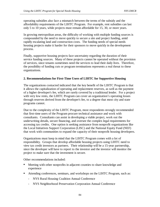operating subsidies also face a mismatch between the terms of the subsidy and the affordability requirements of the LIHTC Program. For example, rent subsidies can last only 5 to 10 years, while projects must remain affordable for 15, 30, or more years.

In growing metropolitan areas, the difficulty of working with multiple funding sources is compounded by the need to move quickly to secure a site and project funding, amid rapidly escalating land and construction costs. The funding needs of special needs housing projects make it harder for their sponsors to move quickly in the development process.

Finally, supportive housing projects face uncertainty regarding the duration of their service funding sources. Many of these projects cannot be operated without the provision of services, since tenants sometimes need the services to lead their daily lives. Therefore, the possibility of funding cuts or program terminations represents a real threat to these organizations.

### **2. Recommendations for First-Time Users of LIHTC for Supportive Housing**

The organizations contacted indicated that the key benefit of the LIHTC Program is that it allows the capitalization of operating and replacement reserves, as well as the payment of a higher developer's fee, which are rarely covered by a traditional lender. For a project with very low rents, the LIHTC Program can cover an organization's operating losses through reserves derived from the developer's fee, to a degree that most city and state programs cannot.

Due to the complexity of the LIHTC Program, most respondents strongly recommended that first-time users of the Program procure technical assistance and work with consultants. Consultants can assist in developing a viable project, work out the underwriting details, secure financing, and oversee the complex legal requirements for accessing tax credits. One option is seeking assistance from nonprofit organizations like the Local Initiatives Support Corporation (LISC) and the National Equity Fund (NEF) that work with communities to expand the capacity of their nonprofit housing developers.

Organizations must keep in mind that the LIHTC Program comes with a lot of responsibility. Groups that develop affordable housing projects using LIHTC need to view tax credit investors as partners. Their relationship will be a 15-year partnership, since the developer will have to report to the investor and the investor will monitor the project to make sure that the investment is secure.

Other recommendations included:  $\overline{a}$ 

- Meeting with other nonprofits in adjacent counties to share knowledge and experience
- Attending conferences, seminars, and workshops on the LIHTC Program, such as:
	- NYS Rural Housing Coalition Annual Conference
	- NYS Neighborhood Preservation Corporation Annual Conference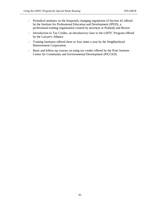- Periodical seminars on the frequently changing regulations of Section 42 offered by the Institute for Professional Education and Development (IPED), a professional training organization created by attorneys at Peabody and Brown
- Introduction to Tax Credits, an introductory class to the LIHTC Program offered by the Lawyer's Alliance
- Training Institutes offered three or four times a year by the Neighborhood Reinvestment Corporation
- Basic and follow-up courses on using tax credits offered by the Pratt Institute Center for Community and Environmental Development (PICCED)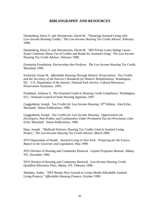## **BIBLIOGRAPHY AND RESOURCES**

Dannenberg, Harry S. and Abromowitz, David M. "Financing Assisted Living with Low-Income Housing Credits," *The Low-Income Housing Tax Credit Advisor*, February 1998.

Dannenberg, Harry S. and Abromowitz, David M. "IRS Private Letter Ruling Causes Some Confusion About Use of Credits and Bonds for Assisted Living," *The Low-Income Housing Tax Credit Advisor*, February 1998.

Enterprise Foundation. *Partnerships that Perform: The Low Income Housing Tax Credit*, Maryland, 1996.

Escherich, Susan M. *Affordable Housing Through Historic Preservation: Tax Credits and the Secretary of the Interior's Standards for Historic Rehabilitation*, Washington, DC: U.S. Department of the Interior, National Park Service, Cultural Resources, Preservation Assistance, 1995.

Freedman, Anthony S. *The Essential Guide to Housing Credit Compliance*, Washington, D.C.: National Council of State Housing Agencies, 1997.

Guggenheim, Joseph. *Tax Credits for Low Income Housing*, 10<sup>th</sup> Edition. Glen Echo, Maryland: Simon Publications, 1998.

Guggenheim, Joseph. *Tax Credits for Low Income Housing: Opportunities for Developers, Non-Profits, and Communities Under Permanent Tax Act Provisions*, Glen Echo, Maryland: Simon Publications, 1996.

Haas, Joseph. "Medicaid Waivers, Housing Tax Credits Used in Assisted Living Project," *The Low-Income Housing Tax Credit Advisor*, March 2000.

NYS Department of Health. *Assisted Living in New York: Preparing for the Future, Report to the Governor and Legislature*, May 1999.

NYS Division of Housing and Community Renewal. *Capital Programs Manual*, Albany, NY, December 1996.

NYS Division of Housing and Community Renewal. *Low-Income Housing Credit Qualified Allocation Plan*, Albany, NY, February 1998.

Shashaty, Andre. "NEF Breaks New Ground to Create Model Affordable Assisted Living Projects," *Affordable Housing Finance*, October 1999.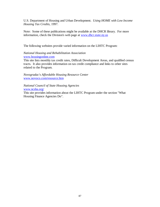U.S. Department of Housing and Urban Development. *Using HOME with Low Income Housing Tax Credits*, 1997.

Note: Some of these publications might be available at the DHCR library. For more information, check the Division's web page at www.dhcr.state.ny.us

The following websites provide varied information on the LIHTC Program:

#### *National Housing and Rehabilitation Association*  www.housingonline.com

This site lists monthly tax credit rates, Difficult Development Areas, and qualified census tracts. It also provides information on tax credit compliance and links to other sites related to the Program.

*Novogradac's Affordable Housing Resource Center*  www.novoco.com/resource.htm

*National Council of State Housing Agencies*  www.ncsha.org/ This site provides information about the LIHTC Program under the section "What Housing Finance Agencies Do".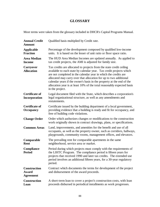# **GLOSSARY**

Most terms were taken from the glossary included in DHCR's Capital Programs Manual.

| <b>Annual Credit</b><br><b>Amount</b>            | Qualified basis multiplied by Credit rate.                                                                                                                                                                                                                                                                                                                                                                                                               |
|--------------------------------------------------|----------------------------------------------------------------------------------------------------------------------------------------------------------------------------------------------------------------------------------------------------------------------------------------------------------------------------------------------------------------------------------------------------------------------------------------------------------|
| <b>Applicable</b><br><b>Fraction</b>             | Percentage of the development composed by qualified low-income<br>units. It is based on the lesser of unit ratio or floor space ratio.                                                                                                                                                                                                                                                                                                                   |
| <b>Area Median</b><br><b>Income</b>              | The HUD Area Median Incomes are updated annually. As applied to<br>tax credit projects, the AMI is adjusted for family size.                                                                                                                                                                                                                                                                                                                             |
| <b>Carryover</b><br><b>Allocation</b>            | Tax credits are allocated to projects from the state credit ceiling<br>available to each state by calendar year. Tax credit projects which<br>are not completed in the calendar year in which the credits are<br>allocated may carry over that allocation for up to two additional<br>calendar years if the owner's basis in the property at the end of the<br>allocation year is at least 10% of the total reasonably expected basis<br>in the project. |
| <b>Certificate of</b><br>Incorporation           | Legal document filed with the State, which describes a corporation's<br>legal organizational structure, as well as any amendments and<br>restatements.                                                                                                                                                                                                                                                                                                   |
| <b>Certificate of</b><br><b>Occupancy</b>        | Certificate issued by the building department of a local government,<br>providing evidence that a building is ready and fit for occupancy, and<br>free of building code violations.                                                                                                                                                                                                                                                                      |
| <b>Change Order</b>                              | Order which authorizes changes or modifications to the construction<br>work originally shown in contract drawings, plans, or specifications.                                                                                                                                                                                                                                                                                                             |
| <b>Common Areas</b>                              | Land, improvements, and amenities for the benefit and use of all<br>occupants, as well as the property owner, such as corridors, hallways,<br>playgrounds, community rooms, management offices, and elevators.                                                                                                                                                                                                                                           |
| Comparable<br>Rent                               | The prevailing rent for comparable apartments in the same<br>neighborhood, service area or market.                                                                                                                                                                                                                                                                                                                                                       |
| Compliance<br><b>Period</b>                      | Period during which projects must comply with the requirements of<br>the LIHTC Program. The compliance period is fifteen years for<br>projects that received 1990 and later tax credits. The extended use<br>period involves an additional fifteen years, for a 30-year regulatory<br>period.                                                                                                                                                            |
| <b>Construction</b><br>Award<br><b>Agreement</b> | Contract which documents the terms for development of the project<br>and disbursement of the award proceeds.                                                                                                                                                                                                                                                                                                                                             |
| <b>Construction</b><br>Loan                      | A short-term loan to cover a project's construction costs, with loan<br>proceeds disbursed in periodical installments as work progresses.                                                                                                                                                                                                                                                                                                                |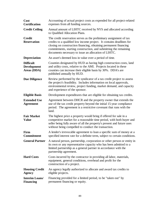| Cost<br><b>Certification</b>                          | Accounting of actual project costs as expended for all project-related<br>expenses from all funding sources.                                                                                                                                                                                                                               |
|-------------------------------------------------------|--------------------------------------------------------------------------------------------------------------------------------------------------------------------------------------------------------------------------------------------------------------------------------------------------------------------------------------------|
| <b>Credit Ceiling</b>                                 | Annual amount of LIHTC received by NYS and allocated according<br>to Qualified Allocation Plans.                                                                                                                                                                                                                                           |
| <b>Credit</b><br><b>Reservation</b>                   | The credit reservation serves as the preliminary assignment of tax<br>credits to a qualified low income project. It contains deadlines for<br>closing on construction financing, obtaining permanent financing<br>commitments, starting construction, and submitting the remaining<br>documents necessary to issue an allocation of LIHTC. |
| <b>Depreciation</b>                                   | An asset's deemed loss in value over a period of time.                                                                                                                                                                                                                                                                                     |
| <b>Difficult</b><br><b>Development</b><br>Areas (DDA) | Counties designated by HUD as having high construction costs, land<br>and utility costs, relative to the AMI. Projects located in these<br>counties can increase their eligible basis by 30%. DDA's are<br>published annually by HUD.                                                                                                      |
| <b>Due Diligence</b>                                  | Review performed by the syndicator of a tax credit project to assess<br>the project's feasibility. Includes information on local approvals,<br>environmental review, project funding, market demand, and capacity<br>and experience of the sponsor.                                                                                        |
| <b>Eligible Basis</b>                                 | Development expenditures that are eligible for obtaining tax credits.                                                                                                                                                                                                                                                                      |
| <b>Extended Use</b><br><b>Agreement</b>               | Agreement between DHCR and the property owner that extends the<br>use of the tax credit property beyond the initial 15-year compliance<br>period. The agreement is a restrictive covenant that runs with the<br>land.                                                                                                                      |
| <b>Fair Market</b><br><b>Value</b>                    | The highest price a property would bring if offered for sale in a<br>competitive market for a reasonable time period, with both buyer and<br>seller being fully aware of all the property's present and future uses<br>without being compelled to conduct the transaction.                                                                 |
| Firm<br><b>Commitment</b>                             | A lender's irrevocable agreement to loan a specific sum of money at a<br>specified interest rate for a definite term, subject to certain conditions.                                                                                                                                                                                       |
| <b>General Partner</b>                                | A natural person, partnership, corporation or other person or entity in<br>its own or any representative capacity who has been admitted to a<br>limited partnership as a general partner in accordance with the<br>partnership agreement.                                                                                                  |
| <b>Hard Costs</b>                                     | Costs incurred by the contractor in providing all labor, materials,<br>equipment, general conditions, overhead and profit for the<br>construction of a project.                                                                                                                                                                            |
| <b>Housing Credit</b><br><b>Agency</b>                | An agency legally authorized to allocate and award tax credits to<br>eligible projects.                                                                                                                                                                                                                                                    |
| <b>Interim Loans/</b><br><b>Financing</b>             | Financing provided for a limited period, to be "taken out" by<br>permanent financing or equity.                                                                                                                                                                                                                                            |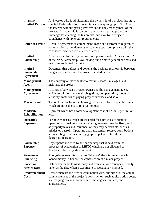| <b>Investor</b><br><b>Limited Partner</b>         | An investor who is admitted into the ownership of a project through a<br>Limited Partnership Agreement, typically acquiring up to 99.9% of<br>the interest without getting involved in the daily management of the<br>project. Its main role is to contribute money into the project in<br>exchange for claiming the tax credits, and monitor a project's<br>compliance with tax credit requirements. |
|---------------------------------------------------|-------------------------------------------------------------------------------------------------------------------------------------------------------------------------------------------------------------------------------------------------------------------------------------------------------------------------------------------------------------------------------------------------------|
| <b>Letter of Credit</b>                           | A bank's agreement or commitment, made at a customer's request, to<br>honor a third party's demands of payment upon compliance with the<br>conditions specified in the letter of credit.                                                                                                                                                                                                              |
| <b>Limited</b><br>Partnership                     | A partnership formed by two or more persons under Articles 8 or 8A<br>of the NYS Partnership Law, having one or more general partners and<br>one or more limited partners.                                                                                                                                                                                                                            |
| <b>Limited</b><br>Partnership<br><b>Agreement</b> | Document that defines and governs the business relationship between<br>the general partner and the investor limited partner.                                                                                                                                                                                                                                                                          |
| <b>Management</b><br><b>Agent</b>                 | The company or individual who markets, leases, manages, and<br>maintains the project.                                                                                                                                                                                                                                                                                                                 |
| <b>Management</b><br><b>Agreement</b>             | A contract between a project owner and the management agent,<br>which establishes the agent's obligations, compensation, scope of<br>authority, methods of paying project expenses, and so on.                                                                                                                                                                                                        |
| <b>Market Rent</b>                                | The rent level achieved in housing market area for comparable units<br>which are not subject to rent restrictions.                                                                                                                                                                                                                                                                                    |
| <b>Moderate</b><br><b>Rehabilitation</b>          | A project which has a total development cost of \$25,000 per unit or<br>less.                                                                                                                                                                                                                                                                                                                         |
| <b>Operating</b><br><b>Expenses</b>               | Periodic expenses which are essential for a project's continuous<br>operation and maintenance. Operating expenses may be fixed, such<br>as property taxes and insurance, or they may be variable, such as<br>utilities or payroll. Operating and replacement reserve contributions<br>are operating expenses; mortgage principal and interest, and<br>depreciation are not.                           |
| Partnership<br><b>Expense</b>                     | Any expense incurred by the partnership that is paid from the<br>proceeds of syndication of LIHTC which are not allocated to<br>developer's fee or syndication cost.                                                                                                                                                                                                                                  |
| <b>Permanent</b><br><b>Financing</b>              | A long-term loan often used to "take out" the interim lender who<br>loaned money to finance the construction of a major project.                                                                                                                                                                                                                                                                      |
| <b>Placed in</b><br><b>Service Date</b>           | Date when the building is ready and available for occupancy, usually<br>taken as the date when a Certificate of Occupancy is issued.                                                                                                                                                                                                                                                                  |
| Predevelopment<br><b>Costs</b>                    | Costs which are incurred in conjunction with, but prior to, the actual<br>commencement of the project's construction, such as site option costs,<br>site carrying charges, architectural and engineering fees, and<br>appraisal fees.                                                                                                                                                                 |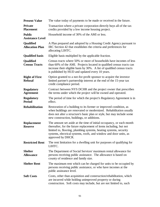| <b>Present Value</b>                     | The value today of payments to be made or received in the future.                                                                                                                                                                                                                                         |
|------------------------------------------|-----------------------------------------------------------------------------------------------------------------------------------------------------------------------------------------------------------------------------------------------------------------------------------------------------------|
| <b>Private</b><br><b>Placement</b>       | Transaction where a private corporation directly buys all of the tax<br>credits provided by a low income housing project.                                                                                                                                                                                 |
| <b>Public</b><br><b>Assistance Level</b> | Household income of 30% of the AMI or less.                                                                                                                                                                                                                                                               |
| Qualified<br><b>Allocation Plan</b>      | A Plan prepared and adopted by a Housing Credit Agency pursuant to<br>IRC Section 42 that establishes the criteria and preferences for<br>allocating LIHTC.                                                                                                                                               |
| <b>Qualified basis</b>                   | Eligible basis multiplied by the applicable fraction.                                                                                                                                                                                                                                                     |
| Qualified<br><b>Census Tracts</b>        | Census tracts where 50% or more of households have incomes of less<br>than 60% of the AMI. Projects located in qualified census tracts can<br>increase their eligible basis by 30%. A list of qualified census tracts<br>is published by HUD and updated every 10 years.                                  |
| <b>Right of First</b><br><b>Refusal</b>  | Option granted to a not-for-profit sponsor to acquire the investor<br>limited partner's partnership interest at the end of the 15-year tax<br>credit compliance period.                                                                                                                                   |
| <b>Regulatory</b><br><b>Agreement</b>    | Contract between NYS DCHR and the project owner that prescribes<br>the terms under which the project will be owned and operated.                                                                                                                                                                          |
| <b>Regulatory</b><br><b>Period</b>       | The period of time for which the project's Regulatory Agreement is in<br>effect.                                                                                                                                                                                                                          |
| <b>Rehabilitation</b>                    | Restoration of a building to its former or improved condition, as<br>when buildings are renovated or modernized. Rehabilitation usually<br>does not alter a structure's basic plan or style, but may include some<br>new construction, buildings, or additions.                                           |
| <b>Replacement</b><br><b>Reserve</b>     | The amount set aside at the time of initial occupancy, or each month<br>thereafter, for the future replacement of items including, but not<br>limited to, flooring, plumbing systems, heating systems, security<br>systems, electrical systems, roofs, and window and door units, as<br>approved by DHCR. |
| <b>Restricted Rent</b>                   | The rent limitation for a dwelling unit for purposes of qualifying for<br>LIHTC.                                                                                                                                                                                                                          |
| <b>Shelter</b><br><b>Allowance</b>       | The Department of Social Services' maximum rental allowance for<br>persons receiving public assistance. The allowance is based on<br>county of residence and family size.                                                                                                                                 |
| <b>Shelter Rent</b>                      | The maximum rent which can be charged for units to be occupied by<br>persons receiving public assistance, or who have incomes at the<br>public assistance level.                                                                                                                                          |
| <b>Soft Costs</b>                        | Costs, other than acquisition and construction/rehabilitation, which<br>are incurred while holding unimproved property or during<br>construction. Soft costs may include, but are not limited to, such                                                                                                    |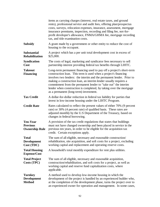|                                                             | items as carrying charges (interest, real estate taxes, and ground<br>rents), professional service and audit fees, offering plan/prospectus<br>costs, surveys, relocation expenses, insurance, assessment, mortgage<br>insurance premiums, inspection, recording and filing fee, not-for-<br>profit developer's allowance, FNMA/GHMA fee, mortgage recording<br>tax, and title examination costs.                                                                     |
|-------------------------------------------------------------|-----------------------------------------------------------------------------------------------------------------------------------------------------------------------------------------------------------------------------------------------------------------------------------------------------------------------------------------------------------------------------------------------------------------------------------------------------------------------|
| <b>Subsidy</b>                                              | A grant made by a government or other entity to reduce the cost of<br>housing to the occupant.                                                                                                                                                                                                                                                                                                                                                                        |
| <b>Substantial</b><br><b>Rehabilitation</b>                 | A project which has a per unit total development cost in excess of<br>\$25,000.                                                                                                                                                                                                                                                                                                                                                                                       |
| <b>Syndication</b><br>Cost                                  | The costs of legal, marketing and syndicator fees necessary to sell<br>partnership interest providing federal tax benefits through LIHTC.                                                                                                                                                                                                                                                                                                                             |
| <b>Takeout</b><br><b>Financing</b>                          | Long-term permanent financing used to pay off a project's short-term<br>construction loan. This term is used when a project's financing<br>involves two lenders: the interim and the permanent lender. Prior to<br>making a construction loan, an interim lender usually requires a<br>commitment from the permanent lender to "take out" the interim<br>lender when construction is completed, by taking over the mortgage<br>as a permanent (long-term) investment. |
| <b>Tax Credit</b>                                           | A dollar-for-dollar reduction in federal tax liability for parties that<br>invest in low-income housing under the LIHTC Program.                                                                                                                                                                                                                                                                                                                                      |
| <b>Credit Rate</b>                                          | Rates calculated to reflect the present values of either 70% (9 percent<br>rate) or 30% (4 percent rate) of qualified basis. These rates are<br>adjusted monthly by the U.S Department of the Treasury, based on<br>changes in federal borrowing.                                                                                                                                                                                                                     |
| <b>Ten-Year</b><br><b>Previous</b><br><b>Ownership Rule</b> | A provision of the tax credit regulations that states that buildings<br>must not have changed ownership and been placed in service in the<br>previous ten years, in order to be eligible for the acquisition tax<br>credit. Certain exceptions apply.                                                                                                                                                                                                                 |
| <b>Total</b><br><b>Development</b><br>Cost (TDC)            | The sum of all eligible, necessary and reasonable construction/<br>rehabilitation, site acquisition, and soft costs for a project, excluding<br>working capital and replacement and operating reserve costs.                                                                                                                                                                                                                                                          |
| <b>Total Housing</b><br><b>Expense/Cost</b>                 | A household's total monthly expenditure for rent plus utilities.                                                                                                                                                                                                                                                                                                                                                                                                      |
| <b>Total Project</b><br>Costs (TPC)                         | The sum of all eligible, necessary and reasonable acquisition,<br>construction/rehabilitation, and soft costs for a project, as well as<br>working capital and reserve fund capitalization costs, where<br>applicable.                                                                                                                                                                                                                                                |
| <b>Turnkey</b><br><b>Development</b><br><b>Method</b>       | A method used to develop low-income housing in which the<br>development of the project is handled by an experienced builder who,<br>at the completion of the development phase, turns the project over to<br>an experienced owner for operation and management. In some cases,                                                                                                                                                                                        |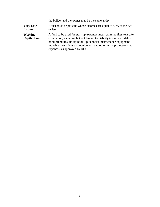|                                       | the builder and the owner may be the same entity.                                                                                                                                                                                                                                                                                |
|---------------------------------------|----------------------------------------------------------------------------------------------------------------------------------------------------------------------------------------------------------------------------------------------------------------------------------------------------------------------------------|
| <b>Very Low</b><br><b>Income</b>      | Households or persons whose incomes are equal to 50% of the AMI<br>or less.                                                                                                                                                                                                                                                      |
| <b>Working</b><br><b>Capital Fund</b> | A fund to be used for start-up expenses incurred in the first year after<br>completion, including but not limited to, liability insurance, fidelity<br>bond premiums, utility hook-up deposits, maintenance equipment,<br>movable furnishings and equipment, and other initial project-related<br>expenses, as approved by DHCR. |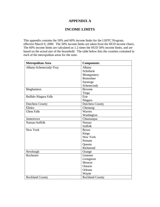# **APPENDIX A**

# **INCOME LIMITS**

This appendix contains the 50% and 60% income limits for the LIHTC Program, effective March 9, 2000. The 50% income limits are taken from the HUD income charts. The 60% income limits are calculated as 1.2 times the HUD 50% income limits, and are based on the actual size of the household. The table below lists the counties contained in each of the metropolitan areas for the state.

| Metropolitan Area       | <b>Components</b>      |
|-------------------------|------------------------|
| Albany-Schenectady-Troy | Albany                 |
|                         | Schoharie              |
|                         | Montgomery             |
|                         | Rensselaer             |
|                         | Saratoga               |
|                         | Schenectady            |
| Binghamton              | <b>Broome</b>          |
|                         | Tioga                  |
| Buffalo-Niagara Falls   | Erie                   |
|                         | Niagara                |
| <b>Dutchess County</b>  | <b>Dutchess County</b> |
| Elmira                  | Chemung                |
| <b>Glens Falls</b>      | Warren                 |
|                         | Washington             |
| Jamestown               | Chautauqua             |
| Nassau-Suffolk          | <b>Nassau</b>          |
|                         | <b>Suffolk</b>         |
| New York                | <b>Bronx</b>           |
|                         | <b>Kings</b>           |
|                         | New York               |
|                         | Putnam                 |
|                         | Queens                 |
|                         | Richmond               |
| Newburgh                | Orange                 |
| Rochester               | Genesee                |
|                         | Livingston             |
|                         | Monroe                 |
|                         | Ontario                |
|                         | Orleans                |
|                         | Wayne                  |
| <b>Rockland County</b>  | <b>Rockland County</b> |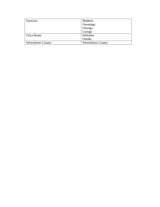| Syracuse                  | Madison                   |
|---------------------------|---------------------------|
|                           | Onondaga                  |
|                           | Oswego                    |
|                           | Cayuga                    |
| Utica-Rome                | Herkimer                  |
|                           | Oneida                    |
| <b>Westchester County</b> | <b>Westchester County</b> |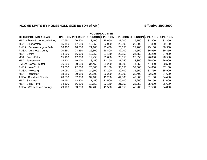# INCOME LIMITS BY HOUSEHOLD SIZE (at 50% of AMI) **Effective 3/09/2000**

|                                 |        | <b>HOUSEHOLD SIZE</b>              |        |        |                 |          |          |                 |
|---------------------------------|--------|------------------------------------|--------|--------|-----------------|----------|----------|-----------------|
| <b>METROPOLITAN AREAS</b>       |        | 1PERSON 2 PERSON 3 PERSON 4 PERSON |        |        | <b>5 PERSON</b> | 6 PERSON | 7 PERSON | <b>8 PERSON</b> |
| MSA: Albany-Schenectady-Troy    | 17,950 | 20,500                             | 23,100 | 25,650 | 27,700          | 29,750   | 31,800   | 33,850          |
| MSA: Binghamton                 | 15.450 | 17,650                             | 19.850 | 22,050 | 23,800          | 25,600   | 27,350   | 29,100          |
| PMSA: Buffalo-Niagara Falls     | 16.400 | 18,750                             | 21,100 | 23,450 | 25,350          | 27,200   | 29,100   | 30,950          |
| PMSA: Dutchess County           | 20,850 | 23,850                             | 26,800 | 29,800 | 32,200          | 34,550   | 36,950   | 39,350          |
| MSA: Elmira                     | 14,800 | 16,900                             | 19,050 | 21,150 | 22,850          | 24,550   | 26,250   | 27,900          |
| IMSA: Glens Falls               | 15,100 | 17,300                             | 19,450 | 21,600 | 23,350          | 25,050   | 26,800   | 28,500          |
| MSA: Jamestown                  | 14.100 | 16,100                             | 18,150 | 20,150 | 21,750          | 23,350   | 25,000   | 26,600          |
| IPMSA: Nassau-Suffolk           | 26,800 | 30,600                             | 34,450 | 38,250 | 41,300          | 44,350   | 47,450   | 50,500          |
| PMSA: New York                  | 19,650 | 22,500                             | 25,300 | 28,100 | 30,350          | 32,600   | 34,850   | 37,100          |
| PMSA: Newburgh                  | 19,050 | 21,750                             | 24,500 | 27,200 | 29,400          | 31,550   | 33,750   | 35,900          |
| MSA: Rochester                  | 18,350 | 20,950                             | 23,600 | 26,200 | 28,300          | 30,400   | 32,500   | 34,600          |
| <b>AREA: Rockland County</b>    | 28,850 | 32,950                             | 37,100 | 41,200 | 44,500          | 47,800   | 51,100   | 54,400          |
| MSA: Syracuse                   | 16,450 | 18,800                             | 21,150 | 23,500 | 25,400          | 27,250   | 29,150   | 31,000          |
| <b>IMSA: Utica-Rome</b>         | 14,100 | 16,100                             | 18,150 | 20,150 | 21,750          | 23,350   | 25,000   | 26,600          |
| <b>AREA: Westchester County</b> | 29,100 | 33,250                             | 37,400 | 41,550 | 44,850          | 48,200   | 51,500   | 54,850          |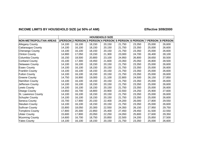# INCOME LIMITS BY HOUSEHOLD SIZE (at 50% of AMI) **Effective 3/09/2000**

|                               |        | <b>HOUSEHOLD SIZE</b> |                                    |        |                   |        |                 |                 |  |
|-------------------------------|--------|-----------------------|------------------------------------|--------|-------------------|--------|-----------------|-----------------|--|
| <b>NON-METROPOLITAN AREAS</b> |        |                       | 1PERSON 2 PERSON 3 PERSON 4 PERSON |        | 5 PERSON 6 PERSON |        | <b>7 PERSON</b> | <b>8 PERSON</b> |  |
| <b>Allegany County</b>        | 14,100 | 16,100                | 18,150                             | 20,150 | 21,750            | 23,350 | 25,000          | 26,600          |  |
| Cattaraugus County            | 14,100 | 16,100                | 18,150                             | 20,150 | 21,750            | 23,350 | 25,000          | 26,600          |  |
| Chenango County               | 14,100 | 16,100                | 18,150                             | 20,150 | 21,750            | 23,350 | 25,000          | 26,600          |  |
| <b>Clinton County</b>         | 14,900 | 17,050                | 19,150                             | 21,300 | 23,000            | 24,700 | 26,400          | 28,100          |  |
| Columbia County               | 16,150 | 18,500                | 20,800                             | 23,100 | 24,950            | 26,800 | 28,650          | 30,500          |  |
| <b>Cortland County</b>        | 15,100 | 17,300                | 19,450                             | 21,600 | 23,350            | 25,050 | 26,800          | 28,500          |  |
| <b>Delaware County</b>        | 14,100 | 16,100                | 18,150                             | 20,150 | 21,750            | 23,350 | 25,000          | 26,600          |  |
| <b>Essex County</b>           | 14,100 | 16,100                | 18,150                             | 20,150 | 21,750            | 23,350 | 25,000          | 26,600          |  |
| <b>Franklin County</b>        | 14,100 | 16,100                | 18,150                             | 20,150 | 21,750            | 23,350 | 25,000          | 26,600          |  |
| <b>Fulton County</b>          | 14,100 | 16,100                | 18,150                             | 20,150 | 21,750            | 23,350 | 25,000          | 26,600          |  |
| <b>Greene County</b>          | 14,750 | 16,900                | 19,000                             | 21,100 | 22,800            | 24,500 | 26,150          | 27,850          |  |
| Hamilton County               | 14,100 | 16,100                | 18,150                             | 20,150 | 21,750            | 23,350 | 25,000          | 26,600          |  |
| Jefferson County              | 14,100 | 16,100                | 18,150                             | 20,150 | 21,750            | 23,350 | 25,000          | 26,600          |  |
| Lewis County                  | 14,100 | 16,100                | 18,150                             | 20,150 | 21,750            | 23,350 | 25,000          | 26,600          |  |
| <b>Otsego County</b>          | 14,650 | 16,700                | 18,800                             | 20,900 | 22,550            | 24,250 | 25,900          | 27,600          |  |
| St. Lawrence County           | 14,100 | 16,100                | 18,150                             | 20,150 | 21,750            | 23,350 | 25,000          | 26,600          |  |
| Schuyler County               | 14,100 | 16,100                | 18,150                             | 20,150 | 21,750            | 23,350 | 25,000          | 26,600          |  |
| Seneca County                 | 15,700 | 17,900                | 20,150                             | 22,400 | 24,200            | 26,000 | 27,800          | 29,550          |  |
| <b>Steuben County</b>         | 14,100 | 16,100                | 18,150                             | 20,150 | 21,750            | 23,350 | 25,000          | 26,600          |  |
| Sullivan County               | 15,800 | 18,050                | 20,300                             | 22,550 | 24,350            | 26,150 | 27,950          | 29,750          |  |
| Tompkins County               | 17,800 | 20,300                | 22,850                             | 25,400 | 27,450            | 29,450 | 31,500          | 22,550          |  |
| <b>Ulster County</b>          | 15,600 | 17,800                | 20,050                             | 22,250 | 24,050            | 25,800 | 27,600          | 29,350          |  |
| <b>Wyoming County</b>         | 14,600 | 16,700                | 18,750                             | 20,850 | 22,500            | 24,200 | 25,850          | 27,500          |  |
| <b>Yates County</b>           | 14,100 | 16,100                | 18,150                             | 20,150 | 21,750            | 23,350 | 25,000          | 26,600          |  |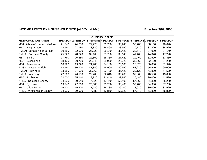# INCOME LIMITS BY HOUSEHOLD SIZE (at 60% of AMI) **Effective 3/09/2000**

|                                 |        |                             |        | <b>HOUSEHOLD SIZE</b> |        |        |                                     |        |
|---------------------------------|--------|-----------------------------|--------|-----------------------|--------|--------|-------------------------------------|--------|
| <b>METROPOLITAN AREAS</b>       |        | 1PERSON 2 PERSON 3 PERSON 4 |        | <b>PERSON</b>         |        |        | 5 PERSON 6 PERSON 7 PERSON 8 PERSON |        |
| MSA: Albany-Schenectady-Troy    | 21,540 | 24,600                      | 27,720 | 30,780                | 33,240 | 35,700 | 38,160                              | 40,620 |
| MSA: Binghamton                 | 18,540 | 21,180                      | 23,820 | 26,460                | 28,560 | 30,720 | 32,820                              | 34,920 |
| PMSA: Buffalo-Niagara Falls     | 19,680 | 22,500                      | 25,320 | 28,140                | 30,420 | 32,640 | 34,920                              | 37,140 |
| PMSA: Dutchess County           | 25,020 | 28,620                      | 32,160 | 35,760                | 38,640 | 41,460 | 44,340                              | 47,220 |
| MSA: Elmira                     | 17,760 | 20,280                      | 22,860 | 25,380                | 27,420 | 29,460 | 31,500                              | 33,480 |
| MSA: Glens Falls                | 18,120 | 20,760                      | 23,340 | 25,920                | 28,020 | 30,060 | 32,160                              | 34,200 |
| IMSA: Jamestown                 | 16.920 | 19,320                      | 21,780 | 24,180                | 26,100 | 28,020 | 30,000                              | 31,920 |
| IPMSA: Nassau-Suffolk           | 32,160 | 36,720                      | 41,340 | 45,900                | 49,560 | 53,220 | 56,940                              | 60,600 |
| <b>PMSA: New York</b>           | 23,580 | 27,000                      | 30,360 | 33,720                | 36,420 | 39,120 | 41,820                              | 44,520 |
| PMSA: Newburgh                  | 22,860 | 26,100                      | 29,400 | 32,640                | 35,280 | 37,860 | 40,500                              | 43,080 |
| IMSA: Rochester                 | 22,020 | 25,140                      | 28,320 | 31,440                | 33,960 | 36,480 | 39,000                              | 41,520 |
| <b>AREA: Rockland County</b>    | 34,620 | 39,540                      | 44,520 | 49,440                | 53,400 | 57,360 | 61,320                              | 65,280 |
| MSA: Syracuse                   | 19,740 | 22,560                      | 25,380 | 28,200                | 30,480 | 32,700 | 34,980                              | 37,200 |
| IMSA: Utica-Rome                | 16,920 | 19,320                      | 21,780 | 24,180                | 26,100 | 28,020 | 30,000                              | 31,920 |
| <b>AREA: Westchester County</b> | 34,920 | 39,900                      | 44,880 | 49,860                | 53,820 | 57,840 | 61,800                              | 65,820 |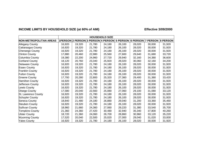# INCOME LIMITS BY HOUSEHOLD SIZE (at 60% of AMI) **Effective 3/09/2000**

|                               |        | <b>HOUSEHOLD SIZE</b> |                                    |        |        |        |                            |                 |  |
|-------------------------------|--------|-----------------------|------------------------------------|--------|--------|--------|----------------------------|-----------------|--|
| <b>NON-METROPOLITAN AREAS</b> |        |                       | 1PERSON 2 PERSON 3 PERSON 4 PERSON |        |        |        | 5 PERSON 6 PERSON 7 PERSON | <b>8 PERSON</b> |  |
| <b>Allegany County</b>        | 16,920 | 19,320                | 21,780                             | 24,180 | 26,100 | 28,020 | 30,000                     | 31,920          |  |
| Cattaraugus County            | 16,920 | 19,320                | 21,780                             | 24,180 | 26,100 | 28,020 | 30,000                     | 31,920          |  |
| Chenango County               | 16,920 | 19,320                | 21,780                             | 24,180 | 26,100 | 28,020 | 30,000                     | 31,920          |  |
| <b>Clinton County</b>         | 17,880 | 20,460                | 22,980                             | 25,560 | 27,600 | 29,640 | 31,680                     | 33,720          |  |
| Columbia County               | 19,380 | 22,200                | 24,960                             | 27,720 | 29,940 | 32,160 | 34,380                     | 36,600          |  |
| <b>Cortland County</b>        | 18,120 | 20,760                | 23,340                             | 25,920 | 28,020 | 30,060 | 32,160                     | 34,200          |  |
| <b>Delaware County</b>        | 16,920 | 19,320                | 21,780                             | 24,180 | 26,100 | 28,020 | 30,000                     | 31,920          |  |
| <b>Essex County</b>           | 16,920 | 19,320                | 21,780                             | 24,180 | 26,100 | 28,020 | 30,000                     | 31,920          |  |
| <b>Franklin County</b>        | 16,920 | 19,320                | 21,780                             | 24,180 | 26,100 | 28,020 | 30,000                     | 31,920          |  |
| <b>Fulton County</b>          | 16,920 | 19,320                | 21,780                             | 24,180 | 26,100 | 28,020 | 30,000                     | 31,920          |  |
| <b>Greene County</b>          | 17,700 | 20,280                | 22,800                             | 25,320 | 27,360 | 29,400 | 31,380                     | 33,420          |  |
| Hamilton County               | 16,920 | 19,320                | 21,780                             | 24,180 | 26,100 | 28,020 | 30,000                     | 31,920          |  |
| Jefferson County              | 16,920 | 19,320                | 21,780                             | 24,180 | 26,100 | 28,020 | 30,000                     | 31,920          |  |
| Lewis County                  | 16,920 | 19,320                | 21,780                             | 24,180 | 26,100 | 28,020 | 30,000                     | 31,920          |  |
| Otsego County                 | 17,580 | 20,040                | 22,560                             | 25,080 | 27,060 | 29,100 | 31,080                     | 33,120          |  |
| St. Lawrence County           | 16,920 | 19,320                | 21,780                             | 24,180 | 26,100 | 28,020 | 30,000                     | 31,920          |  |
| Schuyler County               | 16,920 | 19,320                | 21,780                             | 24,180 | 26,100 | 28,020 | 30,000                     | 31,920          |  |
| Seneca County                 | 18,840 | 21,480                | 24,180                             | 26,880 | 29,040 | 31,200 | 33,360                     | 35,460          |  |
| Steuben County                | 16,920 | 19,320                | 21,780                             | 24,180 | 26,100 | 28,020 | 30,000                     | 31,920          |  |
| Sullivan County               | 18,960 | 21,660                | 24,360                             | 27,060 | 29,220 | 31,380 | 33,540                     | 35,700          |  |
| Tompkins County               | 21,360 | 24,360                | 27,420                             | 30,480 | 32,940 | 35,340 | 37,800                     | 40,260          |  |
| <b>Ulster County</b>          | 18,720 | 21,360                | 24,060                             | 26,700 | 28,860 | 30,960 | 33,120                     | 35,220          |  |
| <b>Wyoming County</b>         | 17,520 | 20,040                | 22,500                             | 25,020 | 27,000 | 29,040 | 31,020                     | 33,000          |  |
| <b>Yates County</b>           | 16,920 | 19,320                | 21,780                             | 24,180 | 26,100 | 28,020 | 30,000                     | 31,920          |  |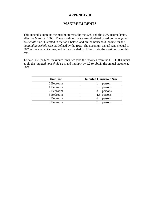# **APPENDIX B**

# **MAXIMUM RENTS**

This appendix contains the maximum rents for the 50% and the 60% income limits, effective March 9, 2000. These maximum rents are calculated based on the *imputed household size* illustrated in the table below, and on the household income for the *imputed household size*, as defined by the IRS. The maximum annual rent is equal to 30% of the annual income, and is then divided by 12 to obtain the maximum monthly rent.

To calculate the 60% maximum rents, we take the incomes from the HUD 50% limits, apply the *imputed household size*, and multiply by 1.2 to obtain the annual income at 60%.

| <b>Unit Size</b> | <b>Imputed Household Size</b> |
|------------------|-------------------------------|
| 0 Bedroom        | person                        |
| 1 Bedroom        | 1.5 persons                   |
| 2 Bedroom        | persons                       |
| 3 Bedroom        | 4.5 persons                   |
| 4 Bedroom        | persons<br>h                  |
| 5 Bedroom        | persons                       |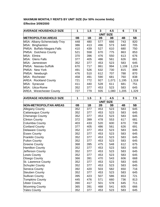# **MAXIMUM MONTHLY RENTS BY UNIT SIZE (for 50% income limits) Effective 3/09/2000**

| <b>AVERAGE HOUSEHOLD SIZE</b>   | 1                | 1.5 | 3   | 4.5   | 6     | 7.5   |
|---------------------------------|------------------|-----|-----|-------|-------|-------|
|                                 | <b>UNIT SIZE</b> |     |     |       |       |       |
| <b>METROPOLITAN AREAS</b>       | 0B               | 1B  | 2B  | 3B    | 4B    | 5B    |
| MSA: Albany-Schenectady-Troy    | 448              | 480 | 577 | 666   | 743   | 820   |
| MSA: Binghamton                 | 386              | 413 | 496 | 573   | 640   | 705   |
| PMSA: Buffalo-Niagara Falls     | 410              | 439 | 527 | 610   | 680   | 750   |
| PMSA: Dutchess County           | 521              | 558 | 670 | 775   | 863   | 853   |
| <b>MSA: Elmira</b>              | 370              | 396 | 476 | 550   | 613   | 676   |
| <b>IMSA: Glens Falls</b>        | 377              | 405 | 486 | 561   | 626   | 691   |
| MSA: Jamestown                  | 352              | 377 | 453 | 523   | 583   | 645   |
| PMSA: Nassau-Suffolk            | 670              | 717 | 861 | 994   | 1,108 | 1,224 |
| PMSA: New York                  | 491              | 526 | 632 | 730   | 815   | 899   |
| PMSA: Newburgh                  | 476              | 510 | 612 | 707   | 788   | 870   |
| MSA: Rochester                  | 458              | 491 | 590 | 681   | 760   | 838   |
| <b>AREA: Rockland County</b>    | 721              | 772 | 927 | 1,071 | 1,195 | 1,318 |
| MSA: Syracuse                   | 411              | 440 | 528 | 611   | 681   | 751   |
| <b>MSA: Utica-Rome</b>          | 352              | 377 | 453 | 523   | 583   | 645   |
| <b>AREA: Westchester County</b> | 727              | 779 | 935 | 1,080 | 1,205 | 1,329 |

| <b>AVERAGE HOUSEHOLD SIZE</b> | 1   | 1.5              | 3   | 4.5 | 6   | 7.5 |  |
|-------------------------------|-----|------------------|-----|-----|-----|-----|--|
|                               |     | <b>UNIT SIZE</b> |     |     |     |     |  |
| <b>NON-METROPOLITAN AREAS</b> | 0B  | 1B               | 2B  | 3B  | 4B  | 5B  |  |
| <b>Allegany County</b>        | 352 | 377              | 453 | 523 | 583 | 645 |  |
| <b>Cattaraugus County</b>     | 352 | 377              | 453 | 523 | 583 | 645 |  |
| Chenango County               | 352 | 377              | 453 | 523 | 583 | 645 |  |
| <b>Clinton County</b>         | 372 | 399              | 478 | 553 | 617 | 681 |  |
| Columbia County               | 403 | 433              | 520 | 600 | 670 | 739 |  |
| <b>Cortland County</b>        | 377 | 405              | 486 | 561 | 626 | 691 |  |
| <b>Delaware County</b>        | 352 | 377              | 453 | 523 | 583 | 645 |  |
| <b>Essex County</b>           | 352 | 377              | 453 | 523 | 583 | 645 |  |
| <b>Franklin County</b>        | 352 | 377              | 453 | 523 | 583 | 645 |  |
| <b>Fulton County</b>          | 352 | 377              | 453 | 523 | 583 | 645 |  |
| <b>Greene County</b>          | 368 | 395              | 475 | 548 | 612 | 675 |  |
| <b>Hamilton County</b>        | 352 | 377              | 453 | 523 | 583 | 645 |  |
| Jefferson County              | 352 | 377              | 453 | 523 | 583 | 645 |  |
| Lewis County                  | 352 | 377              | 453 | 523 | 583 | 645 |  |
| <b>Otsego County</b>          | 366 | 391              | 470 | 543 | 606 | 668 |  |
| <b>St. Lawrence County</b>    | 352 | 377              | 453 | 523 | 583 | 645 |  |
| <b>Schuyler County</b>        | 352 | 377              | 453 | 523 | 583 | 645 |  |
| <b>Seneca County</b>          | 392 | 420              | 503 | 582 | 650 | 716 |  |
| <b>Steuben County</b>         | 352 | 377              | 453 | 523 | 583 | 645 |  |
| <b>Sullivan County</b>        | 395 | 423              | 507 | 586 | 653 | 721 |  |
| <b>Tompkins County</b>        | 445 | 476              | 571 | 660 | 736 | 813 |  |
| <b>Ulster County</b>          | 390 | 417              | 501 | 578 | 645 | 711 |  |
| <b>Wyoming County</b>         | 365 | 391              | 468 | 541 | 605 | 666 |  |
| <b>Yates County</b>           | 352 | 377              | 453 | 523 | 583 | 645 |  |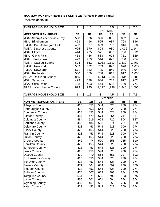# **MAXIMUM MONTHLY RENTS BY UNIT SIZE (for 60% income limits) Effective 3/09/2000**

| <b>AVERAGE HOUSEHOLD SIZE</b>   | 1                | 1.5 | 3     | 4.5   | 6     | 7.5   |  |
|---------------------------------|------------------|-----|-------|-------|-------|-------|--|
|                                 | <b>UNIT SIZE</b> |     |       |       |       |       |  |
| <b>IMETROPOLITAN AREAS</b>      | 0B               | 1B  | 2Β    | 3B    | 4B    | 5B    |  |
| MSA: Albany-Schenectady-Troy    | 538              | 576 | 396   | 800   | 892   | 984   |  |
| MSA: Binghamton                 | 463              | 496 | 595   | 687   | 768   | 846   |  |
| PMSA: Buffalo-Niagara Falls     | 492              | 527 | 633   | 732   | 816   | 900   |  |
| PMSA: Dutchess County           | 625              | 670 | 804   | 930   | 1,036 | 1,144 |  |
| <b>MSA: Elmira</b>              | 444              | 475 | 571   | 660   | 736   | 812   |  |
| <b>IMSA: Glens Falls</b>        | 453              | 486 | 583   | 674   | 751   | 829   |  |
| <b>MSA: Jamestown</b>           | 423              | 453 | 544   | 628   | 700   | 774   |  |
| PMSA: Nassau-Suffolk            | 804              | 861 | 1,033 | 1,193 | 1,330 | 1,469 |  |
| <b>PMSA: New York</b>           | 589              | 632 | 759   | 876   | 978   | 1,079 |  |
| PMSA: Newburgh                  | 571              | 612 | 735   | 849   | 946   | 1,044 |  |
| MSA: Rochester                  | 550              | 589 | 708   | 817   | 912   | 1,006 |  |
| <b>AREA: Rockland County</b>    | 865              | 927 | 1,113 | 1,285 | 1,434 | 1,582 |  |
| MSA: Syracuse                   | 493              | 528 | 634   | 733   | 817   | 902   |  |
| MSA: Utica-Rome                 | 423              | 453 | 544   | 628   | 700   | 774   |  |
| <b>AREA: Westchester County</b> | 873              | 935 | 1,122 | 1,296 | 1,446 | 1,595 |  |

| <b>AVERAGE HOUSEHOLD SIZE</b> | 1                | 1.5 | $\overline{3}$ | 4.5 | 6   | 7.5 |  |
|-------------------------------|------------------|-----|----------------|-----|-----|-----|--|
|                               | <b>UNIT SIZE</b> |     |                |     |     |     |  |
| <b>NON-METROPOLITAN AREAS</b> | 0B               | 1B  | 2B             | 3B  | 4B  | 5B  |  |
| <b>Allegany County</b>        | 423              | 453 | 544            | 628 | 700 | 774 |  |
| Cattaraugus County            | 423              | 453 | 544            | 628 | 700 | 774 |  |
| Chenango County               | 423              | 453 | 544            | 628 | 700 | 774 |  |
| <b>Clinton County</b>         | 447              | 479 | 574            | 664 | 741 | 817 |  |
| Columbia County               | 484              | 519 | 624            | 720 | 804 | 887 |  |
| <b>Cortland County</b>        | 453              | 486 | 583            | 674 | 751 | 829 |  |
| <b>Delaware County</b>        | 423              | 453 | 544            | 628 | 700 | 774 |  |
| <b>Essex County</b>           | 423              | 453 | 544            | 628 | 700 | 774 |  |
| <b>Franklin County</b>        | 423              | 453 | 544            | 628 | 700 | 774 |  |
| <b>Fulton County</b>          | 423              | 453 | 544            | 628 | 700 | 774 |  |
| <b>Greene County</b>          | 442              | 474 | 570            | 658 | 735 | 810 |  |
| <b>Hamilton County</b>        | 423              | 453 | 544            | 628 | 700 | 774 |  |
| Jefferson County              | 423              | 453 | 544            | 628 | 700 | 774 |  |
| Lewis County                  | 423              | 453 | 544            | 628 | 700 | 774 |  |
| Otsego County                 | 439              | 470 | 564            | 651 | 727 | 802 |  |
| St. Lawrence County           | 423              | 453 | 544            | 628 | 700 | 774 |  |
| <b>Schuyler County</b>        | 423              | 453 | 544            | 628 | 700 | 774 |  |
| Seneca County                 | 471              | 504 | 604            | 699 | 780 | 860 |  |
| <b>Steuben County</b>         | 423              | 453 | 544            | 628 | 700 | 774 |  |
| <b>Sullivan County</b>        | 474              | 507 | 609            | 703 | 784 | 865 |  |
| <b>Tompkins County</b>        | 534              | 571 | 685            | 792 | 883 | 975 |  |
| <b>Ulster County</b>          | 468              | 501 | 601            | 694 | 774 | 854 |  |
| <b>Wyoming County</b>         | 438              | 469 | 562            | 650 | 726 | 800 |  |
| <b>Yates County</b>           | 423              | 453 | 544            | 628 | 700 | 774 |  |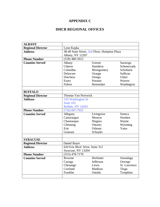## **APPENDIX C**

## **DHCR REGIONAL OFFICES**

| <b>ALBANY</b>            |                                              |            |               |  |  |  |  |  |  |
|--------------------------|----------------------------------------------|------------|---------------|--|--|--|--|--|--|
| <b>Regional Director</b> | Lynn Kopka                                   |            |               |  |  |  |  |  |  |
| <b>Address</b>           | 38-40 State Street, 2nd Floor, Hampton Plaza |            |               |  |  |  |  |  |  |
|                          | Albany, NY 12207                             |            |               |  |  |  |  |  |  |
| <b>Phone Number</b>      | $(518)$ 486-5012                             |            |               |  |  |  |  |  |  |
| <b>Counties Served</b>   | Albany                                       | Greene     | Saratoga      |  |  |  |  |  |  |
|                          | Clinton                                      | Hamilton   | Schenectady   |  |  |  |  |  |  |
|                          | Columbia                                     | Montgomery | Schoharie     |  |  |  |  |  |  |
|                          | Delaware                                     | Orange     | Sullivan      |  |  |  |  |  |  |
|                          | <b>Dutchess</b>                              | Otsego     | <b>Ulster</b> |  |  |  |  |  |  |
|                          | Putnam<br><b>Essex</b><br>Warren             |            |               |  |  |  |  |  |  |
|                          | Rensselaer<br>Fulton<br>Washington           |            |               |  |  |  |  |  |  |
|                          |                                              |            |               |  |  |  |  |  |  |
| <b>BUFFALO</b>           |                                              |            |               |  |  |  |  |  |  |
| <b>Regional Director</b> | <b>Thomas Van Nortwick</b>                   |            |               |  |  |  |  |  |  |
| <b>Address</b>           | 535 Washington St                            |            |               |  |  |  |  |  |  |
|                          | Suite 105                                    |            |               |  |  |  |  |  |  |
|                          | <b>Buffalo, NY 14203</b>                     |            |               |  |  |  |  |  |  |
| <b>Phone Number</b>      | $(716)$ 847-7955                             |            |               |  |  |  |  |  |  |
| <b>Counties Served</b>   | Allegany                                     | Livingston | Seneca        |  |  |  |  |  |  |
|                          | Cattaraugus                                  | Monroe     | Steuben       |  |  |  |  |  |  |
|                          | Chautauqua                                   | Niagara    | Wayne         |  |  |  |  |  |  |
|                          | Chemung                                      | Ontario    | Wyoming       |  |  |  |  |  |  |
|                          | Erie                                         | Orleans    | Yates         |  |  |  |  |  |  |
|                          | Genesee                                      | Schuyler   |               |  |  |  |  |  |  |
|                          |                                              |            |               |  |  |  |  |  |  |
| <b>SYRACUSE</b>          |                                              |            |               |  |  |  |  |  |  |
| <b>Regional Director</b> | Daniel Buyer                                 |            |               |  |  |  |  |  |  |
| <b>Address</b>           | 620 Erie Blvd. West, Suite 312               |            |               |  |  |  |  |  |  |
|                          | Syracuse, NY 13204                           |            |               |  |  |  |  |  |  |
| <b>Phone Number</b>      | $(315)$ 478-7179                             |            |               |  |  |  |  |  |  |
| <b>Counties Served</b>   | <b>Broome</b>                                | Herkimer   | Onondaga      |  |  |  |  |  |  |
|                          | Cayuga                                       | Jefferson  | Oswego        |  |  |  |  |  |  |
|                          | Chenango                                     | Lewis      | St. Lawrence  |  |  |  |  |  |  |
|                          | Cortland                                     | Madison    | Tioga         |  |  |  |  |  |  |
|                          | Franklin                                     | Oneida     | Tompkins      |  |  |  |  |  |  |
|                          |                                              |            |               |  |  |  |  |  |  |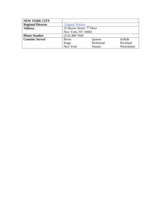| <b>NEW YORK CITY</b>     |                                         |               |                |  |  |  |  |  |
|--------------------------|-----------------------------------------|---------------|----------------|--|--|--|--|--|
| <b>Regional Director</b> | <b>Gregory Watson</b>                   |               |                |  |  |  |  |  |
| <b>Address</b>           | 25 Beaver Street, 7 <sup>th</sup> Floor |               |                |  |  |  |  |  |
|                          | New York, NY 10004                      |               |                |  |  |  |  |  |
| <b>Phone Number</b>      | $(212)$ 480-7644                        |               |                |  |  |  |  |  |
| <b>Counties Served</b>   | <b>Bronx</b>                            | Queens        | <b>Suffolk</b> |  |  |  |  |  |
|                          | Kings                                   | Richmond      | Rockland       |  |  |  |  |  |
|                          | New York                                | <b>Nassau</b> | Westchester    |  |  |  |  |  |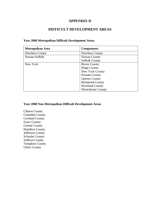### **APPENDIX D**

## **DIFFICULT DEVELOPMENT AREAS**

| <b>Metropolitan Area</b> | <b>Components</b>         |
|--------------------------|---------------------------|
| <b>Dutchess County</b>   | <b>Dutchess County</b>    |
| Nassau-Suffolk           | Nassau County             |
|                          | <b>Suffolk County</b>     |
| New York                 | <b>Bronx County</b>       |
|                          | <b>Kings County</b>       |
|                          | New York County           |
|                          | <b>Putnam County</b>      |
|                          | Queens County             |
|                          | <b>Richmond County</b>    |
|                          | <b>Rockland County</b>    |
|                          | <b>Westchester County</b> |

### **Year 2000 Metropolitan Difficult Development Areas**

### **Year 2000 Non-Metropolitan Difficult Development Areas**

Clinton County Columbia County Cortland County Essex County Greene County Hamilton County Jefferson County Schuyler County Sullivan County Tompkins County Ulster County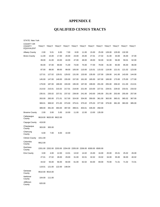## **APPENDIX E**

# **QUALIFIED CENSUS TRACTS**

| <b>STATE: New York</b>                                 |         |                                                                 |        |        |        |        |        |        |        |        |                                                                         |        |
|--------------------------------------------------------|---------|-----------------------------------------------------------------|--------|--------|--------|--------|--------|--------|--------|--------|-------------------------------------------------------------------------|--------|
| <b>COUNTY OR</b><br><b>COUNTY</b><br><b>EQUIVALENT</b> |         |                                                                 |        |        |        |        |        |        |        |        | TRACT TRACT TRACT TRACT TRACT TRACT TRACT TRACT TRACT TRACT TRACT TRACT |        |
| <b>Albany County</b>                                   | 2.00    | 5.01                                                            | 6.00   | 7.00   | 8.00   | 11.00  | 15.00  | 25.00  | 128.00 | 129.00 | 132.00                                                                  |        |
| <b>Bronx County</b>                                    | 11.00   | 15.00                                                           | 17.00  | 20.00  | 23.00  | 25.00  | 27.01  | 27.02  | 31.00  | 33.00  | 35.00                                                                   | 37.00  |
|                                                        | 39.00   | 41.00                                                           | 43.00  | 44.00  | 47.00  | 48.00  | 49.00  | 50.00  | 52.00  | 56.00  | 59.01                                                                   | 62.00  |
|                                                        | 65.00   | 67.00                                                           | 69.00  | 71.00  | 73.00  | 75.00  | 77.00  | 79.00  | 81.00  | 83.00  | 85.00                                                                   | 86.00  |
|                                                        | 87.00   | 88.00                                                           | 89.00  | 99.00  | 105.00 | 110.00 | 115.01 | 115.02 | 119.00 | 121.01 | 121.02                                                                  | 123.00 |
|                                                        | 127.01  | 127.02                                                          | 129.01 | 129.02 | 131.00 | 133.00 | 135.00 | 137.00 | 139.00 | 141.00 | 143.00                                                                  | 144.00 |
|                                                        | 145.00  | 147.00                                                          | 149.00 | 155.00 | 157.00 | 161.00 | 165.00 | 167.00 | 169.00 | 173.00 | 175.00                                                                  | 177.00 |
|                                                        | 179.00  | 187.00                                                          | 189.00 | 193.00 | 195.00 | 197.00 | 199.00 | 201.00 | 205.00 | 206.02 | 211.00                                                                  | 213.01 |
|                                                        | 213.02  | 215.01                                                          | 215.02 | 217.01 | 219.00 | 221.00 | 223.00 | 227.01 | 229.01 | 229.02 | 233.01                                                                  | 233.02 |
|                                                        | 235.01  | 235.02                                                          | 237.01 | 237.02 | 239.00 | 241.00 | 243.00 | 245.00 | 251.00 | 253.00 | 255.00                                                                  | 257.00 |
|                                                        | 263.00  | 265.00                                                          | 271.01 | 317.00 | 324.00 | 334.00 | 359.00 | 361.00 | 363.00 | 365.01 | 365.02                                                                  | 367.00 |
|                                                        | 369.01  | 369.02                                                          | 371.00 | 373.00 | 375.01 | 375.02 | 375.03 | 377.00 | 379.00 | 381.00 | 383.00                                                                  | 385.00 |
|                                                        | 389.00  | 391.00                                                          | 393.00 | 397.00 | 399.01 | 403.01 | 435.00 | 458.00 |        |        |                                                                         |        |
| <b>Broome County</b>                                   | 2.00    | 3.00                                                            | 5.00   | 10.00  | 11.00  | 12.00  | 13.00  | 135.00 |        |        |                                                                         |        |
| Cattaraugus<br>County                                  |         | 9619.00 9620.00 9622.00                                         |        |        |        |        |        |        |        |        |                                                                         |        |
| Cayuga County                                          | 419.00  |                                                                 |        |        |        |        |        |        |        |        |                                                                         |        |
| Chautauqua<br>County                                   | 303.00  | 305.00                                                          |        |        |        |        |        |        |        |        |                                                                         |        |
| Chemung<br>County                                      | 6.00    | 7.00                                                            | 8.00   | 10.00  |        |        |        |        |        |        |                                                                         |        |
| <b>Clinton County</b>                                  | 1011.00 |                                                                 |        |        |        |        |        |        |        |        |                                                                         |        |
| Columbia<br>County                                     | 9912.00 |                                                                 |        |        |        |        |        |        |        |        |                                                                         |        |
| <b>Dutchess</b><br>County                              |         | 2201.00 2202.00 2203.00 2204.00 2205.00 2206.00 6300.00 6500.00 |        |        |        |        |        |        |        |        |                                                                         |        |
| <b>Erie County</b>                                     | 3.00    | 4.00                                                            | 12.00  | 13.01  | 13.02  | 14.02  | 15.00  | 16.00  | 20.00  | 25.01  | 25.02                                                                   | 26.00  |
|                                                        | 27.01   | 27.02                                                           | 28.00  | 29.00  | 31.00  | 32.01  | 32.02  | 33.02  | 34.00  | 35.00  | 36.00                                                                   | 40.02  |
|                                                        | 44.02   | 55.00                                                           | 56.00  | 60.00  | 61.00  | 62.02  | 64.00  | 69.00  | 70.00  | 71.01  | 71.02                                                                   | 72.01  |
|                                                        | 119.01  | 121.00                                                          | 122.00 | 148.04 |        |        |        |        |        |        |                                                                         |        |
| Genesee<br>County                                      |         | 9510.00 9515.00                                                 |        |        |        |        |        |        |        |        |                                                                         |        |
| Herkimer<br>County                                     | 104.00  | 111.00                                                          |        |        |        |        |        |        |        |        |                                                                         |        |
| Jefferson<br>County                                    | 620.00  |                                                                 |        |        |        |        |        |        |        |        |                                                                         |        |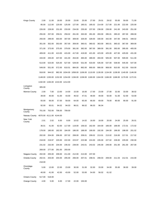| <b>Kings County</b>   | 2.00   | 11.00                   | 18.00                                                                                           | 20.00  | 23.00                                                                          | 25.00  | 27.00  | 29.01  | 29.02  | 55.00  | 59.00  | 71.00  |
|-----------------------|--------|-------------------------|-------------------------------------------------------------------------------------------------|--------|--------------------------------------------------------------------------------|--------|--------|--------|--------|--------|--------|--------|
|                       | 85.00  | 112.00                  | 120.00                                                                                          | 125.00 | 127.00                                                                         | 185.01 | 185.02 | 214.00 | 217.00 | 221.00 | 222.00 | 225.00 |
|                       | 226.00 | 228.00                  | 231.00                                                                                          | 233.00 | 234.00                                                                         | 235.00 | 237.00 | 238.00 | 239.00 | 241.00 | 243.00 | 251.00 |
|                       | 255.00 | 257.00                  | 259.01                                                                                          | 259.02 | 261.00                                                                         | 263.00 | 281.00 | 283.00 | 285.01 | 285.02 | 287.00 | 289.00 |
|                       | 293.00 | 299.00                  | 303.00                                                                                          | 307.00 | 309.00                                                                         | 326.00 | 328.00 | 330.00 | 342.00 | 347.00 | 348.01 | 348.02 |
|                       | 351.00 | 352.00                  | 353.00                                                                                          | 357.00 | 359.00                                                                         | 360.01 | 360.02 | 363.00 | 365.01 | 365.02 | 367.00 | 369.00 |
|                       | 371.00 | 373.00                  | 375.00                                                                                          | 379.00 | 381.00                                                                         | 382.00 | 387.00 | 389.00 | 391.00 | 393.00 | 395.00 | 405.00 |
|                       | 409.00 | 411.00                  | 413.00                                                                                          | 415.00 | 417.00                                                                         | 419.00 | 421.00 | 423.00 | 425.00 | 427.00 | 429.00 | 431.00 |
|                       | 433.00 | 435.00                  | 437.00                                                                                          | 441.00 | 453.00                                                                         | 465.00 | 489.00 | 493.00 | 505.00 | 507.00 | 509.00 | 511.00 |
|                       | 513.00 | 523.00                  | 525.00                                                                                          | 527.00 | 529.00                                                                         | 531.00 | 533.00 | 535.00 | 537.00 | 539.00 | 545.00 | 547.00 |
|                       | 549.00 | 551.00                  | 572.00                                                                                          | 610.01 | 884.00                                                                         | 892.00 | 900.00 | 906.00 | 908.00 | 910.00 | 912.00 | 916.00 |
|                       | 918.00 | 944.02                  |                                                                                                 |        | 982.00 1034.00 1058.00 1106.00 1110.00 1130.00 1134.00 1138.00 1140.00 1146.00 |        |        |        |        |        |        |        |
|                       |        |                         | 1148.00 1150.00 1152.00 1154.00 1156.00 1158.00 1160.00 1164.00 1166.00 1168.00 1170.00 1172.01 |        |                                                                                |        |        |        |        |        |        |        |
|                       |        |                         | 1192.00 1194.00 1210.00 1214.00                                                                 |        |                                                                                |        |        |        |        |        |        |        |
| Livingston<br>County  | 305.00 |                         |                                                                                                 |        |                                                                                |        |        |        |        |        |        |        |
| Monroe County         | 2.00   | 7.00                    | 13.00                                                                                           | 14.00  | 15.00                                                                          | 16.00  | 17.00  | 23.00  | 27.00  | 32.00  | 33.00  | 38.02  |
|                       | 39.00  | 40.00                   | 41.00                                                                                           | 43.00  | 46.02                                                                          | 47.01  | 48.00  | 49.00  | 50.00  | 51.00  | 52.00  | 53.00  |
|                       | 55.00  | 56.00                   | 57.00                                                                                           | 59.00  | 64.00                                                                          | 65.00  | 66.00  | 69.00  | 79.00  | 80.00  | 90.00  | 91.00  |
|                       | 92.00  | 93.01                   | 94.02                                                                                           | 94.03  | 96.01                                                                          | 96.02  | 96.03  | 96.04  |        |        |        |        |
| Montgomery<br>County  | 701.00 | 702.00                  | 706.00                                                                                          | 709.00 |                                                                                |        |        |        |        |        |        |        |
| Nassau County         |        | 4070.00 4111.00 4144.00 |                                                                                                 |        |                                                                                |        |        |        |        |        |        |        |
| New York<br>County    | 2.01   | 2.02                    | 6.00                                                                                            | 8.00   | 10.02                                                                          | 14.02  | 16.00  | 18.00  | 20.00  | 24.00  | 25.00  | 26.01  |
|                       | 36.01  | 41.00                   | 62.00                                                                                           | 117.00 | 119.00                                                                         | 156.02 | 162.00 | 164.00 | 166.00 | 168.00 | 172.01 | 172.02 |
|                       | 178.00 | 180.00                  | 182.00                                                                                          | 184.00 | 186.00                                                                         | 188.00 | 190.00 | 192.00 | 194.00 | 196.00 | 198.00 | 201.02 |
|                       | 202.00 | 204.00                  | 206.00                                                                                          | 207.02 | 208.00                                                                         | 209.01 | 209.02 | 213.01 | 213.02 | 216.00 | 217.01 | 217.02 |
|                       | 218.00 | 219.97                  | 220.00                                                                                          | 222.00 | 223.97                                                                         | 223.98 | 224.00 | 226.00 | 227.02 | 228.00 | 229.00 | 230.00 |
|                       | 231.02 | 232.00                  | 234.00                                                                                          | 235.02 | 239.00                                                                         | 243.01 | 243.02 | 245.00 | 249.00 | 251.00 | 261.00 | 267.00 |
|                       | 269.00 | 277.00                  | 291.00                                                                                          | 293.00 |                                                                                |        |        |        |        |        |        |        |
| Niagara County        | 202.00 | 205.00                  | 209.00                                                                                          | 211.00 | 212.00                                                                         | 213.00 | 237.00 |        |        |        |        |        |
| Oneida County         | 202.01 | 203.00                  | 204.00                                                                                          | 205.00 | 206.00                                                                         | 207.01 | 208.01 | 208.03 | 209.00 | 211.03 | 212.01 | 215.00 |
|                       | 218.00 |                         |                                                                                                 |        |                                                                                |        |        |        |        |        |        |        |
| Onondaga<br>County    | 5.00   | 13.00                   | 22.00                                                                                           | 23.00  | 30.00                                                                          | 31.00  | 32.00  | 33.00  | 34.00  | 35.00  | 38.00  | 39.00  |
|                       | 40.00  | 41.00                   | 42.00                                                                                           | 43.00  | 52.00                                                                          | 53.00  | 54.00  | 56.02  | 61.02  |        |        |        |
| <b>Ontario County</b> | 517.00 | 518.00                  |                                                                                                 |        |                                                                                |        |        |        |        |        |        |        |
| <b>Orange County</b>  | 4.00   | 5.00                    | 6.00                                                                                            | 17.00  | 22.00                                                                          | 150.00 |        |        |        |        |        |        |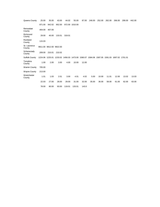| Queens County          | 25.00  | 35.00                   | 43.00  | 44.02  | 55.00          | 87.00 | 246.00                                                                                  | 252.00 | 262.00 | 266.00 | 299.00 | 442.00 |
|------------------------|--------|-------------------------|--------|--------|----------------|-------|-----------------------------------------------------------------------------------------|--------|--------|--------|--------|--------|
|                        | 871.00 | 942.02                  | 952.00 |        | 972.00 1010.00 |       |                                                                                         |        |        |        |        |        |
| Rensselaer<br>County   | 404.00 | 407.00                  |        |        |                |       |                                                                                         |        |        |        |        |        |
| Richmond<br>County     | 29.00  | 40.00                   | 133.01 | 319.01 |                |       |                                                                                         |        |        |        |        |        |
| Rockland<br>County     | 115.03 |                         |        |        |                |       |                                                                                         |        |        |        |        |        |
| St. Lawrence<br>County |        | 9911.00 9912.00 9922.00 |        |        |                |       |                                                                                         |        |        |        |        |        |
| Schenectady<br>County  | 209.00 | 210.01                  | 210.02 |        |                |       |                                                                                         |        |        |        |        |        |
| Suffolk County         |        |                         |        |        |                |       | 1224.06 1225.01 1233.02 1456.03 1473.00 1580.07 1584.06 1587.05 1591.03 1697.02 1701.01 |        |        |        |        |        |
| Tompkins<br>County     | 1.00   | 2.00                    | 3.00   | 4.00   | 10.00          | 12.00 |                                                                                         |        |        |        |        |        |
| <b>Warren County</b>   | 705.00 |                         |        |        |                |       |                                                                                         |        |        |        |        |        |
| Wayne County           | 213.00 |                         |        |        |                |       |                                                                                         |        |        |        |        |        |
| Westchester<br>County  | 1.01   | 1.03                    | 2.01   | 3.00   | 4.01           | 4.02  | 5.00                                                                                    | 10.00  | 11.01  | 12.00  | 13.02  | 13.03  |
|                        | 22.03  | 27.00                   | 28.00  | 29.00  | 31.00          | 32.00 | 35.00                                                                                   | 36.00  | 58.00  | 61.00  | 62.00  | 63.00  |
|                        | 78.00  | 80.00                   | 93.00  | 119.01 | 133.01         | 143.0 |                                                                                         |        |        |        |        |        |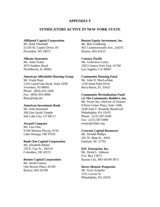### **APPENDIX F**

### **SYNDICATORS ACTIVE IN NEW YORK STATE**

### **Affiliated Capital Corporation Boston Equity Investment, Inc.**

Ms. Ruth Theobald Mr. Bob Goldkamp Pewaukee, WI 53072 Boston, MA 02215

### **Allstate Insurance Century Pacific**

### **American Affordable Housing Group Community Housing Fund**

Mr. Frank Haaz Mr. John D. MacLachlan 1103 Laurel Oak Road, Suite 105B 1330 Sabal Palm Drive Voorhees, NJ 08043 Boca Raton, FL 33432 Phone: (856) 435-3200 Fax: (856) 435-4868 **Community Revitalization Fund**  fhaaz@snip.net **c/o The Community Builders, Inc.**

200 East South Temple Philadelphia, PA 19103 Salt Lake City, UT 84111 Phone: (215) 587-4100

Ms. Lisa Dias 9 SW Monroe Pkway, #150 **Crescent Capital Resources**  Lake Oswego, OR 97035 Mr. Donald Phillips

### **Bank One Capital Corporation** Durham, NC 27702

Ms. Elizabeth Bluhm 150 E. Gay St., 24th Fl. **DJL Enterprise, Inc.**  Columbus, OH 43215 Mr. David L. Johnson

# Mr. David Gasson One Boston Place, #2100 **Dover Historic Properties**

Boston, MA 02108 Mr. Scott Schaefer

21150 W. Capitol Drive, #5 401 Commonwealth Ave., 2nd Fl.

Ms. Anne Fraser Ms. Genevieve Golov 3075 Sanders Road 1925 Century Park East, #1760 Northbrook, IL 60062 Los Angeles, CA 90067

 Mr. Swan Oey, Director of Finance **American Investment Bank** 8 Penn Center Plaza, Suite 1400, Mr. John Haymond 1628 John F. Kennedy Boulevard Fax: (215) 587-0490 **Arcand Company** swano@tcbinc.org

201 W. Main St., #302

P.O. Box 13073 **Boston Capital Corporation** Kansas City, MO 64199-3073

 1521 Locust St. Philadelphia, PA 19102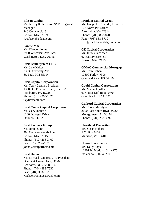Mr. Jeffrey K. Jacobson SVP, Regional Mr. Joseph E. Resende, President Manager 128 North Pitt Street 240 Commercial St. Alexandria, VA 22314 Boston, MA 02109 Phone: (703) 838-8700 jjacobson@edcap.com Fax: (703) 838-8710

### **Fannie Mae**

Mr. Wendell Johns **GE Capital Corporation**  3900 Wisconsin Ave. NW Mr. Jeffrey Jacobsen Washington, D.C. 20016 67 Batterymarch St.

### **First Bank System CDC**

2383 University Ave. Mr. Tom Cohen St. Paul, MN 55114 10800 Farley, #306

### **First Capital Corporation**

Mr. Terry Lerman, President **Gould Capital Corporation** 1350 Old Freeport Road, Suite 3A Mr. Michael Soffer Pittsburgh, PA 15238 60 Cutter Mill Road, #303 Phone: (412) 963-1320 Great Neck, NY 11021 tl@firstcaptl.com

### **First Credit Capital Corporation** Mr. Thorn McIntyre

Mr. John Quinn Ms. Susan Hobart 400 Commonwealth Ave. P.O. Box 1602 Boston, MA 02115 Madison, WI 53701 Phone: (617) 266-3400 Fax: (617) 266-1025 **House Investments**  johnq@firstpartners.com Ms. Kelly Boyle

Mr. Michael Ramires, Vice President One First Union Place, DC-6 Charlotte, NC 28288-0166 Phone: (704) 383-7532 Fax: (704) 383-9525 Michael.Ramires@Funb.com

### **Edison Capital** *Edison* Capital **Franklin Capital Group**

JER@franklincapitalgroup.com

Boston, MA 02110

### Ms. Jane Kaiser **GMAC Commercial Mortgage**

Overland Park, KS 66210

### **Guilford Capital Corporation**

Mr. Gary Johnson 2600 East South Blvd., #230 6230 Donegal Drive Montgomery, AL 36116 Orlando, FL 32819 Phone: (334) 288-3992

### **First Partners Group Heartland Properties**

 10401 N. Meridian St., #275 **First Union** Indianapolis, IN 46290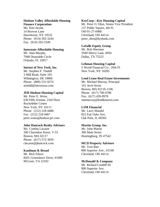# **Hudson Valley Affordable Housing KeyCorp—Key Housing Capital**

14 Browns Lane OH-01-27-0408 Hawthorne, NY 10532 Cleveland, OH 44114 Fax: (914) 592-2549

### **Interstate Affordable Housing Mr. Bob Sherman**

7948 Dunstable Circle Dallas, TX 75225 Orlando, FL 32817

Mr. Stephen F. Tindall New York, NY 10285 3 Mill Road, Suite 105 stindall@intrustusa.com 101 Arch Street

### **JER Hudson Housing Capital Phone:** (617) 790-4786

Mr. Peter E. Weiss Fax: (617) 439-9978 Rockefeller Center New York, NY 10111 **LSM Financial**  Phone: (212) 218-4488 Mr. Larry Mandel Fax: (212) 218-4467 822 Fair Oaks Ave. peter.weiss@hudson.jer.com Oak Park, IL 60302

### **John Hancock Realty Advisors Martin Group, Inc.**

Ms. Cynthia Lacasse Mr. John Martin 200 Clarendon Street, T-53 306 Main Street Boston, MA 02117 Huntingburg, IN 47542 Phone: (617) 572-3839 clacasse@jhancock.com **MCD Property Advisors** 

Mr. Rick Edson Cleveland, OH 44114 8201 Greensboro Drive, #1000 McLean, VA 22102 **McDonald & Company** 

**Finance Corporation** Mr. Peter O. Dion, Senior Vice President Ms. Kim Jacobs 127 Public Square, 4th Fl. Phone: (914) 592-3244 peter\_dion@keybank.com

### **LaSalle Equity Group**

Mr. Alan Murphy 5949 Sherry Lane, #950

### **Lehman Housing Capital**

**Intrust of New York, Inc.** 3 World Financial Ctr., 20th Fl.

### Wilmington, DE 19806 **Lend Lease Real Estate Investments**

Phone: (800) 531-9274 Mr. Michael Murray, Principal Boston, MA 02110-1106 630 Fifth Avenue, 23rd Floor mmmurray@lendleaserei.com

Mr. Tom Rini **Kaufman & Broad** 800 Superior Ave., #2100

 Mr. Richard Cundiff III 800 Superior Ave. Cleveland, OH 44114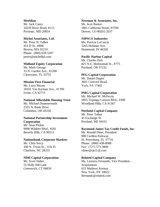Mr. Jack Casey Mr. Scot Barker Potomac, MD 20854 Denver, CO 80202-2637

### **Michel Associates, Ltd. NIPSCO Industries**

Mr. Peter B. Talbot Ms. Patricia LoCascio 451 D St., #800 5265 Hohman Ave. Boston, MA 02210 Hammond, IN 46320 Phone: (800) 659-5207 petert@michelltd.com **Pacific Harbor Capital** 

Mr. Mark George Portland, OR 97232 33 N. Garden Ave., #1200 Clearwater, FL 33755 **PFG Capital Corporation** 

Mr. Larry Mount York, PA 17402 18101 Van Karman Ave., #1700 Irvine, CA 92715 **PMG Capital Corporation** 

2335 N. Bank Drive Columbus, OH 43220 **Portland Capital Company** 

# **National Partnership Investment** 45 Exchange St.

Mr. Sean Perkin Beverly Hills, CA 90211 Mr. Ronald Diner, President

### **Nationsbank Corporate Markets** St. Petersburg, FL 37716

100 N. Tryon St., 11th Fl. Fax: (727) 573-3800 Charlotte, NC 28255 rdiner@rjtcf.rjf.com

### **NDH Capital Corporation Related Capital Company**

55 Holly Hill Lane Acquisitions Greenwich, CT 06830 625 Madison Avenue

# **Meridian 19. Inc.** 20. Inc. 20. Inc. 20. Newman & Associates, Inc. 10220 River Road, #115 1801 California Street, #3700

 Mr. Charles Park **Midland Equity Corporation** 825 N.E. Multnomah St., #775

Mr. Daniel Dygert **Mission First Financial** 3601 Concord Road

 Mr. Michael W. McFerrin **National Affordable Housing Trust** 5855 Topanga Canyon Blvd., #300 Mr. Michael Dummermuth Woodland Hills, CA 91367

Mr. Peter Talbot **Corporation** Portland, ME 04101

### 9090 Wilshire Blvd., #201 **Raymond James Tax Credit Funds, Inc.**

 880 Carillon Parkway Mr. Chris Sercy Phone: (800) 438-8088

Mr. Scott Haber **Ms. Leonora Fernando, Vice President** – New York, NY 10022 lfernando@related.com